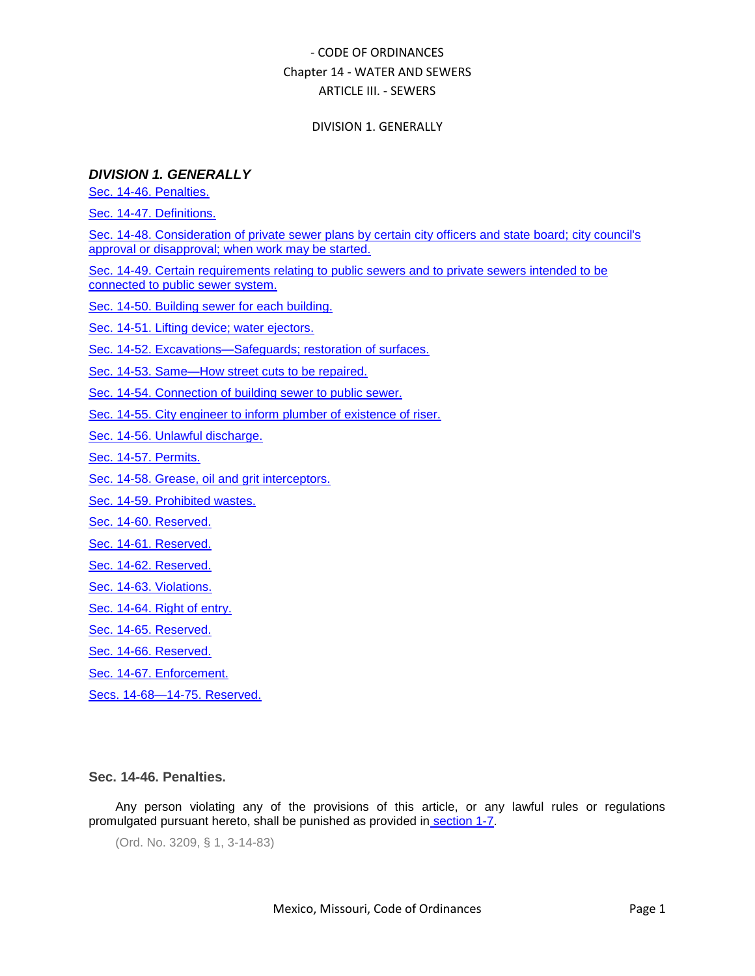### DIVISION 1. GENERALLY

## *DIVISION 1. GENERALLY*

[Sec. 14-46. Penalties.](#page-0-0)

[Sec. 14-47. Definitions.](#page-1-0)

[Sec. 14-48. Consideration of private sewer plans by certain city officers and state board; city council's](#page-2-0)  [approval or disapproval; when work may be started.](#page-2-0)

[Sec. 14-49. Certain requirements relating to public sewers and to private sewers intended to be](#page-2-1)  [connected to public sewer system.](#page-2-1)

[Sec. 14-50. Building sewer for each building.](#page-3-0)

[Sec. 14-51. Lifting device; water ejectors.](#page-3-1)

### [Sec. 14-52. Excavations—Safeguards; restoration of surfaces.](#page-4-0)

[Sec. 14-53. Same—How street cuts to be repaired.](#page-4-1)

[Sec. 14-54. Connection of building sewer to public sewer.](#page-4-2)

[Sec. 14-55. City engineer to inform plumber of existence of riser.](#page-5-0)

[Sec. 14-56. Unlawful discharge.](#page-5-1)

[Sec. 14-57. Permits.](#page-5-2)

[Sec. 14-58. Grease, oil and grit interceptors.](#page-6-0)

[Sec. 14-59. Prohibited wastes.](#page-6-1)

[Sec. 14-60. Reserved.](#page-7-0)

[Sec. 14-61. Reserved.](#page-7-1)

[Sec. 14-62. Reserved.](#page-7-2)

[Sec. 14-63. Violations.](#page-7-3)

[Sec. 14-64. Right of entry.](#page-8-0)

[Sec. 14-65. Reserved.](#page-9-0)

[Sec. 14-66. Reserved.](#page-9-1)

[Sec. 14-67. Enforcement.](#page-9-2)

[Secs. 14-68—14-75. Reserved.](#page-10-0)

### <span id="page-0-0"></span>**Sec. 14-46. Penalties.**

Any person violating any of the provisions of this article, or any lawful rules or regulations promulgated pursuant hereto, shall be punished as provided in [section 1-7.](../level2/COOR_CH1GEPR.docx#COOR_CH1GEPR_S1-7GEPECOVI)

(Ord. No. 3209, § 1, 3-14-83)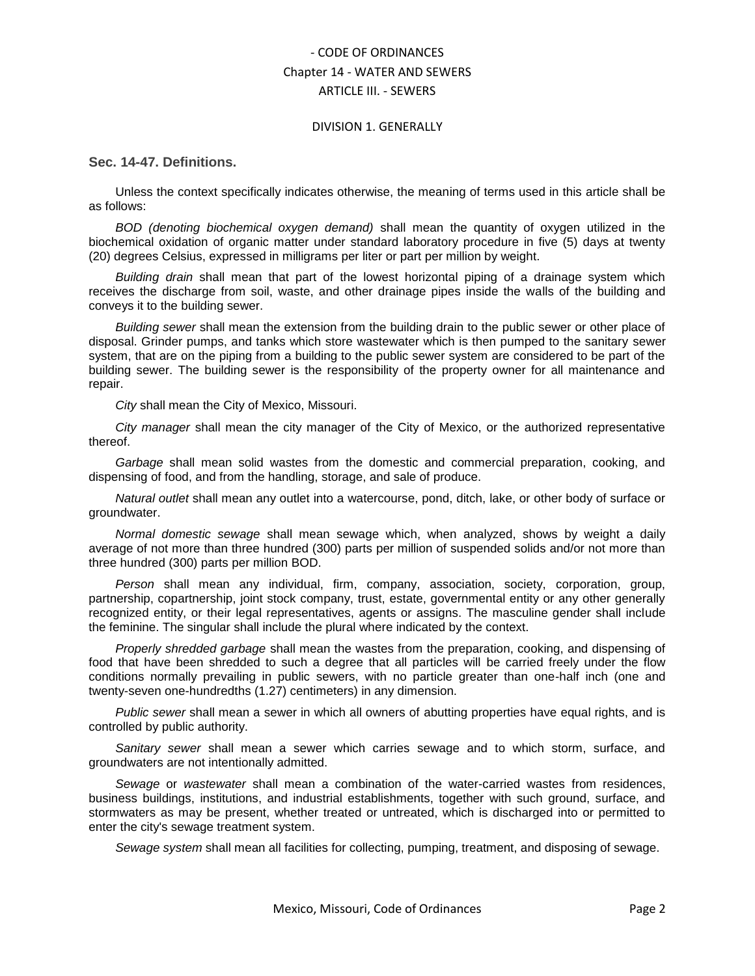#### DIVISION 1. GENERALLY

<span id="page-1-0"></span>**Sec. 14-47. Definitions.**

Unless the context specifically indicates otherwise, the meaning of terms used in this article shall be as follows:

*BOD (denoting biochemical oxygen demand)* shall mean the quantity of oxygen utilized in the biochemical oxidation of organic matter under standard laboratory procedure in five (5) days at twenty (20) degrees Celsius, expressed in milligrams per liter or part per million by weight.

*Building drain* shall mean that part of the lowest horizontal piping of a drainage system which receives the discharge from soil, waste, and other drainage pipes inside the walls of the building and conveys it to the building sewer.

*Building sewer* shall mean the extension from the building drain to the public sewer or other place of disposal. Grinder pumps, and tanks which store wastewater which is then pumped to the sanitary sewer system, that are on the piping from a building to the public sewer system are considered to be part of the building sewer. The building sewer is the responsibility of the property owner for all maintenance and repair.

*City* shall mean the City of Mexico, Missouri.

*City manager* shall mean the city manager of the City of Mexico, or the authorized representative thereof.

*Garbage* shall mean solid wastes from the domestic and commercial preparation, cooking, and dispensing of food, and from the handling, storage, and sale of produce.

*Natural outlet* shall mean any outlet into a watercourse, pond, ditch, lake, or other body of surface or groundwater.

*Normal domestic sewage* shall mean sewage which, when analyzed, shows by weight a daily average of not more than three hundred (300) parts per million of suspended solids and/or not more than three hundred (300) parts per million BOD.

*Person* shall mean any individual, firm, company, association, society, corporation, group, partnership, copartnership, joint stock company, trust, estate, governmental entity or any other generally recognized entity, or their legal representatives, agents or assigns. The masculine gender shall include the feminine. The singular shall include the plural where indicated by the context.

*Properly shredded garbage* shall mean the wastes from the preparation, cooking, and dispensing of food that have been shredded to such a degree that all particles will be carried freely under the flow conditions normally prevailing in public sewers, with no particle greater than one-half inch (one and twenty-seven one-hundredths (1.27) centimeters) in any dimension.

*Public sewer* shall mean a sewer in which all owners of abutting properties have equal rights, and is controlled by public authority.

*Sanitary sewer* shall mean a sewer which carries sewage and to which storm, surface, and groundwaters are not intentionally admitted.

*Sewage* or *wastewater* shall mean a combination of the water-carried wastes from residences, business buildings, institutions, and industrial establishments, together with such ground, surface, and stormwaters as may be present, whether treated or untreated, which is discharged into or permitted to enter the city's sewage treatment system.

*Sewage system* shall mean all facilities for collecting, pumping, treatment, and disposing of sewage.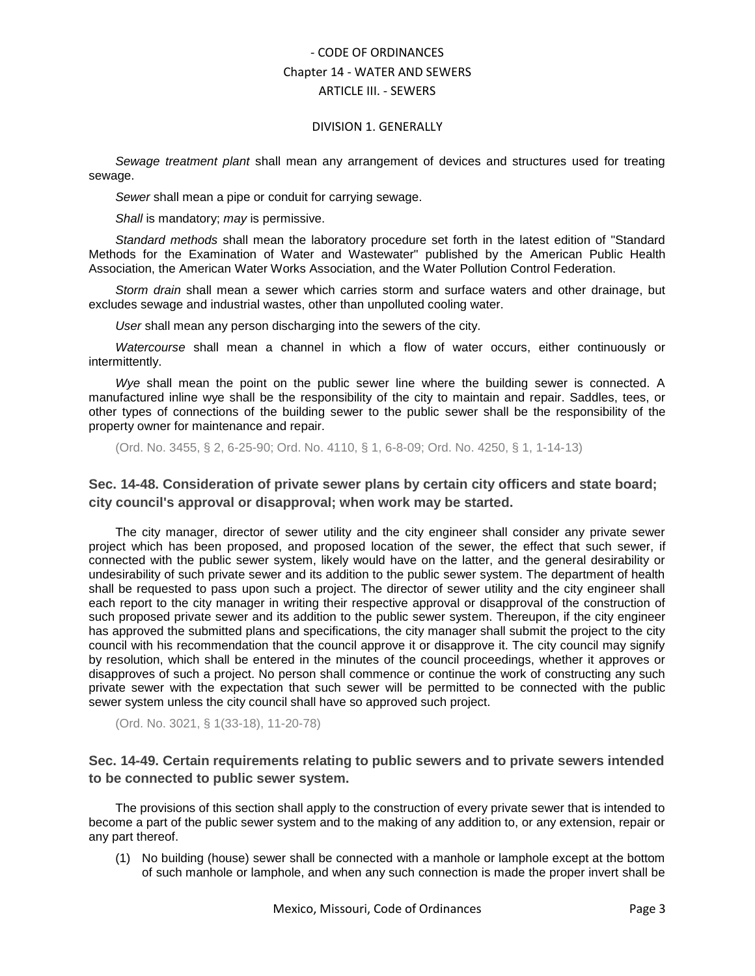#### DIVISION 1. GENERALLY

*Sewage treatment plant* shall mean any arrangement of devices and structures used for treating sewage.

*Sewer* shall mean a pipe or conduit for carrying sewage.

*Shall* is mandatory; *may* is permissive.

*Standard methods* shall mean the laboratory procedure set forth in the latest edition of "Standard Methods for the Examination of Water and Wastewater" published by the American Public Health Association, the American Water Works Association, and the Water Pollution Control Federation.

*Storm drain* shall mean a sewer which carries storm and surface waters and other drainage, but excludes sewage and industrial wastes, other than unpolluted cooling water.

*User* shall mean any person discharging into the sewers of the city.

*Watercourse* shall mean a channel in which a flow of water occurs, either continuously or intermittently.

*Wye* shall mean the point on the public sewer line where the building sewer is connected. A manufactured inline wye shall be the responsibility of the city to maintain and repair. Saddles, tees, or other types of connections of the building sewer to the public sewer shall be the responsibility of the property owner for maintenance and repair.

(Ord. No. 3455, § 2, 6-25-90; Ord. No. 4110, § 1, 6-8-09; Ord. No. 4250, § 1, 1-14-13)

## <span id="page-2-0"></span>**Sec. 14-48. Consideration of private sewer plans by certain city officers and state board; city council's approval or disapproval; when work may be started.**

The city manager, director of sewer utility and the city engineer shall consider any private sewer project which has been proposed, and proposed location of the sewer, the effect that such sewer, if connected with the public sewer system, likely would have on the latter, and the general desirability or undesirability of such private sewer and its addition to the public sewer system. The department of health shall be requested to pass upon such a project. The director of sewer utility and the city engineer shall each report to the city manager in writing their respective approval or disapproval of the construction of such proposed private sewer and its addition to the public sewer system. Thereupon, if the city engineer has approved the submitted plans and specifications, the city manager shall submit the project to the city council with his recommendation that the council approve it or disapprove it. The city council may signify by resolution, which shall be entered in the minutes of the council proceedings, whether it approves or disapproves of such a project. No person shall commence or continue the work of constructing any such private sewer with the expectation that such sewer will be permitted to be connected with the public sewer system unless the city council shall have so approved such project.

(Ord. No. 3021, § 1(33-18), 11-20-78)

<span id="page-2-1"></span>**Sec. 14-49. Certain requirements relating to public sewers and to private sewers intended to be connected to public sewer system.**

The provisions of this section shall apply to the construction of every private sewer that is intended to become a part of the public sewer system and to the making of any addition to, or any extension, repair or any part thereof.

(1) No building (house) sewer shall be connected with a manhole or lamphole except at the bottom of such manhole or lamphole, and when any such connection is made the proper invert shall be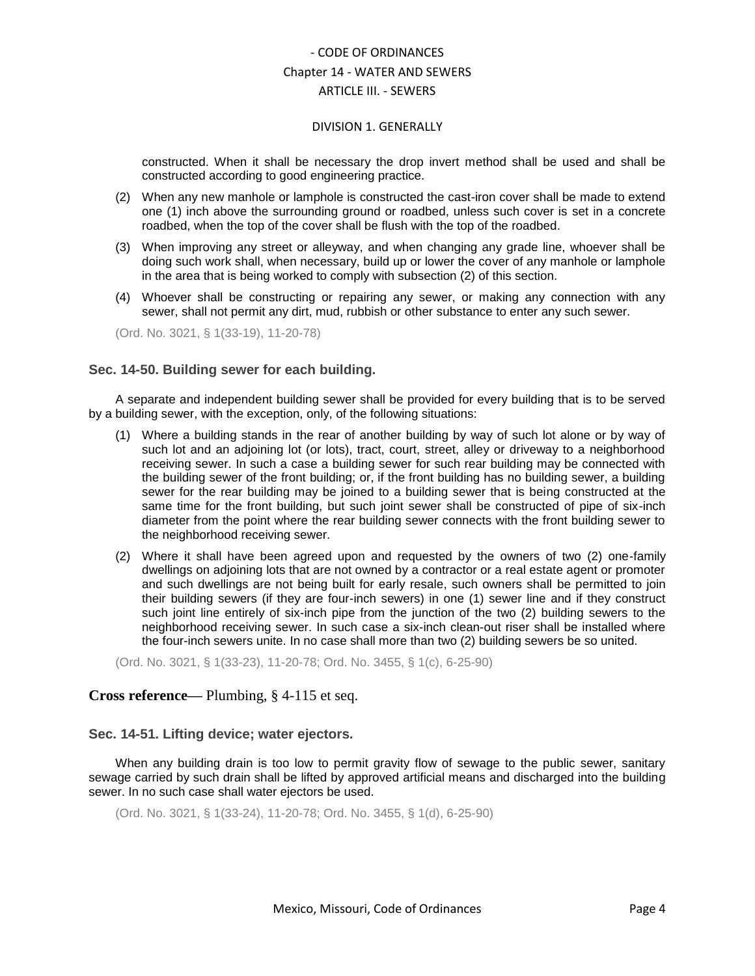#### DIVISION 1. GENERALLY

constructed. When it shall be necessary the drop invert method shall be used and shall be constructed according to good engineering practice.

- (2) When any new manhole or lamphole is constructed the cast-iron cover shall be made to extend one (1) inch above the surrounding ground or roadbed, unless such cover is set in a concrete roadbed, when the top of the cover shall be flush with the top of the roadbed.
- (3) When improving any street or alleyway, and when changing any grade line, whoever shall be doing such work shall, when necessary, build up or lower the cover of any manhole or lamphole in the area that is being worked to comply with subsection (2) of this section.
- (4) Whoever shall be constructing or repairing any sewer, or making any connection with any sewer, shall not permit any dirt, mud, rubbish or other substance to enter any such sewer.

(Ord. No. 3021, § 1(33-19), 11-20-78)

## <span id="page-3-0"></span>**Sec. 14-50. Building sewer for each building.**

A separate and independent building sewer shall be provided for every building that is to be served by a building sewer, with the exception, only, of the following situations:

- (1) Where a building stands in the rear of another building by way of such lot alone or by way of such lot and an adjoining lot (or lots), tract, court, street, alley or driveway to a neighborhood receiving sewer. In such a case a building sewer for such rear building may be connected with the building sewer of the front building; or, if the front building has no building sewer, a building sewer for the rear building may be joined to a building sewer that is being constructed at the same time for the front building, but such joint sewer shall be constructed of pipe of six-inch diameter from the point where the rear building sewer connects with the front building sewer to the neighborhood receiving sewer.
- (2) Where it shall have been agreed upon and requested by the owners of two (2) one-family dwellings on adjoining lots that are not owned by a contractor or a real estate agent or promoter and such dwellings are not being built for early resale, such owners shall be permitted to join their building sewers (if they are four-inch sewers) in one (1) sewer line and if they construct such joint line entirely of six-inch pipe from the junction of the two (2) building sewers to the neighborhood receiving sewer. In such case a six-inch clean-out riser shall be installed where the four-inch sewers unite. In no case shall more than two (2) building sewers be so united.

(Ord. No. 3021, § 1(33-23), 11-20-78; Ord. No. 3455, § 1(c), 6-25-90)

## **Cross reference—** Plumbing, § 4-115 et seq.

### <span id="page-3-1"></span>**Sec. 14-51. Lifting device; water ejectors.**

When any building drain is too low to permit gravity flow of sewage to the public sewer, sanitary sewage carried by such drain shall be lifted by approved artificial means and discharged into the building sewer. In no such case shall water ejectors be used.

(Ord. No. 3021, § 1(33-24), 11-20-78; Ord. No. 3455, § 1(d), 6-25-90)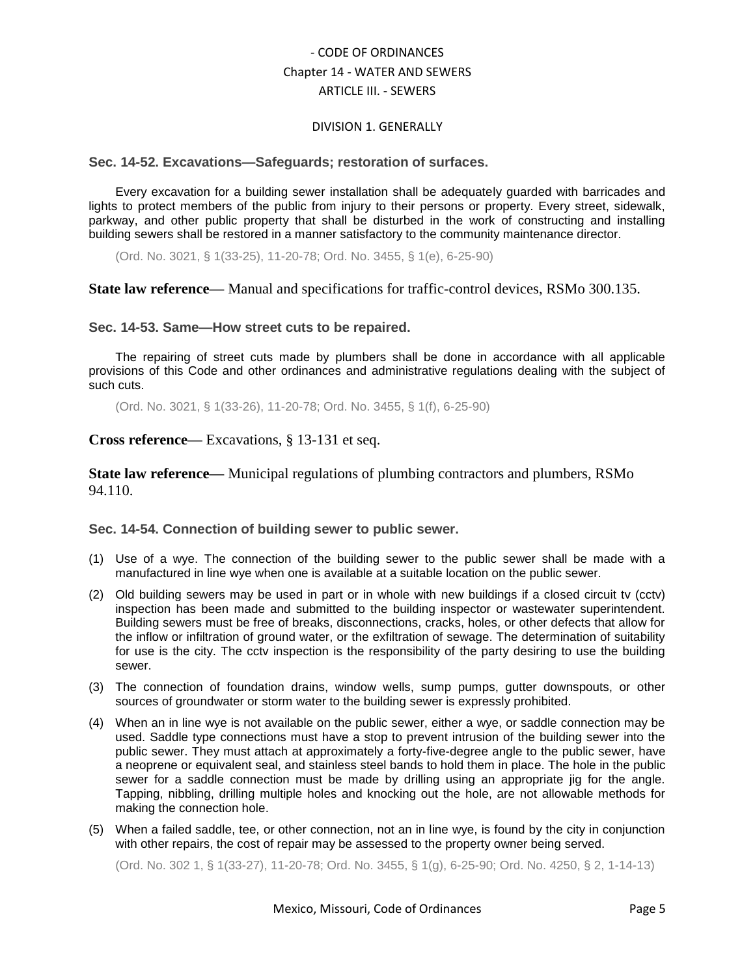#### DIVISION 1. GENERALLY

#### <span id="page-4-0"></span>**Sec. 14-52. Excavations—Safeguards; restoration of surfaces.**

Every excavation for a building sewer installation shall be adequately guarded with barricades and lights to protect members of the public from injury to their persons or property. Every street, sidewalk, parkway, and other public property that shall be disturbed in the work of constructing and installing building sewers shall be restored in a manner satisfactory to the community maintenance director.

(Ord. No. 3021, § 1(33-25), 11-20-78; Ord. No. 3455, § 1(e), 6-25-90)

**State law reference—** Manual and specifications for traffic-control devices, RSMo 300.135.

## <span id="page-4-1"></span>**Sec. 14-53. Same—How street cuts to be repaired.**

The repairing of street cuts made by plumbers shall be done in accordance with all applicable provisions of this Code and other ordinances and administrative regulations dealing with the subject of such cuts.

(Ord. No. 3021, § 1(33-26), 11-20-78; Ord. No. 3455, § 1(f), 6-25-90)

## **Cross reference—** Excavations, § 13-131 et seq.

**State law reference—** Municipal regulations of plumbing contractors and plumbers, RSMo 94.110.

### <span id="page-4-2"></span>**Sec. 14-54. Connection of building sewer to public sewer.**

- (1) Use of a wye. The connection of the building sewer to the public sewer shall be made with a manufactured in line wye when one is available at a suitable location on the public sewer.
- (2) Old building sewers may be used in part or in whole with new buildings if a closed circuit tv (cctv) inspection has been made and submitted to the building inspector or wastewater superintendent. Building sewers must be free of breaks, disconnections, cracks, holes, or other defects that allow for the inflow or infiltration of ground water, or the exfiltration of sewage. The determination of suitability for use is the city. The cctv inspection is the responsibility of the party desiring to use the building sewer.
- (3) The connection of foundation drains, window wells, sump pumps, gutter downspouts, or other sources of groundwater or storm water to the building sewer is expressly prohibited.
- (4) When an in line wye is not available on the public sewer, either a wye, or saddle connection may be used. Saddle type connections must have a stop to prevent intrusion of the building sewer into the public sewer. They must attach at approximately a forty-five-degree angle to the public sewer, have a neoprene or equivalent seal, and stainless steel bands to hold them in place. The hole in the public sewer for a saddle connection must be made by drilling using an appropriate jig for the angle. Tapping, nibbling, drilling multiple holes and knocking out the hole, are not allowable methods for making the connection hole.
- (5) When a failed saddle, tee, or other connection, not an in line wye, is found by the city in conjunction with other repairs, the cost of repair may be assessed to the property owner being served.

(Ord. No. 302 1, § 1(33-27), 11-20-78; Ord. No. 3455, § 1(g), 6-25-90; Ord. No. 4250, § 2, 1-14-13)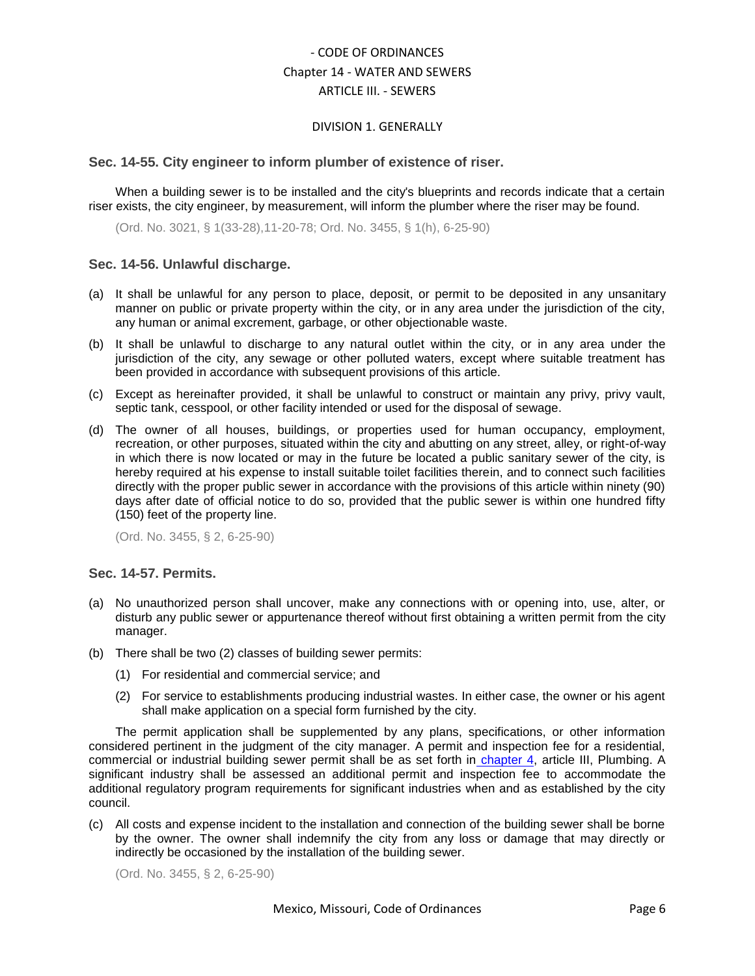#### DIVISION 1. GENERALLY

#### <span id="page-5-0"></span>**Sec. 14-55. City engineer to inform plumber of existence of riser.**

When a building sewer is to be installed and the city's blueprints and records indicate that a certain riser exists, the city engineer, by measurement, will inform the plumber where the riser may be found.

(Ord. No. 3021, § 1(33-28),11-20-78; Ord. No. 3455, § 1(h), 6-25-90)

#### <span id="page-5-1"></span>**Sec. 14-56. Unlawful discharge.**

- (a) It shall be unlawful for any person to place, deposit, or permit to be deposited in any unsanitary manner on public or private property within the city, or in any area under the jurisdiction of the city, any human or animal excrement, garbage, or other objectionable waste.
- (b) It shall be unlawful to discharge to any natural outlet within the city, or in any area under the jurisdiction of the city, any sewage or other polluted waters, except where suitable treatment has been provided in accordance with subsequent provisions of this article.
- (c) Except as hereinafter provided, it shall be unlawful to construct or maintain any privy, privy vault, septic tank, cesspool, or other facility intended or used for the disposal of sewage.
- (d) The owner of all houses, buildings, or properties used for human occupancy, employment, recreation, or other purposes, situated within the city and abutting on any street, alley, or right-of-way in which there is now located or may in the future be located a public sanitary sewer of the city, is hereby required at his expense to install suitable toilet facilities therein, and to connect such facilities directly with the proper public sewer in accordance with the provisions of this article within ninety (90) days after date of official notice to do so, provided that the public sewer is within one hundred fifty (150) feet of the property line.

(Ord. No. 3455, § 2, 6-25-90)

#### <span id="page-5-2"></span>**Sec. 14-57. Permits.**

- (a) No unauthorized person shall uncover, make any connections with or opening into, use, alter, or disturb any public sewer or appurtenance thereof without first obtaining a written permit from the city manager.
- (b) There shall be two (2) classes of building sewer permits:
	- (1) For residential and commercial service; and
	- (2) For service to establishments producing industrial wastes. In either case, the owner or his agent shall make application on a special form furnished by the city.

The permit application shall be supplemented by any plans, specifications, or other information considered pertinent in the judgment of the city manager. A permit and inspection fee for a residential, commercial or industrial building sewer permit shall be as set forth in [chapter 4,](../level2/COOR_CH4COMABU.docx#COOR_CH4COMABU) article III, Plumbing. A significant industry shall be assessed an additional permit and inspection fee to accommodate the additional regulatory program requirements for significant industries when and as established by the city council.

(c) All costs and expense incident to the installation and connection of the building sewer shall be borne by the owner. The owner shall indemnify the city from any loss or damage that may directly or indirectly be occasioned by the installation of the building sewer.

(Ord. No. 3455, § 2, 6-25-90)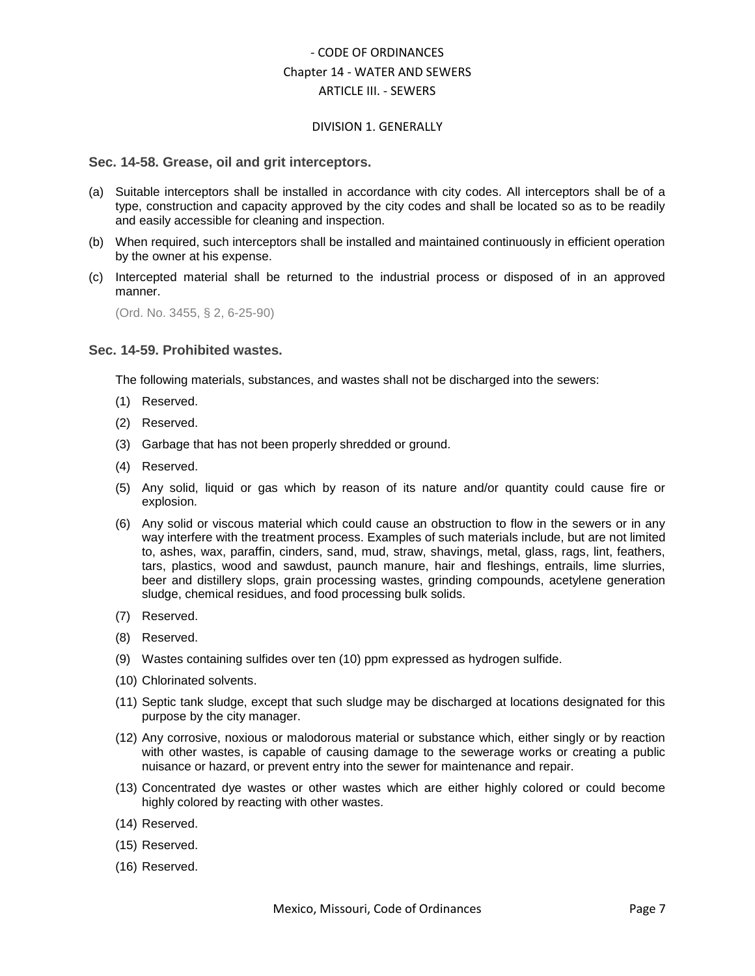#### DIVISION 1. GENERALLY

#### <span id="page-6-0"></span>**Sec. 14-58. Grease, oil and grit interceptors.**

- (a) Suitable interceptors shall be installed in accordance with city codes. All interceptors shall be of a type, construction and capacity approved by the city codes and shall be located so as to be readily and easily accessible for cleaning and inspection.
- (b) When required, such interceptors shall be installed and maintained continuously in efficient operation by the owner at his expense.
- (c) Intercepted material shall be returned to the industrial process or disposed of in an approved manner.

(Ord. No. 3455, § 2, 6-25-90)

#### <span id="page-6-1"></span>**Sec. 14-59. Prohibited wastes.**

The following materials, substances, and wastes shall not be discharged into the sewers:

- (1) Reserved.
- (2) Reserved.
- (3) Garbage that has not been properly shredded or ground.
- (4) Reserved.
- (5) Any solid, liquid or gas which by reason of its nature and/or quantity could cause fire or explosion.
- (6) Any solid or viscous material which could cause an obstruction to flow in the sewers or in any way interfere with the treatment process. Examples of such materials include, but are not limited to, ashes, wax, paraffin, cinders, sand, mud, straw, shavings, metal, glass, rags, lint, feathers, tars, plastics, wood and sawdust, paunch manure, hair and fleshings, entrails, lime slurries, beer and distillery slops, grain processing wastes, grinding compounds, acetylene generation sludge, chemical residues, and food processing bulk solids.
- (7) Reserved.
- (8) Reserved.
- (9) Wastes containing sulfides over ten (10) ppm expressed as hydrogen sulfide.
- (10) Chlorinated solvents.
- (11) Septic tank sludge, except that such sludge may be discharged at locations designated for this purpose by the city manager.
- (12) Any corrosive, noxious or malodorous material or substance which, either singly or by reaction with other wastes, is capable of causing damage to the sewerage works or creating a public nuisance or hazard, or prevent entry into the sewer for maintenance and repair.
- (13) Concentrated dye wastes or other wastes which are either highly colored or could become highly colored by reacting with other wastes.
- (14) Reserved.
- (15) Reserved.
- (16) Reserved.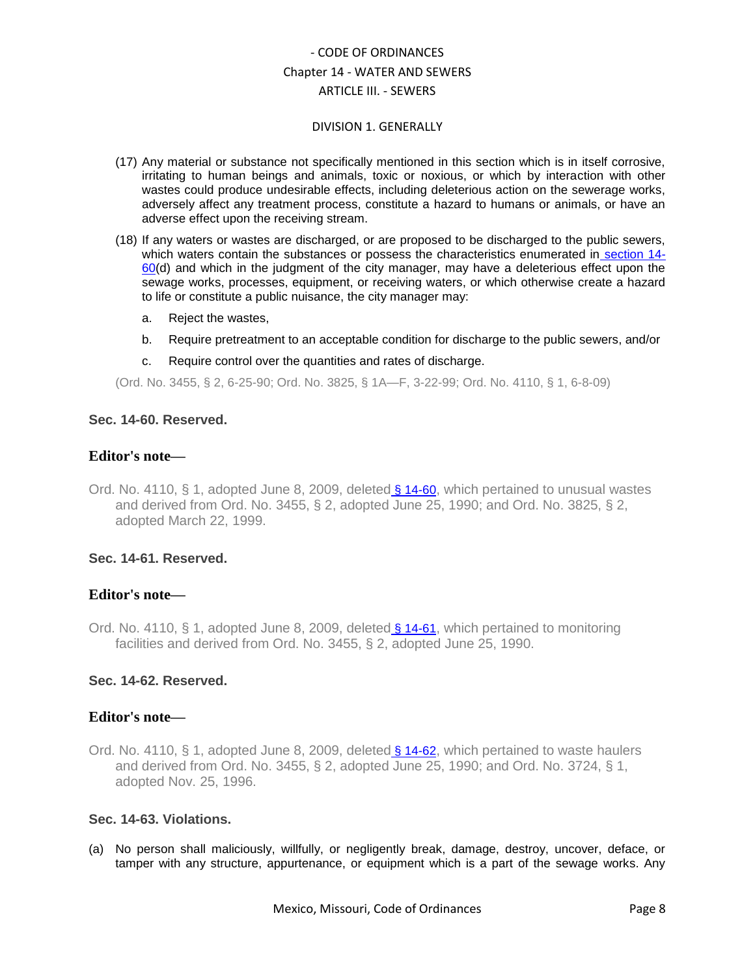#### DIVISION 1. GENERALLY

- (17) Any material or substance not specifically mentioned in this section which is in itself corrosive, irritating to human beings and animals, toxic or noxious, or which by interaction with other wastes could produce undesirable effects, including deleterious action on the sewerage works, adversely affect any treatment process, constitute a hazard to humans or animals, or have an adverse effect upon the receiving stream.
- (18) If any waters or wastes are discharged, or are proposed to be discharged to the public sewers, which waters contain the substances or possess the characteristics enumerated in [section 14-](../level4/COOR_CH14WASE_ARTIIISE_DIV1GE.docx#COOR_CH14WASE_ARTIIISE_DIV1GE_S14-60RE)  $60(d)$  $60(d)$  and which in the judgment of the city manager, may have a deleterious effect upon the sewage works, processes, equipment, or receiving waters, or which otherwise create a hazard to life or constitute a public nuisance, the city manager may:
	- a. Reject the wastes,
	- b. Require pretreatment to an acceptable condition for discharge to the public sewers, and/or
	- c. Require control over the quantities and rates of discharge.

(Ord. No. 3455, § 2, 6-25-90; Ord. No. 3825, § 1A—F, 3-22-99; Ord. No. 4110, § 1, 6-8-09)

### <span id="page-7-0"></span>**Sec. 14-60. Reserved.**

## **Editor's note—**

Ord. No. 4110, § 1, adopted June 8, 2009, deleted [§ 14-60](../level4/COOR_CH14WASE_ARTIIISE_DIV1GE.docx#COOR_CH14WASE_ARTIIISE_DIV1GE_S14-60RE), which pertained to unusual wastes and derived from Ord. No. 3455, § 2, adopted June 25, 1990; and Ord. No. 3825, § 2, adopted March 22, 1999.

## <span id="page-7-1"></span>**Sec. 14-61. Reserved.**

### **Editor's note—**

Ord. No. 4110, § 1, adopted June 8, 2009, deleted [§ 14-61](../level4/COOR_CH14WASE_ARTIIISE_DIV1GE.docx#COOR_CH14WASE_ARTIIISE_DIV1GE_S14-61RE), which pertained to monitoring facilities and derived from Ord. No. 3455, § 2, adopted June 25, 1990.

## <span id="page-7-2"></span>**Sec. 14-62. Reserved.**

### **Editor's note—**

Ord. No. 4110, § 1, adopted June 8, 2009, deleted [§ 14-62](../level4/COOR_CH14WASE_ARTIIISE_DIV1GE.docx#COOR_CH14WASE_ARTIIISE_DIV1GE_S14-62RE), which pertained to waste haulers and derived from Ord. No. 3455, § 2, adopted June 25, 1990; and Ord. No. 3724, § 1, adopted Nov. 25, 1996.

## <span id="page-7-3"></span>**Sec. 14-63. Violations.**

(a) No person shall maliciously, willfully, or negligently break, damage, destroy, uncover, deface, or tamper with any structure, appurtenance, or equipment which is a part of the sewage works. Any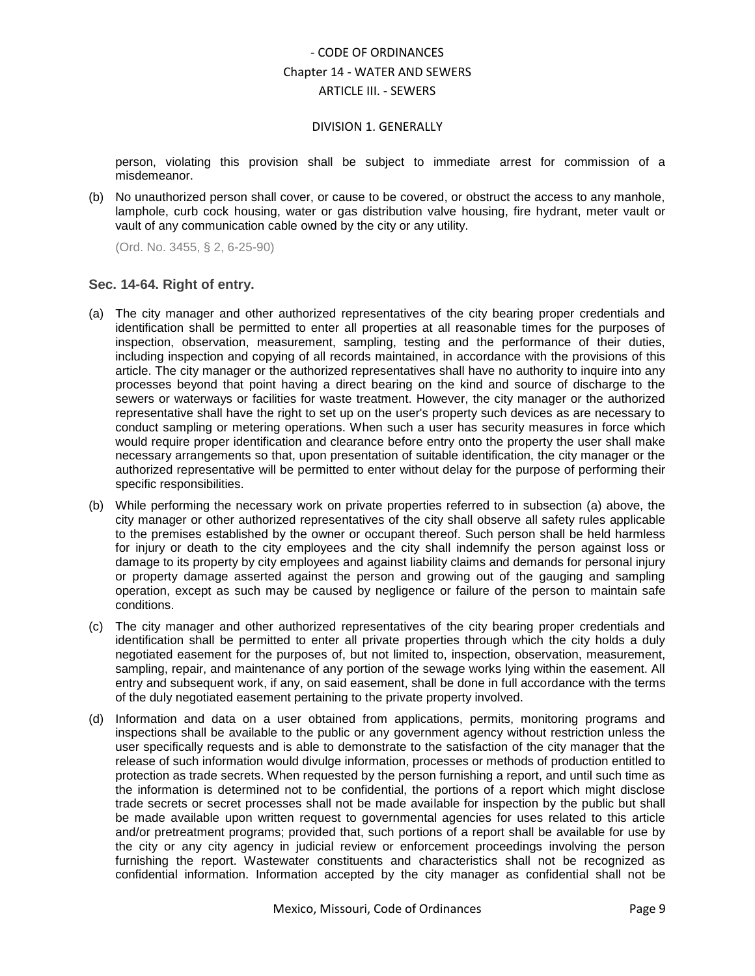#### DIVISION 1. GENERALLY

person, violating this provision shall be subject to immediate arrest for commission of a misdemeanor.

(b) No unauthorized person shall cover, or cause to be covered, or obstruct the access to any manhole, lamphole, curb cock housing, water or gas distribution valve housing, fire hydrant, meter vault or vault of any communication cable owned by the city or any utility.

(Ord. No. 3455, § 2, 6-25-90)

## <span id="page-8-0"></span>**Sec. 14-64. Right of entry.**

- (a) The city manager and other authorized representatives of the city bearing proper credentials and identification shall be permitted to enter all properties at all reasonable times for the purposes of inspection, observation, measurement, sampling, testing and the performance of their duties, including inspection and copying of all records maintained, in accordance with the provisions of this article. The city manager or the authorized representatives shall have no authority to inquire into any processes beyond that point having a direct bearing on the kind and source of discharge to the sewers or waterways or facilities for waste treatment. However, the city manager or the authorized representative shall have the right to set up on the user's property such devices as are necessary to conduct sampling or metering operations. When such a user has security measures in force which would require proper identification and clearance before entry onto the property the user shall make necessary arrangements so that, upon presentation of suitable identification, the city manager or the authorized representative will be permitted to enter without delay for the purpose of performing their specific responsibilities.
- (b) While performing the necessary work on private properties referred to in subsection (a) above, the city manager or other authorized representatives of the city shall observe all safety rules applicable to the premises established by the owner or occupant thereof. Such person shall be held harmless for injury or death to the city employees and the city shall indemnify the person against loss or damage to its property by city employees and against liability claims and demands for personal injury or property damage asserted against the person and growing out of the gauging and sampling operation, except as such may be caused by negligence or failure of the person to maintain safe conditions.
- (c) The city manager and other authorized representatives of the city bearing proper credentials and identification shall be permitted to enter all private properties through which the city holds a duly negotiated easement for the purposes of, but not limited to, inspection, observation, measurement, sampling, repair, and maintenance of any portion of the sewage works lying within the easement. All entry and subsequent work, if any, on said easement, shall be done in full accordance with the terms of the duly negotiated easement pertaining to the private property involved.
- (d) Information and data on a user obtained from applications, permits, monitoring programs and inspections shall be available to the public or any government agency without restriction unless the user specifically requests and is able to demonstrate to the satisfaction of the city manager that the release of such information would divulge information, processes or methods of production entitled to protection as trade secrets. When requested by the person furnishing a report, and until such time as the information is determined not to be confidential, the portions of a report which might disclose trade secrets or secret processes shall not be made available for inspection by the public but shall be made available upon written request to governmental agencies for uses related to this article and/or pretreatment programs; provided that, such portions of a report shall be available for use by the city or any city agency in judicial review or enforcement proceedings involving the person furnishing the report. Wastewater constituents and characteristics shall not be recognized as confidential information. Information accepted by the city manager as confidential shall not be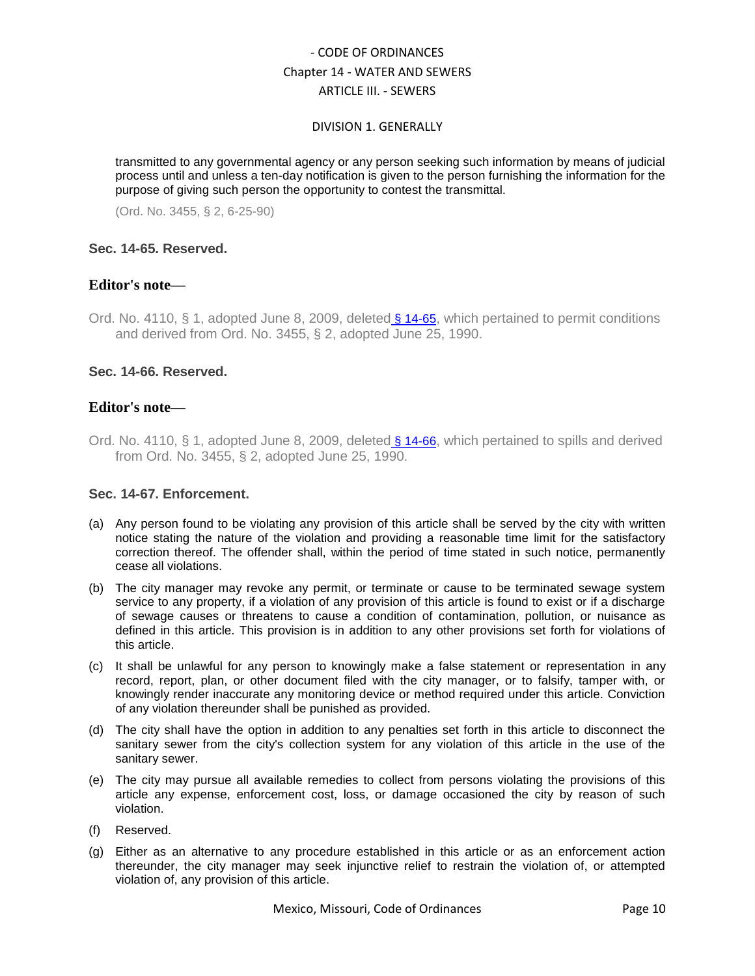#### DIVISION 1. GENERALLY

transmitted to any governmental agency or any person seeking such information by means of judicial process until and unless a ten-day notification is given to the person furnishing the information for the purpose of giving such person the opportunity to contest the transmittal.

(Ord. No. 3455, § 2, 6-25-90)

### <span id="page-9-0"></span>**Sec. 14-65. Reserved.**

## **Editor's note—**

Ord. No. 4110, § 1, adopted June 8, 2009, deleted [§ 14-65](../level4/COOR_CH14WASE_ARTIIISE_DIV1GE.docx#COOR_CH14WASE_ARTIIISE_DIV1GE_S14-65RE), which pertained to permit conditions and derived from Ord. No. 3455, § 2, adopted June 25, 1990.

## <span id="page-9-1"></span>**Sec. 14-66. Reserved.**

## **Editor's note—**

Ord. No. 4110, § 1, adopted June 8, 2009, deleted [§ 14-66](../level4/COOR_CH14WASE_ARTIIISE_DIV1GE.docx#COOR_CH14WASE_ARTIIISE_DIV1GE_S14-66RE), which pertained to spills and derived from Ord. No. 3455, § 2, adopted June 25, 1990.

## <span id="page-9-2"></span>**Sec. 14-67. Enforcement.**

- (a) Any person found to be violating any provision of this article shall be served by the city with written notice stating the nature of the violation and providing a reasonable time limit for the satisfactory correction thereof. The offender shall, within the period of time stated in such notice, permanently cease all violations.
- (b) The city manager may revoke any permit, or terminate or cause to be terminated sewage system service to any property, if a violation of any provision of this article is found to exist or if a discharge of sewage causes or threatens to cause a condition of contamination, pollution, or nuisance as defined in this article. This provision is in addition to any other provisions set forth for violations of this article.
- (c) It shall be unlawful for any person to knowingly make a false statement or representation in any record, report, plan, or other document filed with the city manager, or to falsify, tamper with, or knowingly render inaccurate any monitoring device or method required under this article. Conviction of any violation thereunder shall be punished as provided.
- (d) The city shall have the option in addition to any penalties set forth in this article to disconnect the sanitary sewer from the city's collection system for any violation of this article in the use of the sanitary sewer.
- (e) The city may pursue all available remedies to collect from persons violating the provisions of this article any expense, enforcement cost, loss, or damage occasioned the city by reason of such violation.
- (f) Reserved.
- (g) Either as an alternative to any procedure established in this article or as an enforcement action thereunder, the city manager may seek injunctive relief to restrain the violation of, or attempted violation of, any provision of this article.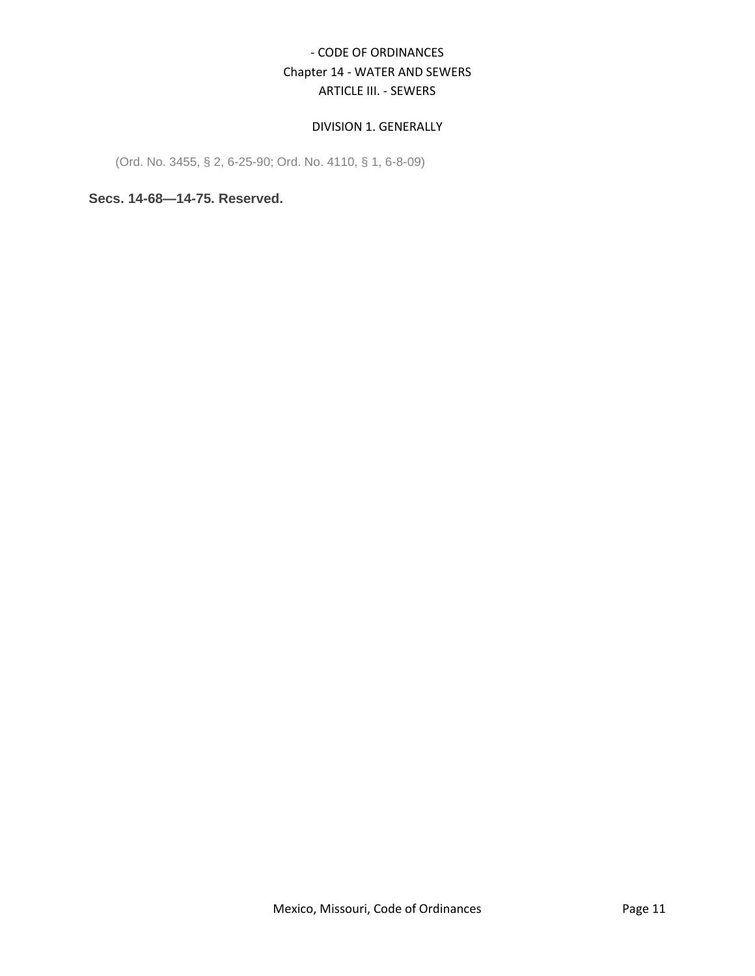## DIVISION 1. GENERALLY

(Ord. No. 3455, § 2, 6-25-90; Ord. No. 4110, § 1, 6-8-09)

<span id="page-10-0"></span>**Secs. 14-68—14-75. Reserved.**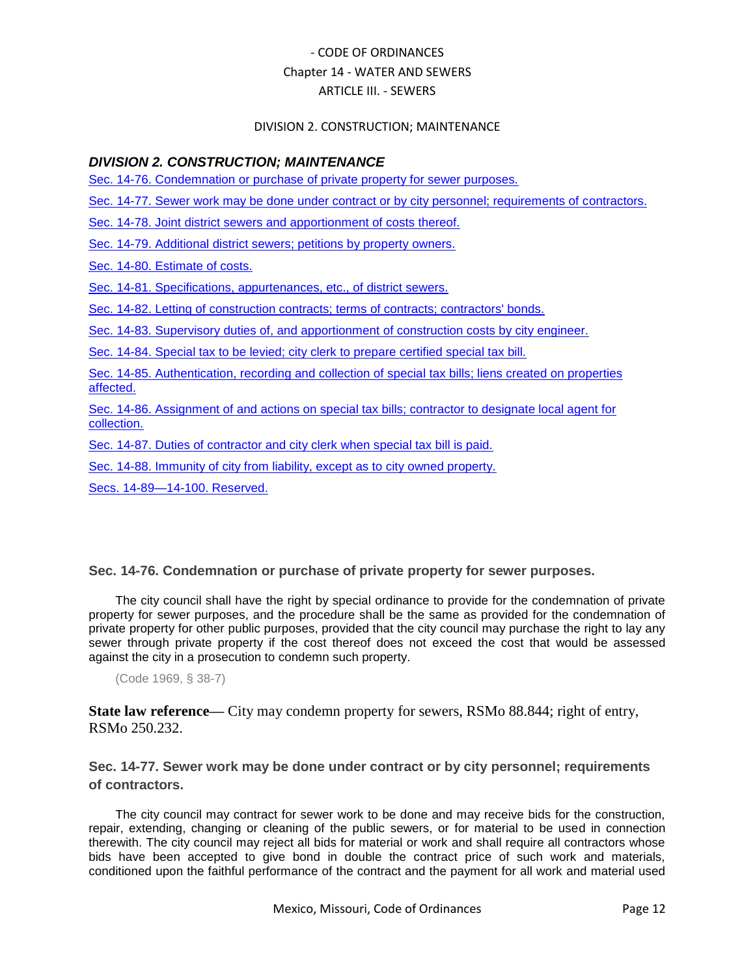### DIVISION 2. CONSTRUCTION; MAINTENANCE

## *DIVISION 2. CONSTRUCTION; MAINTENANCE*

[Sec. 14-76. Condemnation or purchase of private property for sewer purposes.](#page-11-0)

[Sec. 14-77. Sewer work may be done under contract or by city personnel; requirements of contractors.](#page-11-1)

[Sec. 14-78. Joint district sewers and apportionment of costs thereof.](#page-12-0)

[Sec. 14-79. Additional district sewers; petitions by property owners.](#page-12-1)

[Sec. 14-80. Estimate of costs.](#page-12-2)

[Sec. 14-81. Specifications, appurtenances, etc., of district sewers.](#page-13-0)

[Sec. 14-82. Letting of construction contracts; terms of contracts; contractors' bonds.](#page-13-1)

[Sec. 14-83. Supervisory duties of, and apportionment of construction costs by city engineer.](#page-13-2)

[Sec. 14-84. Special tax to be levied; city clerk to prepare certified special tax bill.](#page-13-3)

[Sec. 14-85. Authentication, recording and collection of special tax bills; liens created on properties](#page-14-0)  [affected.](#page-14-0)

[Sec. 14-86. Assignment of and actions on special tax bills; contractor to designate local agent for](#page-14-1)  [collection.](#page-14-1)

[Sec. 14-87. Duties of contractor and city clerk when special tax bill is paid.](#page-15-0)

[Sec. 14-88. Immunity of city from liability, except as to city owned property.](#page-15-1)

[Secs. 14-89—14-100. Reserved.](#page-15-2)

## <span id="page-11-0"></span>**Sec. 14-76. Condemnation or purchase of private property for sewer purposes.**

The city council shall have the right by special ordinance to provide for the condemnation of private property for sewer purposes, and the procedure shall be the same as provided for the condemnation of private property for other public purposes, provided that the city council may purchase the right to lay any sewer through private property if the cost thereof does not exceed the cost that would be assessed against the city in a prosecution to condemn such property.

(Code 1969, § 38-7)

**State law reference—** City may condemn property for sewers, RSMo 88.844; right of entry, RSMo 250.232.

<span id="page-11-1"></span>**Sec. 14-77. Sewer work may be done under contract or by city personnel; requirements of contractors.**

The city council may contract for sewer work to be done and may receive bids for the construction, repair, extending, changing or cleaning of the public sewers, or for material to be used in connection therewith. The city council may reject all bids for material or work and shall require all contractors whose bids have been accepted to give bond in double the contract price of such work and materials, conditioned upon the faithful performance of the contract and the payment for all work and material used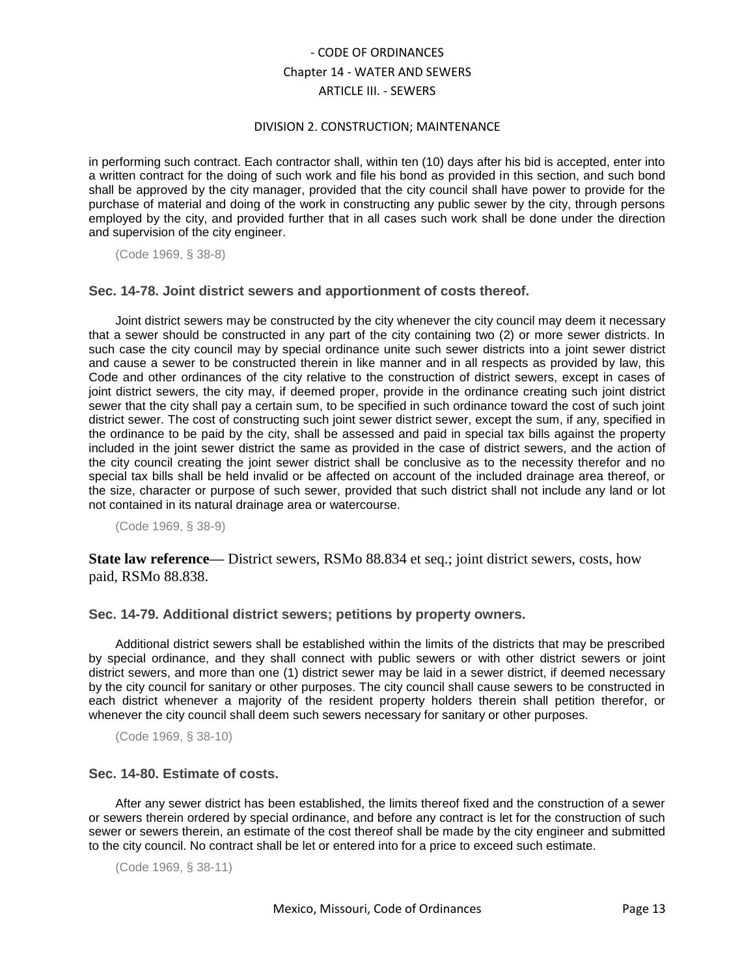#### DIVISION 2. CONSTRUCTION; MAINTENANCE

in performing such contract. Each contractor shall, within ten (10) days after his bid is accepted, enter into a written contract for the doing of such work and file his bond as provided in this section, and such bond shall be approved by the city manager, provided that the city council shall have power to provide for the purchase of material and doing of the work in constructing any public sewer by the city, through persons employed by the city, and provided further that in all cases such work shall be done under the direction and supervision of the city engineer.

(Code 1969, § 38-8)

### <span id="page-12-0"></span>**Sec. 14-78. Joint district sewers and apportionment of costs thereof.**

Joint district sewers may be constructed by the city whenever the city council may deem it necessary that a sewer should be constructed in any part of the city containing two (2) or more sewer districts. In such case the city council may by special ordinance unite such sewer districts into a joint sewer district and cause a sewer to be constructed therein in like manner and in all respects as provided by law, this Code and other ordinances of the city relative to the construction of district sewers, except in cases of joint district sewers, the city may, if deemed proper, provide in the ordinance creating such joint district sewer that the city shall pay a certain sum, to be specified in such ordinance toward the cost of such joint district sewer. The cost of constructing such joint sewer district sewer, except the sum, if any, specified in the ordinance to be paid by the city, shall be assessed and paid in special tax bills against the property included in the joint sewer district the same as provided in the case of district sewers, and the action of the city council creating the joint sewer district shall be conclusive as to the necessity therefor and no special tax bills shall be held invalid or be affected on account of the included drainage area thereof, or the size, character or purpose of such sewer, provided that such district shall not include any land or lot not contained in its natural drainage area or watercourse.

(Code 1969, § 38-9)

**State law reference—** District sewers, RSMo 88.834 et seq.; joint district sewers, costs, how paid, RSMo 88.838.

### <span id="page-12-1"></span>**Sec. 14-79. Additional district sewers; petitions by property owners.**

Additional district sewers shall be established within the limits of the districts that may be prescribed by special ordinance, and they shall connect with public sewers or with other district sewers or joint district sewers, and more than one (1) district sewer may be laid in a sewer district, if deemed necessary by the city council for sanitary or other purposes. The city council shall cause sewers to be constructed in each district whenever a majority of the resident property holders therein shall petition therefor, or whenever the city council shall deem such sewers necessary for sanitary or other purposes.

(Code 1969, § 38-10)

### <span id="page-12-2"></span>**Sec. 14-80. Estimate of costs.**

After any sewer district has been established, the limits thereof fixed and the construction of a sewer or sewers therein ordered by special ordinance, and before any contract is let for the construction of such sewer or sewers therein, an estimate of the cost thereof shall be made by the city engineer and submitted to the city council. No contract shall be let or entered into for a price to exceed such estimate.

(Code 1969, § 38-11)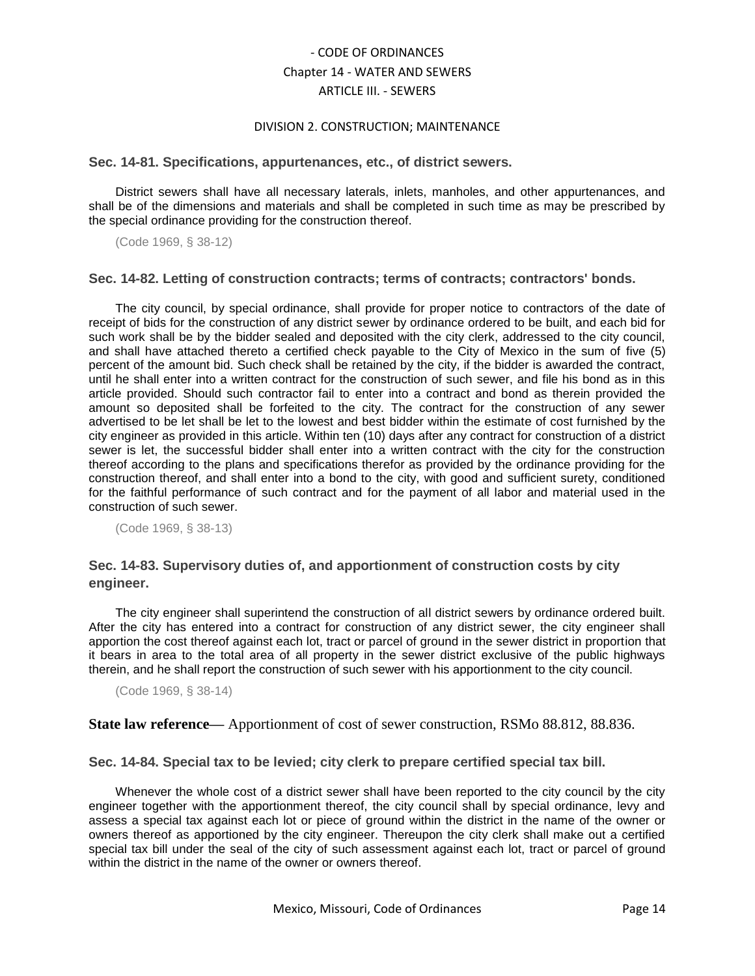#### DIVISION 2. CONSTRUCTION; MAINTENANCE

#### <span id="page-13-0"></span>**Sec. 14-81. Specifications, appurtenances, etc., of district sewers.**

District sewers shall have all necessary laterals, inlets, manholes, and other appurtenances, and shall be of the dimensions and materials and shall be completed in such time as may be prescribed by the special ordinance providing for the construction thereof.

(Code 1969, § 38-12)

### <span id="page-13-1"></span>**Sec. 14-82. Letting of construction contracts; terms of contracts; contractors' bonds.**

The city council, by special ordinance, shall provide for proper notice to contractors of the date of receipt of bids for the construction of any district sewer by ordinance ordered to be built, and each bid for such work shall be by the bidder sealed and deposited with the city clerk, addressed to the city council, and shall have attached thereto a certified check payable to the City of Mexico in the sum of five (5) percent of the amount bid. Such check shall be retained by the city, if the bidder is awarded the contract, until he shall enter into a written contract for the construction of such sewer, and file his bond as in this article provided. Should such contractor fail to enter into a contract and bond as therein provided the amount so deposited shall be forfeited to the city. The contract for the construction of any sewer advertised to be let shall be let to the lowest and best bidder within the estimate of cost furnished by the city engineer as provided in this article. Within ten (10) days after any contract for construction of a district sewer is let, the successful bidder shall enter into a written contract with the city for the construction thereof according to the plans and specifications therefor as provided by the ordinance providing for the construction thereof, and shall enter into a bond to the city, with good and sufficient surety, conditioned for the faithful performance of such contract and for the payment of all labor and material used in the construction of such sewer.

(Code 1969, § 38-13)

## <span id="page-13-2"></span>**Sec. 14-83. Supervisory duties of, and apportionment of construction costs by city engineer.**

The city engineer shall superintend the construction of all district sewers by ordinance ordered built. After the city has entered into a contract for construction of any district sewer, the city engineer shall apportion the cost thereof against each lot, tract or parcel of ground in the sewer district in proportion that it bears in area to the total area of all property in the sewer district exclusive of the public highways therein, and he shall report the construction of such sewer with his apportionment to the city council.

(Code 1969, § 38-14)

**State law reference—** Apportionment of cost of sewer construction, RSMo 88.812, 88.836.

### <span id="page-13-3"></span>**Sec. 14-84. Special tax to be levied; city clerk to prepare certified special tax bill.**

Whenever the whole cost of a district sewer shall have been reported to the city council by the city engineer together with the apportionment thereof, the city council shall by special ordinance, levy and assess a special tax against each lot or piece of ground within the district in the name of the owner or owners thereof as apportioned by the city engineer. Thereupon the city clerk shall make out a certified special tax bill under the seal of the city of such assessment against each lot, tract or parcel of ground within the district in the name of the owner or owners thereof.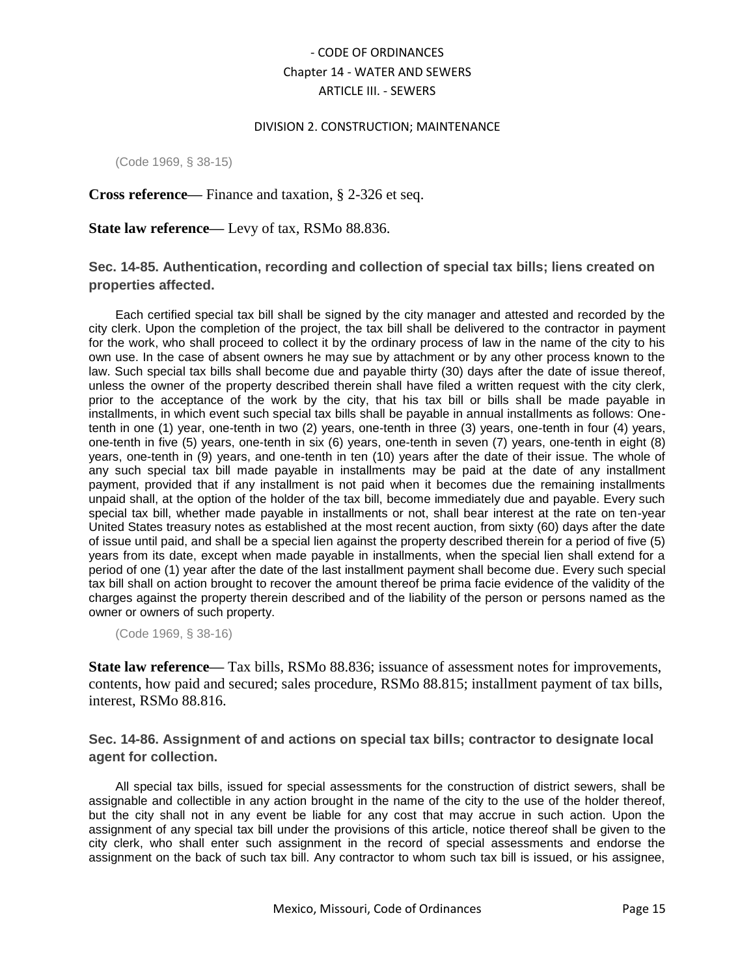#### DIVISION 2. CONSTRUCTION; MAINTENANCE

(Code 1969, § 38-15)

### **Cross reference—** Finance and taxation, § 2-326 et seq.

**State law reference—** Levy of tax, RSMo 88.836.

## <span id="page-14-0"></span>**Sec. 14-85. Authentication, recording and collection of special tax bills; liens created on properties affected.**

Each certified special tax bill shall be signed by the city manager and attested and recorded by the city clerk. Upon the completion of the project, the tax bill shall be delivered to the contractor in payment for the work, who shall proceed to collect it by the ordinary process of law in the name of the city to his own use. In the case of absent owners he may sue by attachment or by any other process known to the law. Such special tax bills shall become due and payable thirty (30) days after the date of issue thereof, unless the owner of the property described therein shall have filed a written request with the city clerk, prior to the acceptance of the work by the city, that his tax bill or bills shall be made payable in installments, in which event such special tax bills shall be payable in annual installments as follows: Onetenth in one (1) year, one-tenth in two (2) years, one-tenth in three (3) years, one-tenth in four (4) years, one-tenth in five (5) years, one-tenth in six (6) years, one-tenth in seven (7) years, one-tenth in eight (8) years, one-tenth in (9) years, and one-tenth in ten (10) years after the date of their issue. The whole of any such special tax bill made payable in installments may be paid at the date of any installment payment, provided that if any installment is not paid when it becomes due the remaining installments unpaid shall, at the option of the holder of the tax bill, become immediately due and payable. Every such special tax bill, whether made payable in installments or not, shall bear interest at the rate on ten-year United States treasury notes as established at the most recent auction, from sixty (60) days after the date of issue until paid, and shall be a special lien against the property described therein for a period of five (5) years from its date, except when made payable in installments, when the special lien shall extend for a period of one (1) year after the date of the last installment payment shall become due. Every such special tax bill shall on action brought to recover the amount thereof be prima facie evidence of the validity of the charges against the property therein described and of the liability of the person or persons named as the owner or owners of such property.

(Code 1969, § 38-16)

**State law reference—** Tax bills, RSMo 88.836; issuance of assessment notes for improvements, contents, how paid and secured; sales procedure, RSMo 88.815; installment payment of tax bills, interest, RSMo 88.816.

<span id="page-14-1"></span>**Sec. 14-86. Assignment of and actions on special tax bills; contractor to designate local agent for collection.**

All special tax bills, issued for special assessments for the construction of district sewers, shall be assignable and collectible in any action brought in the name of the city to the use of the holder thereof, but the city shall not in any event be liable for any cost that may accrue in such action. Upon the assignment of any special tax bill under the provisions of this article, notice thereof shall be given to the city clerk, who shall enter such assignment in the record of special assessments and endorse the assignment on the back of such tax bill. Any contractor to whom such tax bill is issued, or his assignee,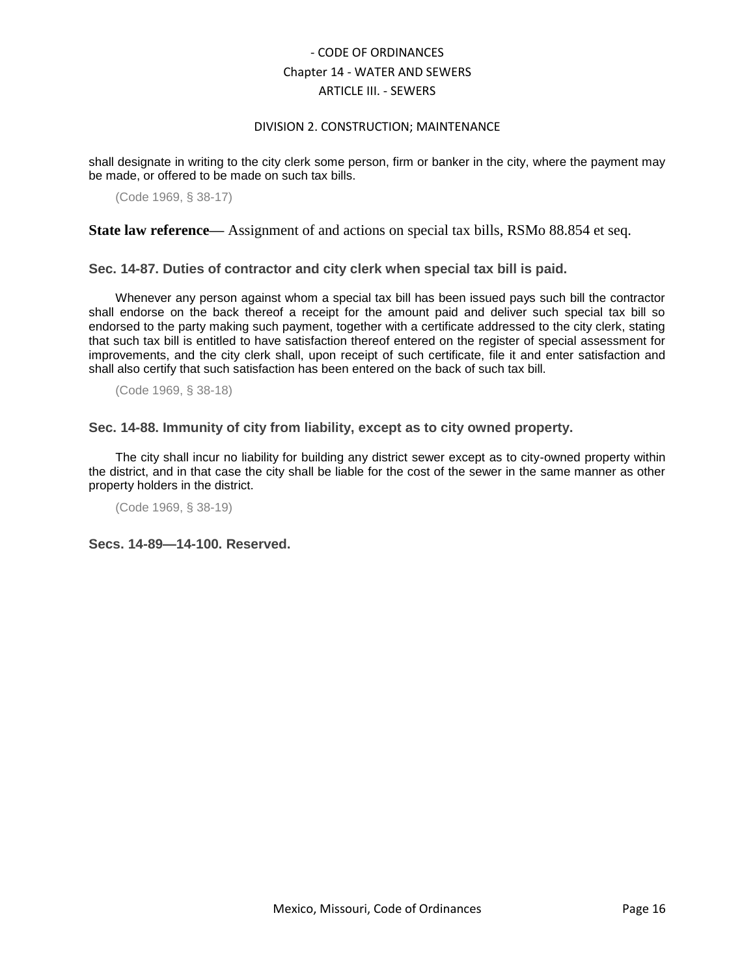#### DIVISION 2. CONSTRUCTION; MAINTENANCE

shall designate in writing to the city clerk some person, firm or banker in the city, where the payment may be made, or offered to be made on such tax bills.

(Code 1969, § 38-17)

**State law reference—** Assignment of and actions on special tax bills, RSMo 88.854 et seq.

<span id="page-15-0"></span>**Sec. 14-87. Duties of contractor and city clerk when special tax bill is paid.**

Whenever any person against whom a special tax bill has been issued pays such bill the contractor shall endorse on the back thereof a receipt for the amount paid and deliver such special tax bill so endorsed to the party making such payment, together with a certificate addressed to the city clerk, stating that such tax bill is entitled to have satisfaction thereof entered on the register of special assessment for improvements, and the city clerk shall, upon receipt of such certificate, file it and enter satisfaction and shall also certify that such satisfaction has been entered on the back of such tax bill.

(Code 1969, § 38-18)

<span id="page-15-1"></span>**Sec. 14-88. Immunity of city from liability, except as to city owned property.**

The city shall incur no liability for building any district sewer except as to city-owned property within the district, and in that case the city shall be liable for the cost of the sewer in the same manner as other property holders in the district.

(Code 1969, § 38-19)

<span id="page-15-2"></span>**Secs. 14-89—14-100. Reserved.**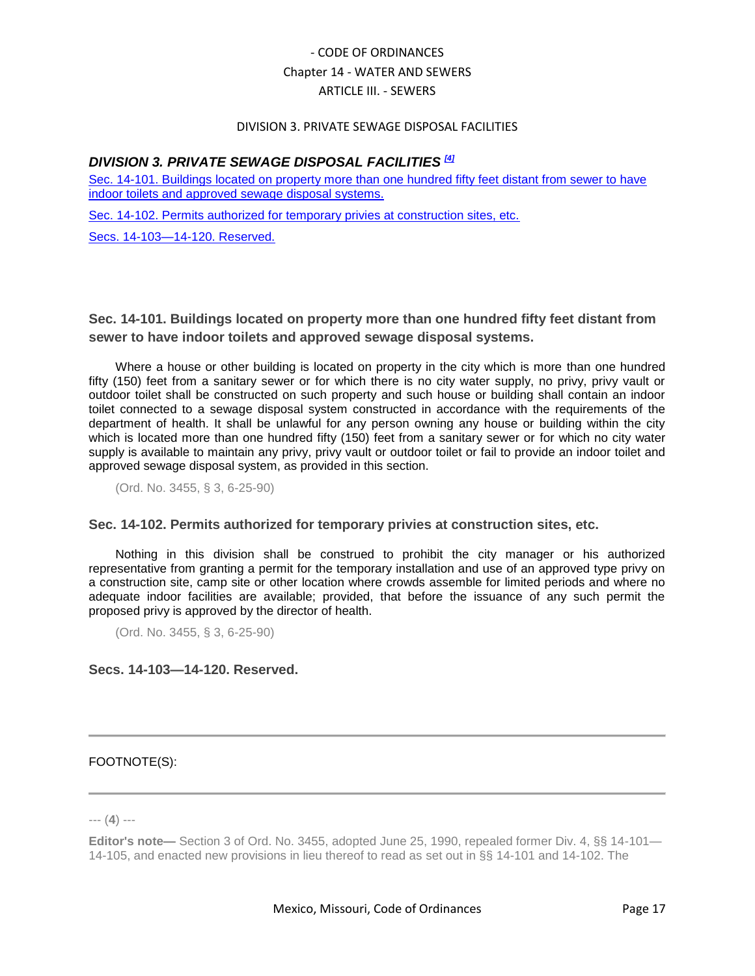#### DIVISION 3. PRIVATE SEWAGE DISPOSAL FACILITIES

## *DIVISION 3. PRIVATE SEWAGE DISPOSAL FACILITIES [4]*

[Sec. 14-101. Buildings located on property more than one hundred fifty feet distant from sewer to have](#page-16-0)  [indoor toilets and approved sewage disposal systems.](#page-16-0)

[Sec. 14-102. Permits authorized for temporary privies at construction sites, etc.](#page-16-1)

[Secs. 14-103—14-120. Reserved.](#page-16-2)

<span id="page-16-0"></span>**Sec. 14-101. Buildings located on property more than one hundred fifty feet distant from sewer to have indoor toilets and approved sewage disposal systems.**

Where a house or other building is located on property in the city which is more than one hundred fifty (150) feet from a sanitary sewer or for which there is no city water supply, no privy, privy vault or outdoor toilet shall be constructed on such property and such house or building shall contain an indoor toilet connected to a sewage disposal system constructed in accordance with the requirements of the department of health. It shall be unlawful for any person owning any house or building within the city which is located more than one hundred fifty (150) feet from a sanitary sewer or for which no city water supply is available to maintain any privy, privy vault or outdoor toilet or fail to provide an indoor toilet and approved sewage disposal system, as provided in this section.

(Ord. No. 3455, § 3, 6-25-90)

### <span id="page-16-1"></span>**Sec. 14-102. Permits authorized for temporary privies at construction sites, etc.**

Nothing in this division shall be construed to prohibit the city manager or his authorized representative from granting a permit for the temporary installation and use of an approved type privy on a construction site, camp site or other location where crowds assemble for limited periods and where no adequate indoor facilities are available; provided, that before the issuance of any such permit the proposed privy is approved by the director of health.

(Ord. No. 3455, § 3, 6-25-90)

## <span id="page-16-2"></span>**Secs. 14-103—14-120. Reserved.**

### FOOTNOTE(S):

--- (**4**) ---

**Editor's note—** Section 3 of Ord. No. 3455, adopted June 25, 1990, repealed former Div. 4, §§ 14-101— 14-105, and enacted new provisions in lieu thereof to read as set out in §§ 14-101 and 14-102. The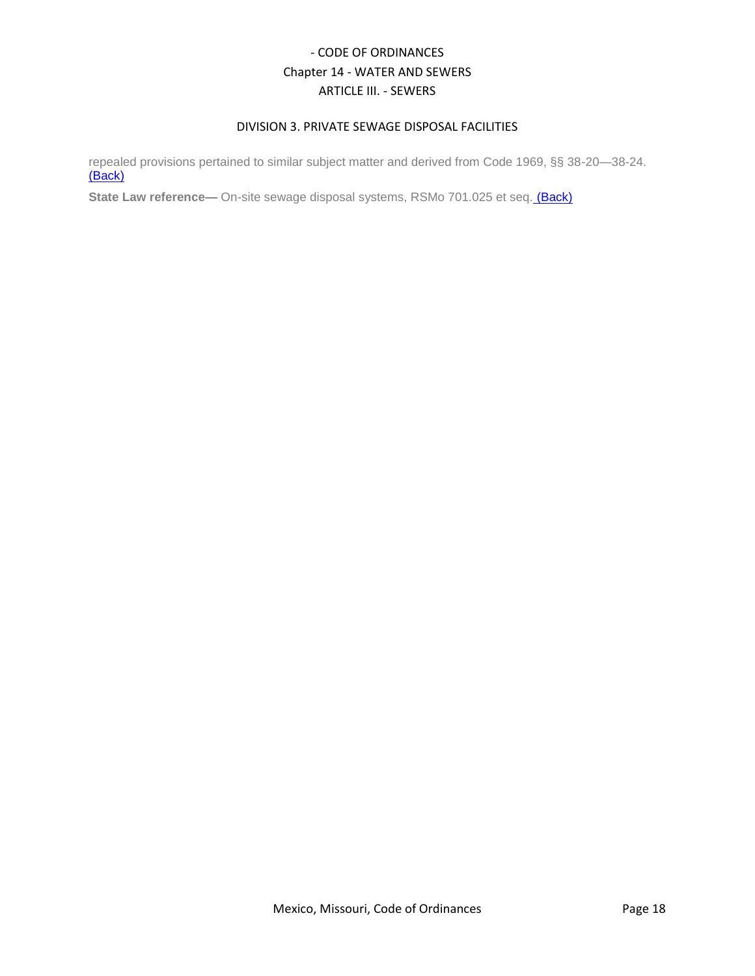## DIVISION 3. PRIVATE SEWAGE DISPOSAL FACILITIES

repealed provisions pertained to similar subject matter and derived from Code 1969, §§ 38-20—38-24. (Back)

**State Law reference—** On-site sewage disposal systems, RSMo 701.025 et seq. (Back)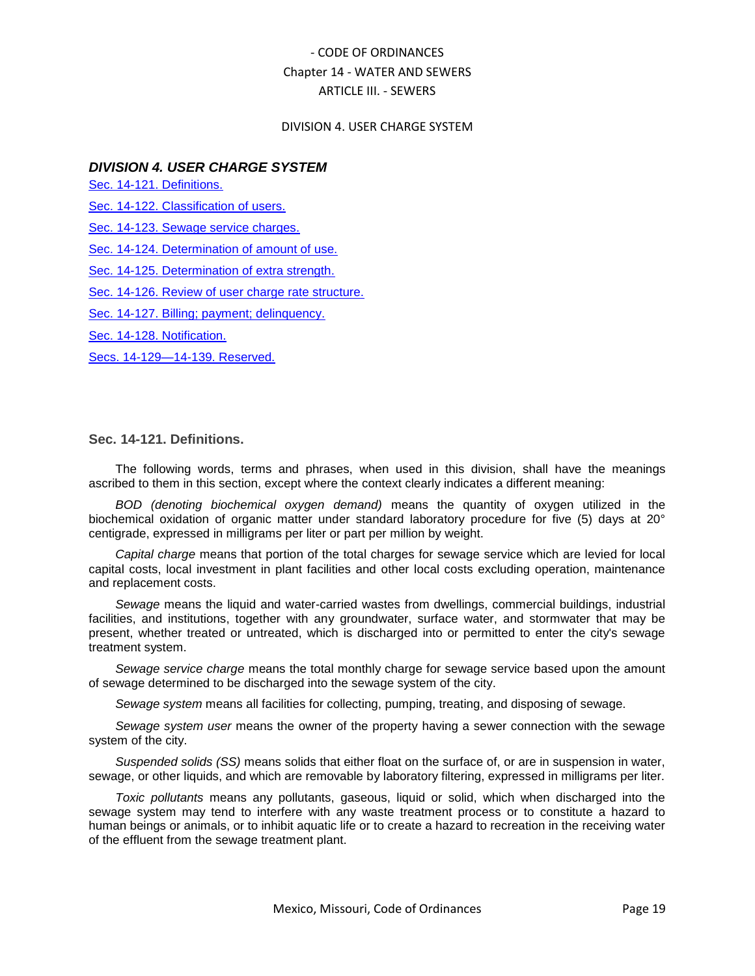#### DIVISION 4. USER CHARGE SYSTEM

## *DIVISION 4. USER CHARGE SYSTEM*

[Sec. 14-121. Definitions.](#page-18-0)

[Sec. 14-122. Classification of users.](#page-19-0)

[Sec. 14-123. Sewage service charges.](#page-19-1)

[Sec. 14-124. Determination of amount of use.](#page-21-0)

[Sec. 14-125. Determination of extra strength.](#page-21-1)

[Sec. 14-126. Review of user charge rate structure.](#page-21-2)

[Sec. 14-127. Billing; payment; delinquency.](#page-22-0)

[Sec. 14-128. Notification.](#page-22-1)

[Secs. 14-129—14-139. Reserved.](#page-22-2)

#### <span id="page-18-0"></span>**Sec. 14-121. Definitions.**

The following words, terms and phrases, when used in this division, shall have the meanings ascribed to them in this section, except where the context clearly indicates a different meaning:

*BOD (denoting biochemical oxygen demand)* means the quantity of oxygen utilized in the biochemical oxidation of organic matter under standard laboratory procedure for five (5) days at 20° centigrade, expressed in milligrams per liter or part per million by weight.

*Capital charge* means that portion of the total charges for sewage service which are levied for local capital costs, local investment in plant facilities and other local costs excluding operation, maintenance and replacement costs.

*Sewage* means the liquid and water-carried wastes from dwellings, commercial buildings, industrial facilities, and institutions, together with any groundwater, surface water, and stormwater that may be present, whether treated or untreated, which is discharged into or permitted to enter the city's sewage treatment system.

*Sewage service charge* means the total monthly charge for sewage service based upon the amount of sewage determined to be discharged into the sewage system of the city.

*Sewage system* means all facilities for collecting, pumping, treating, and disposing of sewage.

*Sewage system user* means the owner of the property having a sewer connection with the sewage system of the city.

*Suspended solids (SS)* means solids that either float on the surface of, or are in suspension in water, sewage, or other liquids, and which are removable by laboratory filtering, expressed in milligrams per liter.

*Toxic pollutants* means any pollutants, gaseous, liquid or solid, which when discharged into the sewage system may tend to interfere with any waste treatment process or to constitute a hazard to human beings or animals, or to inhibit aquatic life or to create a hazard to recreation in the receiving water of the effluent from the sewage treatment plant.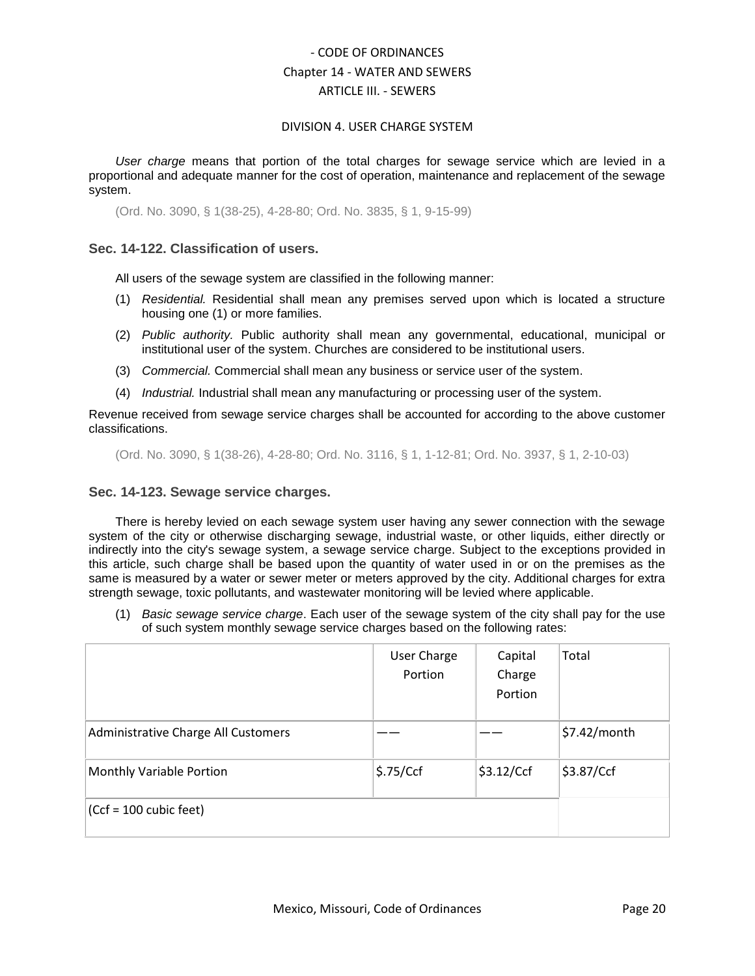#### DIVISION 4. USER CHARGE SYSTEM

*User charge* means that portion of the total charges for sewage service which are levied in a proportional and adequate manner for the cost of operation, maintenance and replacement of the sewage system.

(Ord. No. 3090, § 1(38-25), 4-28-80; Ord. No. 3835, § 1, 9-15-99)

## <span id="page-19-0"></span>**Sec. 14-122. Classification of users.**

All users of the sewage system are classified in the following manner:

- (1) *Residential.* Residential shall mean any premises served upon which is located a structure housing one (1) or more families.
- (2) *Public authority.* Public authority shall mean any governmental, educational, municipal or institutional user of the system. Churches are considered to be institutional users.
- (3) *Commercial.* Commercial shall mean any business or service user of the system.
- (4) *Industrial.* Industrial shall mean any manufacturing or processing user of the system.

Revenue received from sewage service charges shall be accounted for according to the above customer classifications.

(Ord. No. 3090, § 1(38-26), 4-28-80; Ord. No. 3116, § 1, 1-12-81; Ord. No. 3937, § 1, 2-10-03)

### <span id="page-19-1"></span>**Sec. 14-123. Sewage service charges.**

There is hereby levied on each sewage system user having any sewer connection with the sewage system of the city or otherwise discharging sewage, industrial waste, or other liquids, either directly or indirectly into the city's sewage system, a sewage service charge. Subject to the exceptions provided in this article, such charge shall be based upon the quantity of water used in or on the premises as the same is measured by a water or sewer meter or meters approved by the city. Additional charges for extra strength sewage, toxic pollutants, and wastewater monitoring will be levied where applicable.

(1) *Basic sewage service charge*. Each user of the sewage system of the city shall pay for the use of such system monthly sewage service charges based on the following rates:

|                                     | User Charge<br>Portion | Capital<br>Charge<br>Portion | Total        |
|-------------------------------------|------------------------|------------------------------|--------------|
| Administrative Charge All Customers |                        |                              | \$7.42/month |
| Monthly Variable Portion            | \$.75/Ccf              | \$3.12/Ccf                   | \$3.87/Ccf   |
| $(Ccf = 100$ cubic feet)            |                        |                              |              |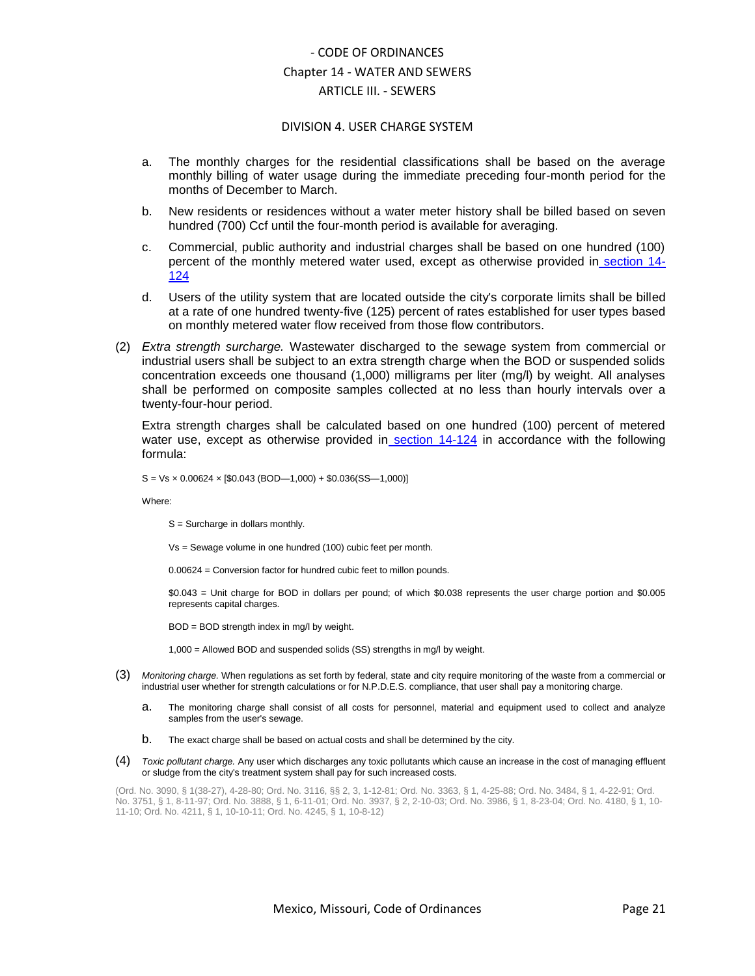#### DIVISION 4. USER CHARGE SYSTEM

- a. The monthly charges for the residential classifications shall be based on the average monthly billing of water usage during the immediate preceding four-month period for the months of December to March.
- b. New residents or residences without a water meter history shall be billed based on seven hundred (700) Ccf until the four-month period is available for averaging.
- c. Commercial, public authority and industrial charges shall be based on one hundred (100) percent of the monthly metered water used, except as otherwise provided in [section 14-](../level4/COOR_CH14WASE_ARTIIISE_DIV4USCHSY.docx#COOR_CH14WASE_ARTIIISE_DIV4USCHSY_S14-124DEAMUS) [124](../level4/COOR_CH14WASE_ARTIIISE_DIV4USCHSY.docx#COOR_CH14WASE_ARTIIISE_DIV4USCHSY_S14-124DEAMUS)
- d. Users of the utility system that are located outside the city's corporate limits shall be billed at a rate of one hundred twenty-five (125) percent of rates established for user types based on monthly metered water flow received from those flow contributors.
- (2) *Extra strength surcharge.* Wastewater discharged to the sewage system from commercial or industrial users shall be subject to an extra strength charge when the BOD or suspended solids concentration exceeds one thousand (1,000) milligrams per liter (mg/l) by weight. All analyses shall be performed on composite samples collected at no less than hourly intervals over a twenty-four-hour period.

Extra strength charges shall be calculated based on one hundred (100) percent of metered water use, except as otherwise provided in [section 14-124](../level4/COOR_CH14WASE_ARTIIISE_DIV4USCHSY.docx#COOR_CH14WASE_ARTIIISE_DIV4USCHSY_S14-124DEAMUS) in accordance with the following formula:

 $S = Vs \times 0.00624 \times [$0.043 (BOD-1,000) + $0.036(SS-1,000)]$ 

Where:

S = Surcharge in dollars monthly.

Vs = Sewage volume in one hundred (100) cubic feet per month.

0.00624 = Conversion factor for hundred cubic feet to millon pounds.

\$0.043 = Unit charge for BOD in dollars per pound; of which \$0.038 represents the user charge portion and \$0.005 represents capital charges.

BOD = BOD strength index in mg/l by weight.

1,000 = Allowed BOD and suspended solids (SS) strengths in mg/l by weight.

- (3) *Monitoring charge.* When regulations as set forth by federal, state and city require monitoring of the waste from a commercial or industrial user whether for strength calculations or for N.P.D.E.S. compliance, that user shall pay a monitoring charge.
	- a. The monitoring charge shall consist of all costs for personnel, material and equipment used to collect and analyze samples from the user's sewage.
	- b. The exact charge shall be based on actual costs and shall be determined by the city.
- (4) *Toxic pollutant charge.* Any user which discharges any toxic pollutants which cause an increase in the cost of managing effluent or sludge from the city's treatment system shall pay for such increased costs.

(Ord. No. 3090, § 1(38-27), 4-28-80; Ord. No. 3116, §§ 2, 3, 1-12-81; Ord. No. 3363, § 1, 4-25-88; Ord. No. 3484, § 1, 4-22-91; Ord. No. 3751, § 1, 8-11-97; Ord. No. 3888, § 1, 6-11-01; Ord. No. 3937, § 2, 2-10-03; Ord. No. 3986, § 1, 8-23-04; Ord. No. 4180, § 1, 10- 11-10; Ord. No. 4211, § 1, 10-10-11; Ord. No. 4245, § 1, 10-8-12)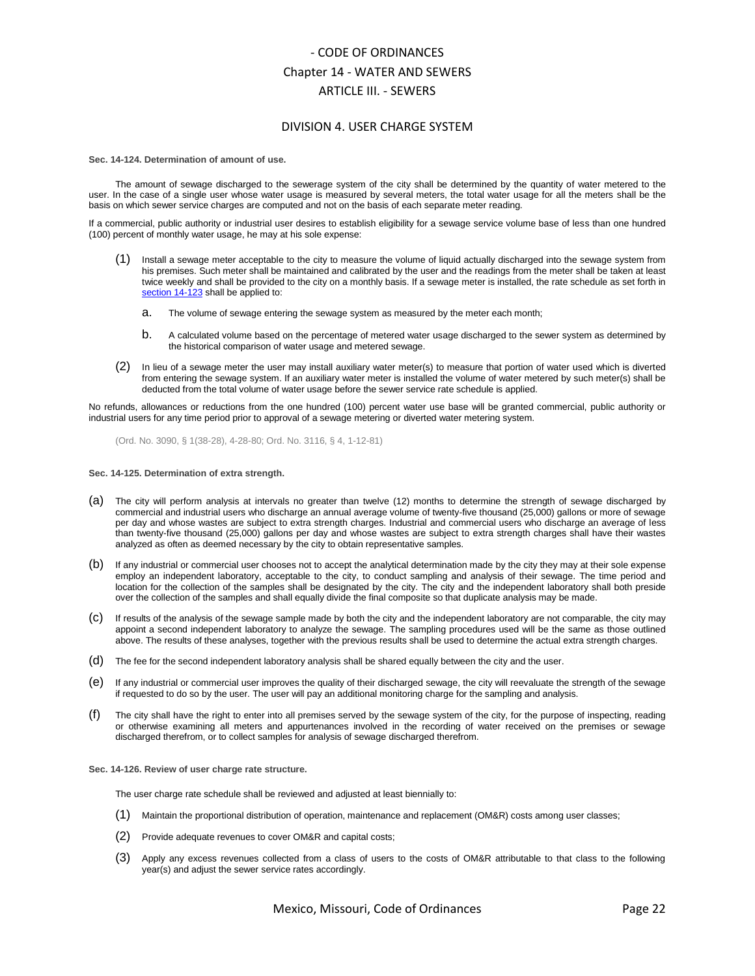#### DIVISION 4. USER CHARGE SYSTEM

<span id="page-21-0"></span>**Sec. 14-124. Determination of amount of use.**

The amount of sewage discharged to the sewerage system of the city shall be determined by the quantity of water metered to the user. In the case of a single user whose water usage is measured by several meters, the total water usage for all the meters shall be the basis on which sewer service charges are computed and not on the basis of each separate meter reading.

If a commercial, public authority or industrial user desires to establish eligibility for a sewage service volume base of less than one hundred (100) percent of monthly water usage, he may at his sole expense:

- Install a sewage meter acceptable to the city to measure the volume of liquid actually discharged into the sewage system from his premises. Such meter shall be maintained and calibrated by the user and the readings from the meter shall be taken at least twice weekly and shall be provided to the city on a monthly basis. If a sewage meter is installed, the rate schedule as set forth i[n](../level4/COOR_CH14WASE_ARTIIISE_DIV4USCHSY.docx#COOR_CH14WASE_ARTIIISE_DIV4USCHSY_S14-123SESECH) [section 14-123](../level4/COOR_CH14WASE_ARTIIISE_DIV4USCHSY.docx#COOR_CH14WASE_ARTIIISE_DIV4USCHSY_S14-123SESECH) shall be applied to:
	- a. The volume of sewage entering the sewage system as measured by the meter each month;
	- b. A calculated volume based on the percentage of metered water usage discharged to the sewer system as determined by the historical comparison of water usage and metered sewage.
- (2) In lieu of a sewage meter the user may install auxiliary water meter(s) to measure that portion of water used which is diverted from entering the sewage system. If an auxiliary water meter is installed the volume of water metered by such meter(s) shall be deducted from the total volume of water usage before the sewer service rate schedule is applied.

No refunds, allowances or reductions from the one hundred (100) percent water use base will be granted commercial, public authority or industrial users for any time period prior to approval of a sewage metering or diverted water metering system.

(Ord. No. 3090, § 1(38-28), 4-28-80; Ord. No. 3116, § 4, 1-12-81)

<span id="page-21-1"></span>**Sec. 14-125. Determination of extra strength.**

- (a) The city will perform analysis at intervals no greater than twelve (12) months to determine the strength of sewage discharged by commercial and industrial users who discharge an annual average volume of twenty-five thousand (25,000) gallons or more of sewage per day and whose wastes are subject to extra strength charges. Industrial and commercial users who discharge an average of less than twenty-five thousand (25,000) gallons per day and whose wastes are subject to extra strength charges shall have their wastes analyzed as often as deemed necessary by the city to obtain representative samples.
- (b) If any industrial or commercial user chooses not to accept the analytical determination made by the city they may at their sole expense employ an independent laboratory, acceptable to the city, to conduct sampling and analysis of their sewage. The time period and location for the collection of the samples shall be designated by the city. The city and the independent laboratory shall both preside over the collection of the samples and shall equally divide the final composite so that duplicate analysis may be made.
- (c) If results of the analysis of the sewage sample made by both the city and the independent laboratory are not comparable, the city may appoint a second independent laboratory to analyze the sewage. The sampling procedures used will be the same as those outlined above. The results of these analyses, together with the previous results shall be used to determine the actual extra strength charges.
- (d) The fee for the second independent laboratory analysis shall be shared equally between the city and the user.
- (e) If any industrial or commercial user improves the quality of their discharged sewage, the city will reevaluate the strength of the sewage if requested to do so by the user. The user will pay an additional monitoring charge for the sampling and analysis.
- (f) The city shall have the right to enter into all premises served by the sewage system of the city, for the purpose of inspecting, reading or otherwise examining all meters and appurtenances involved in the recording of water received on the premises or sewage discharged therefrom, or to collect samples for analysis of sewage discharged therefrom.
- <span id="page-21-2"></span>**Sec. 14-126. Review of user charge rate structure.**

The user charge rate schedule shall be reviewed and adjusted at least biennially to:

- (1) Maintain the proportional distribution of operation, maintenance and replacement (OM&R) costs among user classes;
- (2) Provide adequate revenues to cover OM&R and capital costs;
- (3) Apply any excess revenues collected from a class of users to the costs of OM&R attributable to that class to the following year(s) and adjust the sewer service rates accordingly.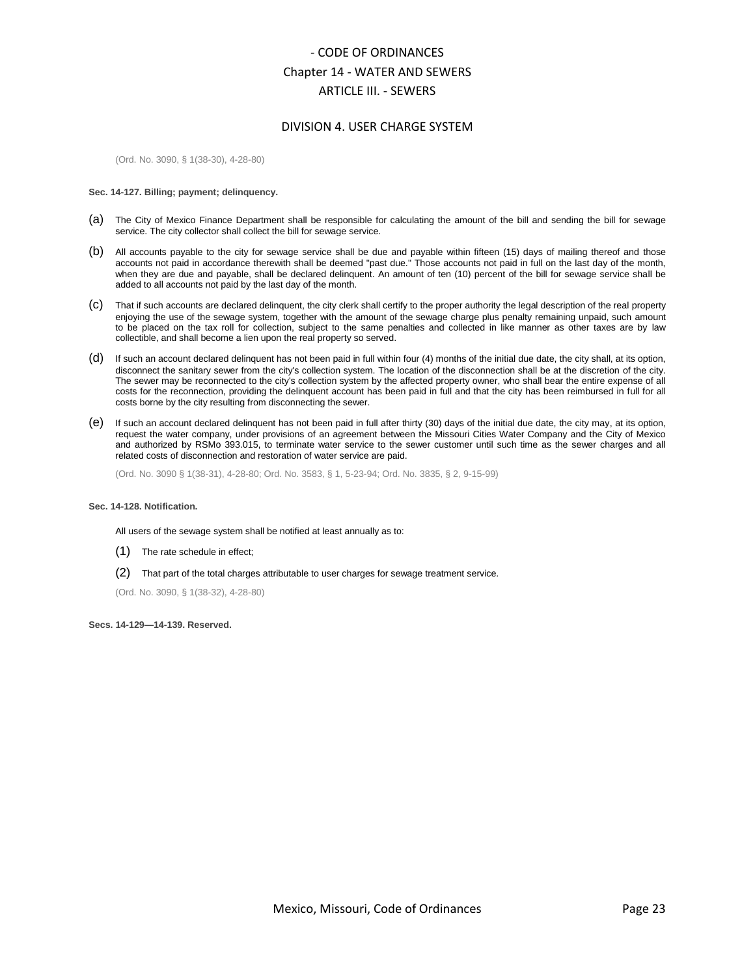#### DIVISION 4. USER CHARGE SYSTEM

(Ord. No. 3090, § 1(38-30), 4-28-80)

#### <span id="page-22-0"></span>**Sec. 14-127. Billing; payment; delinquency.**

- (a) The City of Mexico Finance Department shall be responsible for calculating the amount of the bill and sending the bill for sewage service. The city collector shall collect the bill for sewage service.
- (b) All accounts payable to the city for sewage service shall be due and payable within fifteen (15) days of mailing thereof and those accounts not paid in accordance therewith shall be deemed "past due." Those accounts not paid in full on the last day of the month, when they are due and payable, shall be declared delinquent. An amount of ten (10) percent of the bill for sewage service shall be added to all accounts not paid by the last day of the month.
- (c) That if such accounts are declared delinquent, the city clerk shall certify to the proper authority the legal description of the real property enjoying the use of the sewage system, together with the amount of the sewage charge plus penalty remaining unpaid, such amount to be placed on the tax roll for collection, subject to the same penalties and collected in like manner as other taxes are by law collectible, and shall become a lien upon the real property so served.
- (d) If such an account declared delinquent has not been paid in full within four (4) months of the initial due date, the city shall, at its option, disconnect the sanitary sewer from the city's collection system. The location of the disconnection shall be at the discretion of the city. The sewer may be reconnected to the city's collection system by the affected property owner, who shall bear the entire expense of all costs for the reconnection, providing the delinquent account has been paid in full and that the city has been reimbursed in full for all costs borne by the city resulting from disconnecting the sewer.
- (e) If such an account declared delinquent has not been paid in full after thirty (30) days of the initial due date, the city may, at its option, request the water company, under provisions of an agreement between the Missouri Cities Water Company and the City of Mexico and authorized by RSMo 393.015, to terminate water service to the sewer customer until such time as the sewer charges and all related costs of disconnection and restoration of water service are paid.

(Ord. No. 3090 § 1(38-31), 4-28-80; Ord. No. 3583, § 1, 5-23-94; Ord. No. 3835, § 2, 9-15-99)

#### <span id="page-22-1"></span>**Sec. 14-128. Notification.**

All users of the sewage system shall be notified at least annually as to:

- (1) The rate schedule in effect;
- (2) That part of the total charges attributable to user charges for sewage treatment service.

(Ord. No. 3090, § 1(38-32), 4-28-80)

<span id="page-22-2"></span>**Secs. 14-129—14-139. Reserved.**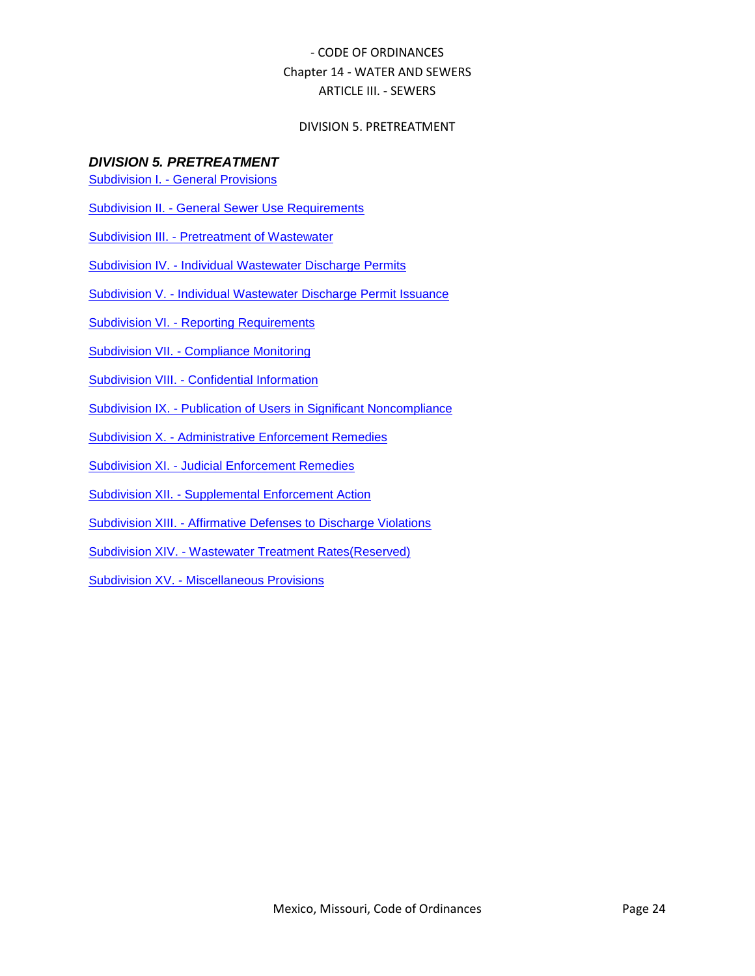### DIVISION 5. PRETREATMENT

## *DIVISION 5. PRETREATMENT*

- Subdivision I. [General Provisions](../level5/COOR_CH14WASE_ARTIIISE_DIV5PR_SDIGEPR.docx)
- Subdivision II. [General Sewer Use Requirements](../level5/COOR_CH14WASE_ARTIIISE_DIV5PR_SDIIGESEUSRE.docx)
- Subdivision III. [Pretreatment of Wastewater](../level5/COOR_CH14WASE_ARTIIISE_DIV5PR_SDIIIPRWA.docx)
- Subdivision IV. [Individual Wastewater Discharge Permits](../level5/COOR_CH14WASE_ARTIIISE_DIV5PR_SDIVINWADIPE.docx)
- Subdivision V. [Individual Wastewater Discharge Permit Issuance](../level5/COOR_CH14WASE_ARTIIISE_DIV5PR_SDVINWADIPEIS.docx)
- Subdivision VI. [Reporting Requirements](../level5/COOR_CH14WASE_ARTIIISE_DIV5PR_SDVIRERE.docx)
- Subdivision VII. [Compliance Monitoring](../level5/COOR_CH14WASE_ARTIIISE_DIV5PR_SDVIICOMO.docx)
- Subdivision VIII. [Confidential Information](../level5/COOR_CH14WASE_ARTIIISE_DIV5PR_SDVIIICOIN.docx)
- Subdivision IX. [Publication of Users in Significant Noncompliance](../level5/COOR_CH14WASE_ARTIIISE_DIV5PR_SDIXPUUSSINO.docx)
- Subdivision X. [Administrative Enforcement Remedies](../level5/COOR_CH14WASE_ARTIIISE_DIV5PR_SDXADENRE.docx)
- Subdivision XI. [Judicial Enforcement Remedies](../level5/COOR_CH14WASE_ARTIIISE_DIV5PR_SDXIJUENRE.docx)
- Subdivision XII. [Supplemental Enforcement Action](../level5/COOR_CH14WASE_ARTIIISE_DIV5PR_SDXIISUENAC.docx)
- Subdivision XIII. [Affirmative Defenses to Discharge Violations](../level5/COOR_CH14WASE_ARTIIISE_DIV5PR_SDXIIIAFDEDIVI.docx)
- Subdivision XIV. [Wastewater Treatment Rates\(Reserved\)](../level5/COOR_CH14WASE_ARTIIISE_DIV5PR_SDXIVWATRRARE.docx)
- Subdivision XV. [Miscellaneous Provisions](../level5/COOR_CH14WASE_ARTIIISE_DIV5PR_SDXVMIPR.docx)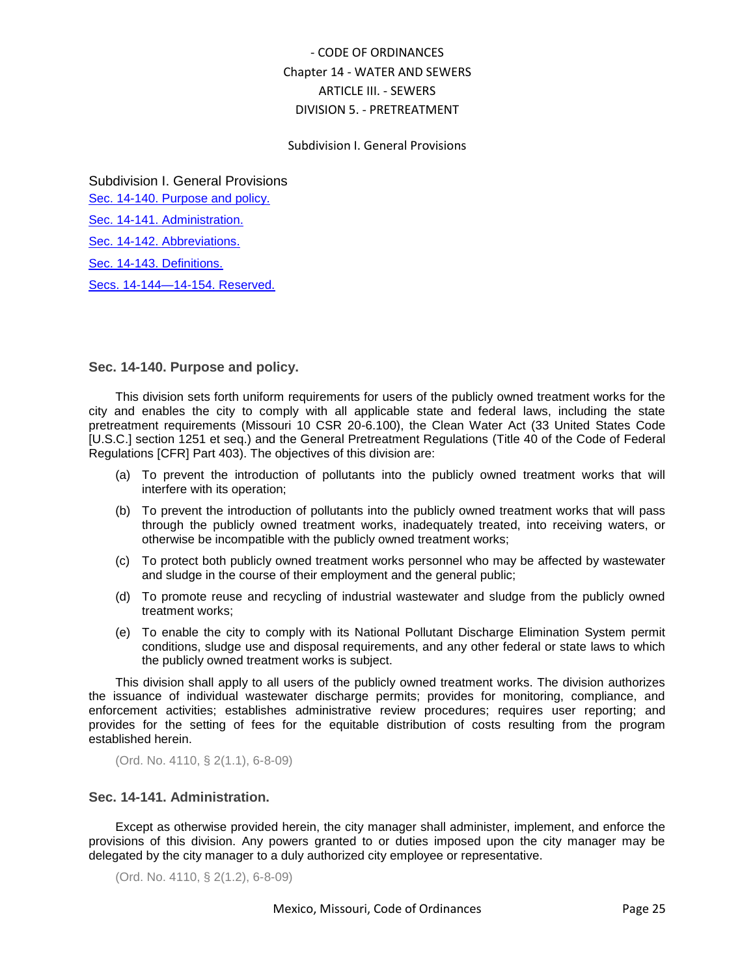#### Subdivision I. General Provisions

Subdivision I. General Provisions [Sec. 14-140. Purpose and policy.](#page-24-0) [Sec. 14-141. Administration.](#page-24-1) [Sec. 14-142. Abbreviations.](#page-25-0) [Sec. 14-143. Definitions.](#page-26-0)

[Secs. 14-144—14-154. Reserved.](#page-30-0)

### <span id="page-24-0"></span>**Sec. 14-140. Purpose and policy.**

This division sets forth uniform requirements for users of the publicly owned treatment works for the city and enables the city to comply with all applicable state and federal laws, including the state pretreatment requirements (Missouri 10 CSR 20-6.100), the Clean Water Act (33 United States Code [U.S.C.] section 1251 et seq.) and the General Pretreatment Regulations (Title 40 of the Code of Federal Regulations [CFR] Part 403). The objectives of this division are:

- (a) To prevent the introduction of pollutants into the publicly owned treatment works that will interfere with its operation;
- (b) To prevent the introduction of pollutants into the publicly owned treatment works that will pass through the publicly owned treatment works, inadequately treated, into receiving waters, or otherwise be incompatible with the publicly owned treatment works;
- (c) To protect both publicly owned treatment works personnel who may be affected by wastewater and sludge in the course of their employment and the general public;
- (d) To promote reuse and recycling of industrial wastewater and sludge from the publicly owned treatment works;
- (e) To enable the city to comply with its National Pollutant Discharge Elimination System permit conditions, sludge use and disposal requirements, and any other federal or state laws to which the publicly owned treatment works is subject.

This division shall apply to all users of the publicly owned treatment works. The division authorizes the issuance of individual wastewater discharge permits; provides for monitoring, compliance, and enforcement activities; establishes administrative review procedures; requires user reporting; and provides for the setting of fees for the equitable distribution of costs resulting from the program established herein.

(Ord. No. 4110, § 2(1.1), 6-8-09)

### <span id="page-24-1"></span>**Sec. 14-141. Administration.**

Except as otherwise provided herein, the city manager shall administer, implement, and enforce the provisions of this division. Any powers granted to or duties imposed upon the city manager may be delegated by the city manager to a duly authorized city employee or representative.

(Ord. No. 4110, § 2(1.2), 6-8-09)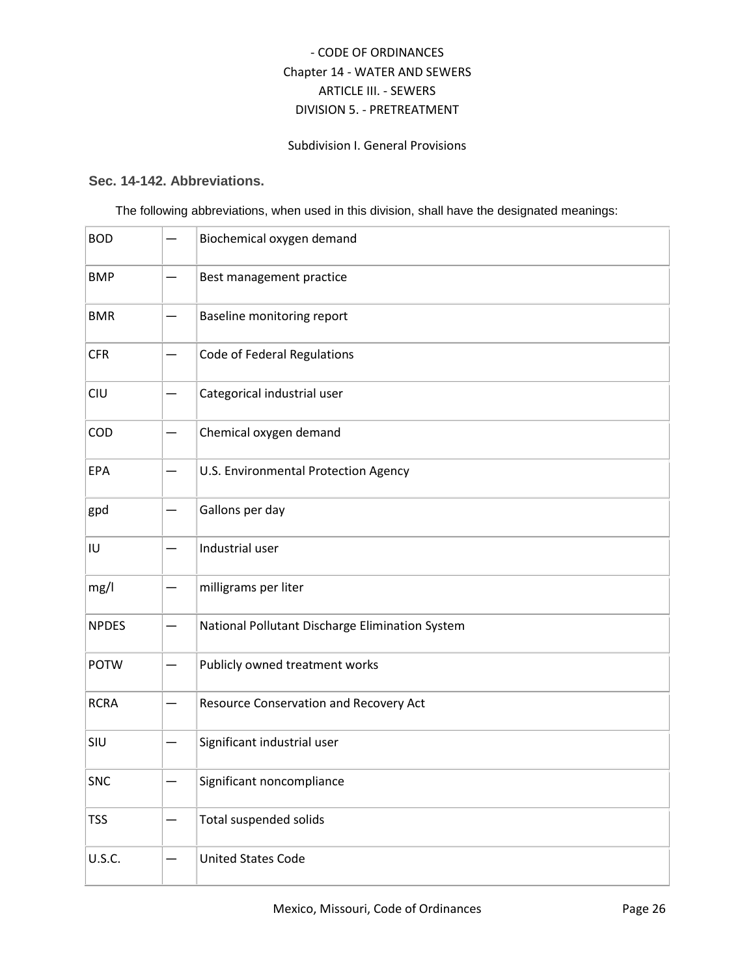## Subdivision I. General Provisions

## <span id="page-25-0"></span>**Sec. 14-142. Abbreviations.**

The following abbreviations, when used in this division, shall have the designated meanings:

| <b>BOD</b>    | Biochemical oxygen demand                       |
|---------------|-------------------------------------------------|
| <b>BMP</b>    | Best management practice                        |
| <b>BMR</b>    | Baseline monitoring report                      |
| <b>CFR</b>    | Code of Federal Regulations                     |
| CIU           | Categorical industrial user                     |
| COD           | Chemical oxygen demand                          |
| EPA           | U.S. Environmental Protection Agency            |
| gpd           | Gallons per day                                 |
| IU            | Industrial user                                 |
| mg/l          | milligrams per liter                            |
| <b>NPDES</b>  | National Pollutant Discharge Elimination System |
| <b>POTW</b>   | Publicly owned treatment works                  |
| <b>RCRA</b>   | Resource Conservation and Recovery Act          |
| SIU           | Significant industrial user                     |
| <b>SNC</b>    | Significant noncompliance                       |
| <b>TSS</b>    | Total suspended solids                          |
| <b>U.S.C.</b> | <b>United States Code</b>                       |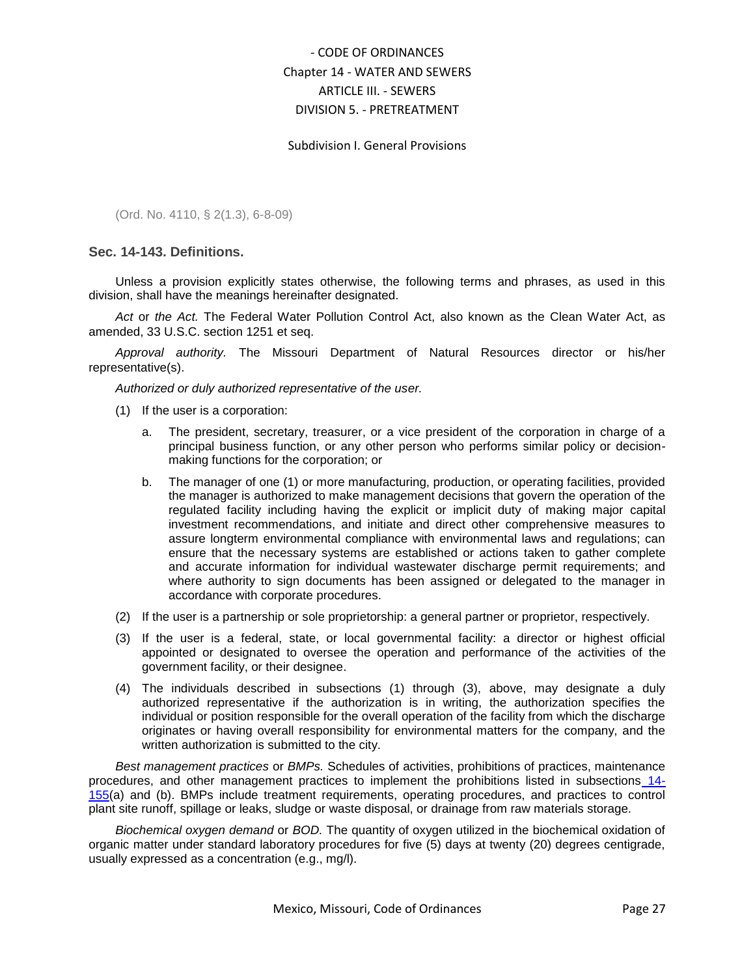#### Subdivision I. General Provisions

(Ord. No. 4110, § 2(1.3), 6-8-09)

### <span id="page-26-0"></span>**Sec. 14-143. Definitions.**

Unless a provision explicitly states otherwise, the following terms and phrases, as used in this division, shall have the meanings hereinafter designated.

*Act* or *the Act.* The Federal Water Pollution Control Act, also known as the Clean Water Act, as amended, 33 U.S.C. section 1251 et seq.

*Approval authority.* The Missouri Department of Natural Resources director or his/her representative(s).

*Authorized or duly authorized representative of the user.*

- (1) If the user is a corporation:
	- a. The president, secretary, treasurer, or a vice president of the corporation in charge of a principal business function, or any other person who performs similar policy or decisionmaking functions for the corporation; or
	- b. The manager of one (1) or more manufacturing, production, or operating facilities, provided the manager is authorized to make management decisions that govern the operation of the regulated facility including having the explicit or implicit duty of making major capital investment recommendations, and initiate and direct other comprehensive measures to assure longterm environmental compliance with environmental laws and regulations; can ensure that the necessary systems are established or actions taken to gather complete and accurate information for individual wastewater discharge permit requirements; and where authority to sign documents has been assigned or delegated to the manager in accordance with corporate procedures.
- (2) If the user is a partnership or sole proprietorship: a general partner or proprietor, respectively.
- (3) If the user is a federal, state, or local governmental facility: a director or highest official appointed or designated to oversee the operation and performance of the activities of the government facility, or their designee.
- (4) The individuals described in subsections (1) through (3), above, may designate a duly authorized representative if the authorization is in writing, the authorization specifies the individual or position responsible for the overall operation of the facility from which the discharge originates or having overall responsibility for environmental matters for the company, and the written authorization is submitted to the city.

*Best management practices* or *BMPs.* Schedules of activities, prohibitions of practices, maintenance procedures, and other management practices to implement the prohibitions listed in subsections [14-](../level5/COOR_CH14WASE_ARTIIISE_DIV5PR_SDIIGESEUSRE.docx#COOR_CH14WASE_ARTIIISE_DIV5PR_SDIIGESEUSRE_S14-155PRDIST) [155\(](../level5/COOR_CH14WASE_ARTIIISE_DIV5PR_SDIIGESEUSRE.docx#COOR_CH14WASE_ARTIIISE_DIV5PR_SDIIGESEUSRE_S14-155PRDIST)a) and (b). BMPs include treatment requirements, operating procedures, and practices to control plant site runoff, spillage or leaks, sludge or waste disposal, or drainage from raw materials storage.

*Biochemical oxygen demand* or *BOD.* The quantity of oxygen utilized in the biochemical oxidation of organic matter under standard laboratory procedures for five (5) days at twenty (20) degrees centigrade, usually expressed as a concentration (e.g., mg/l).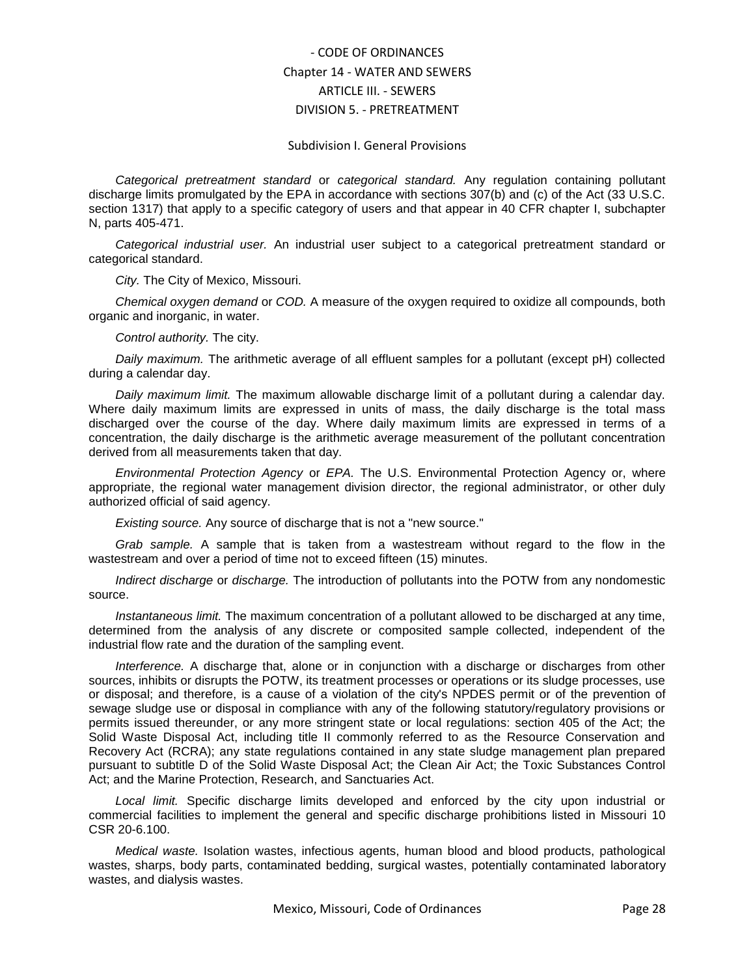#### Subdivision I. General Provisions

*Categorical pretreatment standard* or *categorical standard.* Any regulation containing pollutant discharge limits promulgated by the EPA in accordance with sections 307(b) and (c) of the Act (33 U.S.C. section 1317) that apply to a specific category of users and that appear in 40 CFR chapter I, subchapter N, parts 405-471.

*Categorical industrial user.* An industrial user subject to a categorical pretreatment standard or categorical standard.

*City.* The City of Mexico, Missouri.

*Chemical oxygen demand* or *COD.* A measure of the oxygen required to oxidize all compounds, both organic and inorganic, in water.

*Control authority.* The city.

*Daily maximum.* The arithmetic average of all effluent samples for a pollutant (except pH) collected during a calendar day.

*Daily maximum limit.* The maximum allowable discharge limit of a pollutant during a calendar day. Where daily maximum limits are expressed in units of mass, the daily discharge is the total mass discharged over the course of the day. Where daily maximum limits are expressed in terms of a concentration, the daily discharge is the arithmetic average measurement of the pollutant concentration derived from all measurements taken that day.

*Environmental Protection Agency* or *EPA.* The U.S. Environmental Protection Agency or, where appropriate, the regional water management division director, the regional administrator, or other duly authorized official of said agency.

*Existing source.* Any source of discharge that is not a "new source."

*Grab sample.* A sample that is taken from a wastestream without regard to the flow in the wastestream and over a period of time not to exceed fifteen (15) minutes.

*Indirect discharge* or *discharge.* The introduction of pollutants into the POTW from any nondomestic source.

*Instantaneous limit.* The maximum concentration of a pollutant allowed to be discharged at any time, determined from the analysis of any discrete or composited sample collected, independent of the industrial flow rate and the duration of the sampling event.

*Interference.* A discharge that, alone or in conjunction with a discharge or discharges from other sources, inhibits or disrupts the POTW, its treatment processes or operations or its sludge processes, use or disposal; and therefore, is a cause of a violation of the city's NPDES permit or of the prevention of sewage sludge use or disposal in compliance with any of the following statutory/regulatory provisions or permits issued thereunder, or any more stringent state or local regulations: section 405 of the Act; the Solid Waste Disposal Act, including title II commonly referred to as the Resource Conservation and Recovery Act (RCRA); any state regulations contained in any state sludge management plan prepared pursuant to subtitle D of the Solid Waste Disposal Act; the Clean Air Act; the Toxic Substances Control Act; and the Marine Protection, Research, and Sanctuaries Act.

*Local limit.* Specific discharge limits developed and enforced by the city upon industrial or commercial facilities to implement the general and specific discharge prohibitions listed in Missouri 10 CSR 20-6.100.

*Medical waste.* Isolation wastes, infectious agents, human blood and blood products, pathological wastes, sharps, body parts, contaminated bedding, surgical wastes, potentially contaminated laboratory wastes, and dialysis wastes.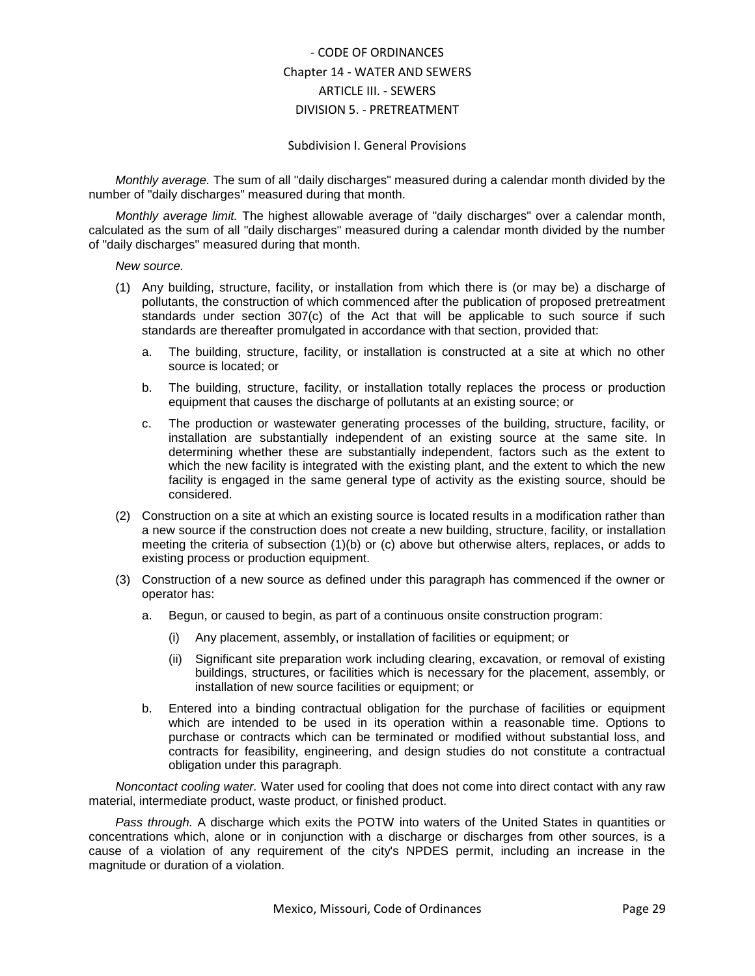#### Subdivision I. General Provisions

*Monthly average.* The sum of all "daily discharges" measured during a calendar month divided by the number of "daily discharges" measured during that month.

*Monthly average limit.* The highest allowable average of "daily discharges" over a calendar month, calculated as the sum of all "daily discharges" measured during a calendar month divided by the number of "daily discharges" measured during that month.

*New source.*

- (1) Any building, structure, facility, or installation from which there is (or may be) a discharge of pollutants, the construction of which commenced after the publication of proposed pretreatment standards under section 307(c) of the Act that will be applicable to such source if such standards are thereafter promulgated in accordance with that section, provided that:
	- a. The building, structure, facility, or installation is constructed at a site at which no other source is located; or
	- b. The building, structure, facility, or installation totally replaces the process or production equipment that causes the discharge of pollutants at an existing source; or
	- c. The production or wastewater generating processes of the building, structure, facility, or installation are substantially independent of an existing source at the same site. In determining whether these are substantially independent, factors such as the extent to which the new facility is integrated with the existing plant, and the extent to which the new facility is engaged in the same general type of activity as the existing source, should be considered.
- (2) Construction on a site at which an existing source is located results in a modification rather than a new source if the construction does not create a new building, structure, facility, or installation meeting the criteria of subsection (1)(b) or (c) above but otherwise alters, replaces, or adds to existing process or production equipment.
- (3) Construction of a new source as defined under this paragraph has commenced if the owner or operator has:
	- a. Begun, or caused to begin, as part of a continuous onsite construction program:
		- Any placement, assembly, or installation of facilities or equipment; or
		- (ii) Significant site preparation work including clearing, excavation, or removal of existing buildings, structures, or facilities which is necessary for the placement, assembly, or installation of new source facilities or equipment; or
	- b. Entered into a binding contractual obligation for the purchase of facilities or equipment which are intended to be used in its operation within a reasonable time. Options to purchase or contracts which can be terminated or modified without substantial loss, and contracts for feasibility, engineering, and design studies do not constitute a contractual obligation under this paragraph.

*Noncontact cooling water.* Water used for cooling that does not come into direct contact with any raw material, intermediate product, waste product, or finished product.

*Pass through.* A discharge which exits the POTW into waters of the United States in quantities or concentrations which, alone or in conjunction with a discharge or discharges from other sources, is a cause of a violation of any requirement of the city's NPDES permit, including an increase in the magnitude or duration of a violation.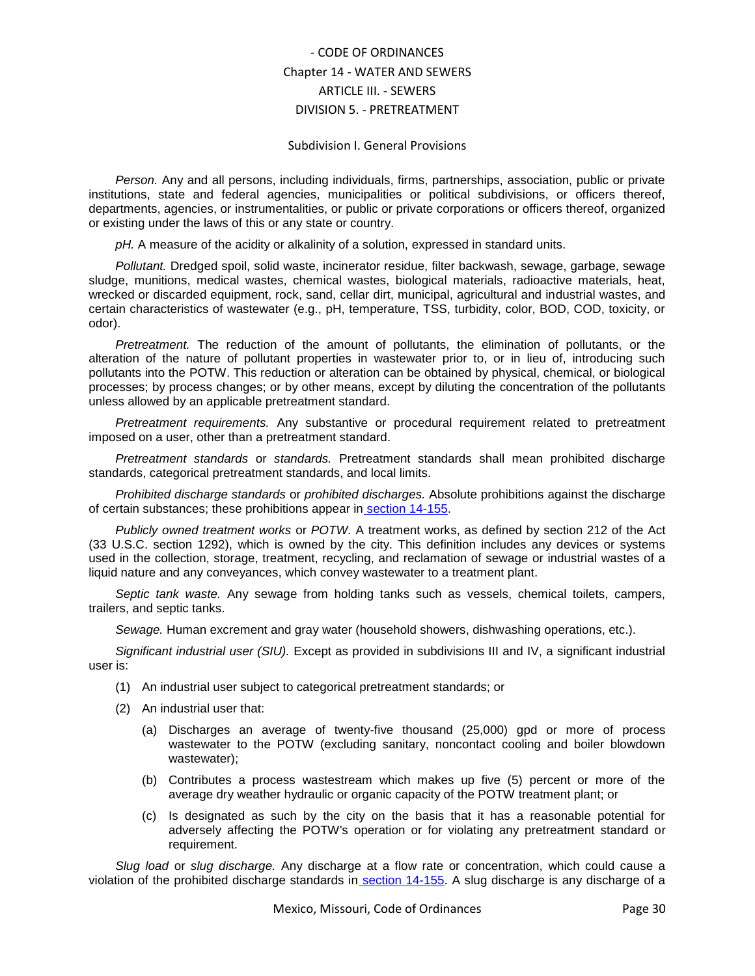#### Subdivision I. General Provisions

*Person.* Any and all persons, including individuals, firms, partnerships, association, public or private institutions, state and federal agencies, municipalities or political subdivisions, or officers thereof, departments, agencies, or instrumentalities, or public or private corporations or officers thereof, organized or existing under the laws of this or any state or country.

*pH.* A measure of the acidity or alkalinity of a solution, expressed in standard units.

*Pollutant.* Dredged spoil, solid waste, incinerator residue, filter backwash, sewage, garbage, sewage sludge, munitions, medical wastes, chemical wastes, biological materials, radioactive materials, heat, wrecked or discarded equipment, rock, sand, cellar dirt, municipal, agricultural and industrial wastes, and certain characteristics of wastewater (e.g., pH, temperature, TSS, turbidity, color, BOD, COD, toxicity, or odor).

*Pretreatment.* The reduction of the amount of pollutants, the elimination of pollutants, or the alteration of the nature of pollutant properties in wastewater prior to, or in lieu of, introducing such pollutants into the POTW. This reduction or alteration can be obtained by physical, chemical, or biological processes; by process changes; or by other means, except by diluting the concentration of the pollutants unless allowed by an applicable pretreatment standard.

*Pretreatment requirements.* Any substantive or procedural requirement related to pretreatment imposed on a user, other than a pretreatment standard.

*Pretreatment standards* or *standards.* Pretreatment standards shall mean prohibited discharge standards, categorical pretreatment standards, and local limits.

*Prohibited discharge standards* or *prohibited discharges.* Absolute prohibitions against the discharge of certain substances; these prohibitions appear in section 14-155.

*Publicly owned treatment works* or *POTW.* A treatment works, as defined by section 212 of the Act (33 U.S.C. section 1292), which is owned by the city. This definition includes any devices or systems used in the collection, storage, treatment, recycling, and reclamation of sewage or industrial wastes of a liquid nature and any conveyances, which convey wastewater to a treatment plant.

*Septic tank waste.* Any sewage from holding tanks such as vessels, chemical toilets, campers, trailers, and septic tanks.

*Sewage.* Human excrement and gray water (household showers, dishwashing operations, etc.).

*Significant industrial user (SIU).* Except as provided in subdivisions III and IV, a significant industrial user is:

- (1) An industrial user subject to categorical pretreatment standards; or
- (2) An industrial user that:
	- (a) Discharges an average of twenty-five thousand (25,000) gpd or more of process wastewater to the POTW (excluding sanitary, noncontact cooling and boiler blowdown wastewater);
	- (b) Contributes a process wastestream which makes up five (5) percent or more of the average dry weather hydraulic or organic capacity of the POTW treatment plant; or
	- (c) Is designated as such by the city on the basis that it has a reasonable potential for adversely affecting the POTW's operation or for violating any pretreatment standard or requirement.

*Slug load* or *slug discharge.* Any discharge at a flow rate or concentration, which could cause a violation of the prohibited discharge standards in [section 14-155.](../level5/COOR_CH14WASE_ARTIIISE_DIV5PR_SDIIGESEUSRE.docx#COOR_CH14WASE_ARTIIISE_DIV5PR_SDIIGESEUSRE_S14-155PRDIST) A slug discharge is any discharge of a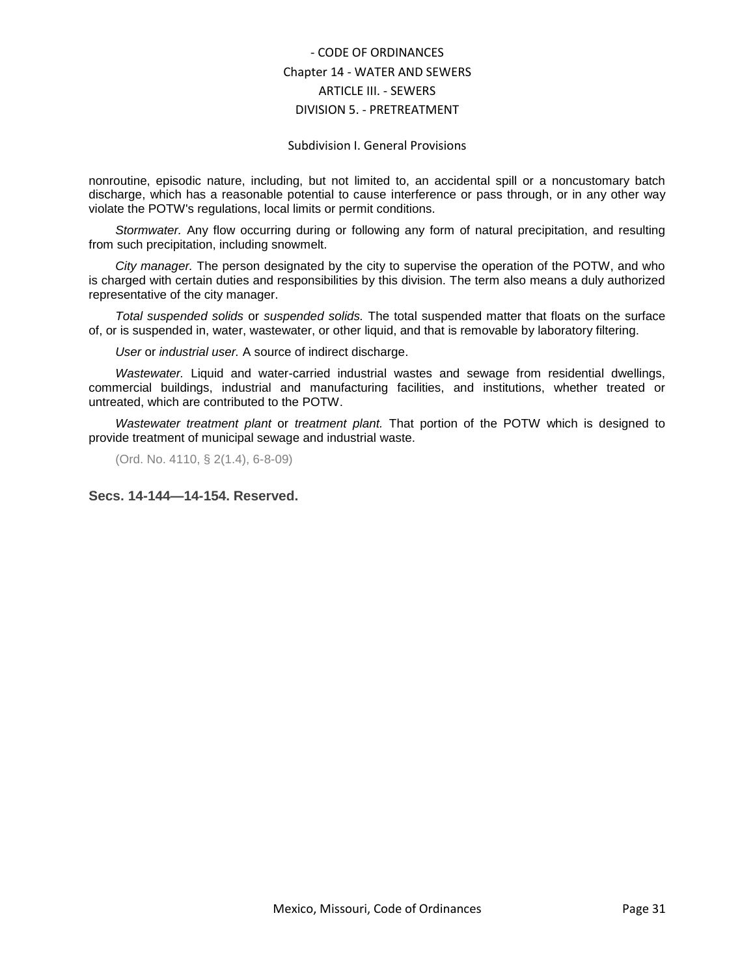#### Subdivision I. General Provisions

nonroutine, episodic nature, including, but not limited to, an accidental spill or a noncustomary batch discharge, which has a reasonable potential to cause interference or pass through, or in any other way violate the POTW's regulations, local limits or permit conditions.

*Stormwater.* Any flow occurring during or following any form of natural precipitation, and resulting from such precipitation, including snowmelt.

*City manager.* The person designated by the city to supervise the operation of the POTW, and who is charged with certain duties and responsibilities by this division. The term also means a duly authorized representative of the city manager.

*Total suspended solids* or *suspended solids.* The total suspended matter that floats on the surface of, or is suspended in, water, wastewater, or other liquid, and that is removable by laboratory filtering.

*User* or *industrial user.* A source of indirect discharge.

*Wastewater.* Liquid and water-carried industrial wastes and sewage from residential dwellings, commercial buildings, industrial and manufacturing facilities, and institutions, whether treated or untreated, which are contributed to the POTW.

*Wastewater treatment plant* or *treatment plant.* That portion of the POTW which is designed to provide treatment of municipal sewage and industrial waste.

(Ord. No. 4110, § 2(1.4), 6-8-09)

<span id="page-30-0"></span>**Secs. 14-144—14-154. Reserved.**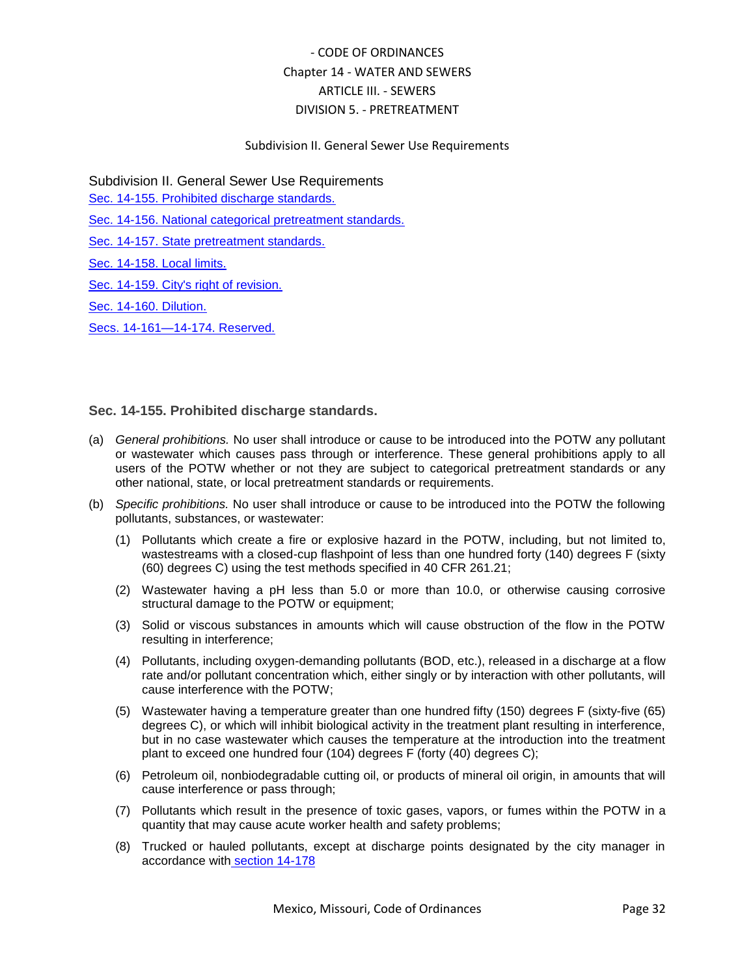## Subdivision II. General Sewer Use Requirements

Subdivision II. General Sewer Use Requirements

[Sec. 14-155. Prohibited discharge standards.](#page-31-0)

[Sec. 14-156. National categorical pretreatment standards.](#page-32-0)

[Sec. 14-157. State pretreatment standards.](#page-33-0)

[Sec. 14-158. Local limits.](#page-33-1)

[Sec. 14-159. City's right of revision.](#page-34-0)

[Sec. 14-160. Dilution.](#page-34-1)

[Secs. 14-161—14-174. Reserved.](#page-35-0)

## <span id="page-31-0"></span>**Sec. 14-155. Prohibited discharge standards.**

- (a) *General prohibitions.* No user shall introduce or cause to be introduced into the POTW any pollutant or wastewater which causes pass through or interference. These general prohibitions apply to all users of the POTW whether or not they are subject to categorical pretreatment standards or any other national, state, or local pretreatment standards or requirements.
- (b) *Specific prohibitions.* No user shall introduce or cause to be introduced into the POTW the following pollutants, substances, or wastewater:
	- (1) Pollutants which create a fire or explosive hazard in the POTW, including, but not limited to, wastestreams with a closed-cup flashpoint of less than one hundred forty (140) degrees F (sixty (60) degrees C) using the test methods specified in 40 CFR 261.21;
	- (2) Wastewater having a pH less than 5.0 or more than 10.0, or otherwise causing corrosive structural damage to the POTW or equipment;
	- (3) Solid or viscous substances in amounts which will cause obstruction of the flow in the POTW resulting in interference;
	- (4) Pollutants, including oxygen-demanding pollutants (BOD, etc.), released in a discharge at a flow rate and/or pollutant concentration which, either singly or by interaction with other pollutants, will cause interference with the POTW;
	- (5) Wastewater having a temperature greater than one hundred fifty (150) degrees F (sixty-five (65) degrees C), or which will inhibit biological activity in the treatment plant resulting in interference, but in no case wastewater which causes the temperature at the introduction into the treatment plant to exceed one hundred four (104) degrees F (forty (40) degrees C);
	- (6) Petroleum oil, nonbiodegradable cutting oil, or products of mineral oil origin, in amounts that will cause interference or pass through;
	- (7) Pollutants which result in the presence of toxic gases, vapors, or fumes within the POTW in a quantity that may cause acute worker health and safety problems;
	- (8) Trucked or hauled pollutants, except at discharge points designated by the city manager in accordance with [section 14-178](../level5/COOR_CH14WASE_ARTIIISE_DIV5PR_SDIIIPRWA.docx#COOR_CH14WASE_ARTIIISE_DIV5PR_SDIIIPRWA_S14-178HAWA)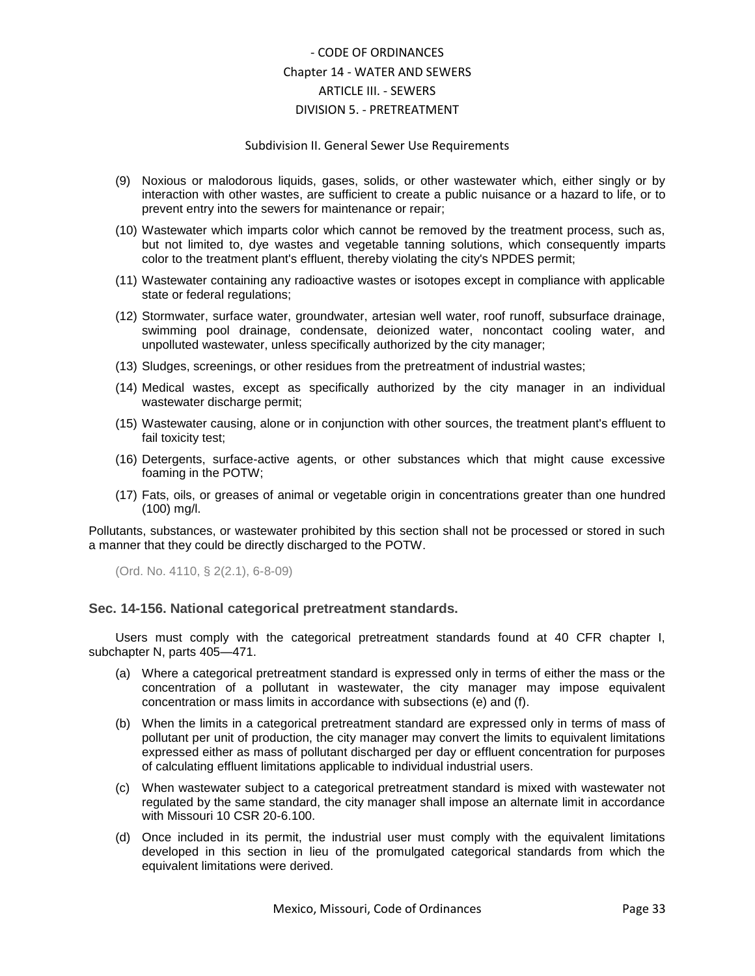#### Subdivision II. General Sewer Use Requirements

- (9) Noxious or malodorous liquids, gases, solids, or other wastewater which, either singly or by interaction with other wastes, are sufficient to create a public nuisance or a hazard to life, or to prevent entry into the sewers for maintenance or repair;
- (10) Wastewater which imparts color which cannot be removed by the treatment process, such as, but not limited to, dye wastes and vegetable tanning solutions, which consequently imparts color to the treatment plant's effluent, thereby violating the city's NPDES permit;
- (11) Wastewater containing any radioactive wastes or isotopes except in compliance with applicable state or federal regulations;
- (12) Stormwater, surface water, groundwater, artesian well water, roof runoff, subsurface drainage, swimming pool drainage, condensate, deionized water, noncontact cooling water, and unpolluted wastewater, unless specifically authorized by the city manager;
- (13) Sludges, screenings, or other residues from the pretreatment of industrial wastes;
- (14) Medical wastes, except as specifically authorized by the city manager in an individual wastewater discharge permit;
- (15) Wastewater causing, alone or in conjunction with other sources, the treatment plant's effluent to fail toxicity test;
- (16) Detergents, surface-active agents, or other substances which that might cause excessive foaming in the POTW;
- (17) Fats, oils, or greases of animal or vegetable origin in concentrations greater than one hundred (100) mg/l.

Pollutants, substances, or wastewater prohibited by this section shall not be processed or stored in such a manner that they could be directly discharged to the POTW.

(Ord. No. 4110, § 2(2.1), 6-8-09)

### <span id="page-32-0"></span>**Sec. 14-156. National categorical pretreatment standards.**

Users must comply with the categorical pretreatment standards found at 40 CFR chapter I, subchapter N, parts 405—471.

- (a) Where a categorical pretreatment standard is expressed only in terms of either the mass or the concentration of a pollutant in wastewater, the city manager may impose equivalent concentration or mass limits in accordance with subsections (e) and (f).
- (b) When the limits in a categorical pretreatment standard are expressed only in terms of mass of pollutant per unit of production, the city manager may convert the limits to equivalent limitations expressed either as mass of pollutant discharged per day or effluent concentration for purposes of calculating effluent limitations applicable to individual industrial users.
- (c) When wastewater subject to a categorical pretreatment standard is mixed with wastewater not regulated by the same standard, the city manager shall impose an alternate limit in accordance with Missouri 10 CSR 20-6.100.
- (d) Once included in its permit, the industrial user must comply with the equivalent limitations developed in this section in lieu of the promulgated categorical standards from which the equivalent limitations were derived.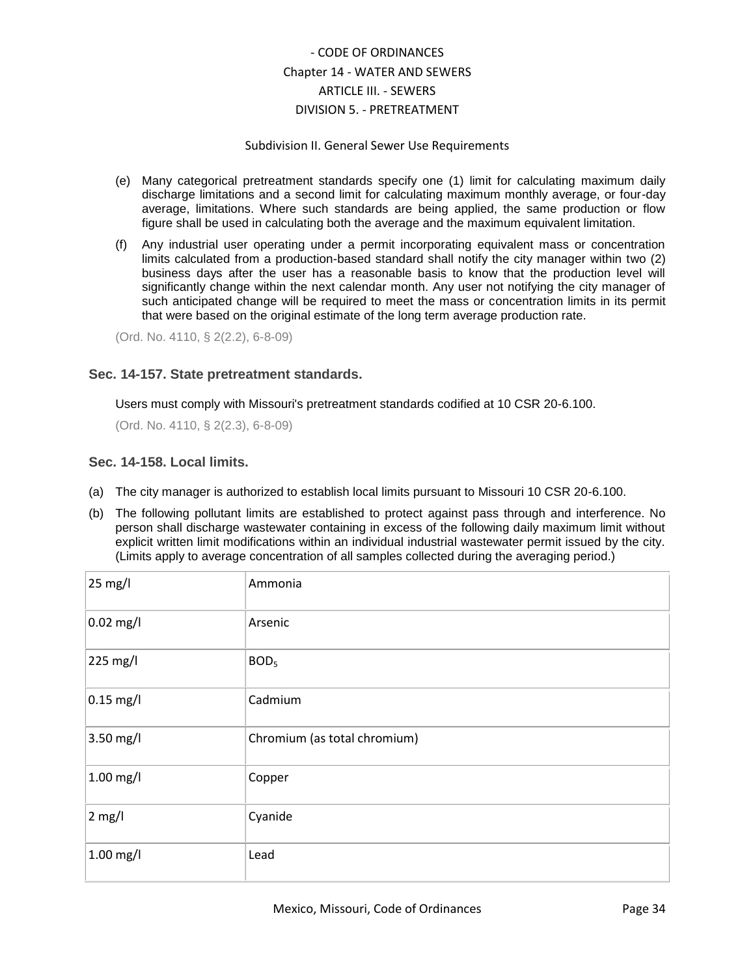### Subdivision II. General Sewer Use Requirements

- (e) Many categorical pretreatment standards specify one (1) limit for calculating maximum daily discharge limitations and a second limit for calculating maximum monthly average, or four-day average, limitations. Where such standards are being applied, the same production or flow figure shall be used in calculating both the average and the maximum equivalent limitation.
- (f) Any industrial user operating under a permit incorporating equivalent mass or concentration limits calculated from a production-based standard shall notify the city manager within two (2) business days after the user has a reasonable basis to know that the production level will significantly change within the next calendar month. Any user not notifying the city manager of such anticipated change will be required to meet the mass or concentration limits in its permit that were based on the original estimate of the long term average production rate.

(Ord. No. 4110, § 2(2.2), 6-8-09)

## <span id="page-33-0"></span>**Sec. 14-157. State pretreatment standards.**

Users must comply with Missouri's pretreatment standards codified at 10 CSR 20-6.100.

(Ord. No. 4110, § 2(2.3), 6-8-09)

## <span id="page-33-1"></span>**Sec. 14-158. Local limits.**

- (a) The city manager is authorized to establish local limits pursuant to Missouri 10 CSR 20-6.100.
- (b) The following pollutant limits are established to protect against pass through and interference. No person shall discharge wastewater containing in excess of the following daily maximum limit without explicit written limit modifications within an individual industrial wastewater permit issued by the city. (Limits apply to average concentration of all samples collected during the averaging period.)

| 25 mg/l     | Ammonia                      |
|-------------|------------------------------|
| $0.02$ mg/l | Arsenic                      |
| 225 mg/l    | BOD <sub>5</sub>             |
| $0.15$ mg/l | Cadmium                      |
| 3.50 mg/l   | Chromium (as total chromium) |
| $1.00$ mg/l | Copper                       |
| $2$ mg/l    | Cyanide                      |
| $1.00$ mg/l | Lead                         |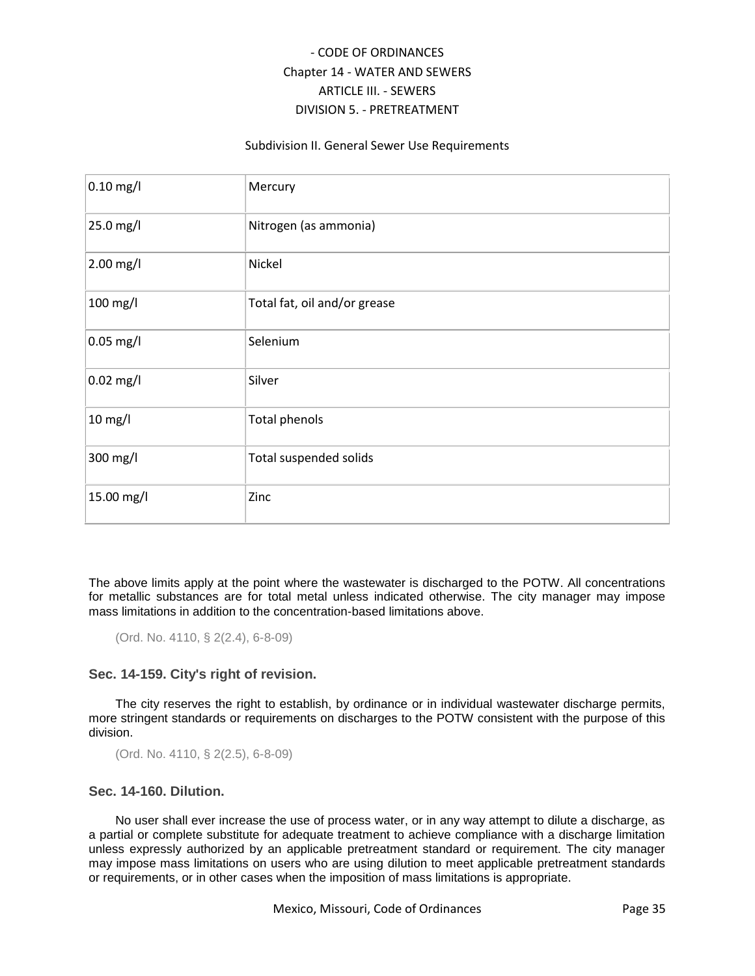### Subdivision II. General Sewer Use Requirements

| $0.10$ mg/l | Mercury                      |
|-------------|------------------------------|
| 25.0 mg/l   | Nitrogen (as ammonia)        |
| 2.00 mg/l   | Nickel                       |
| 100 mg/l    | Total fat, oil and/or grease |
| $0.05$ mg/l | Selenium                     |
| $0.02$ mg/l | Silver                       |
| 10 mg/l     | <b>Total phenols</b>         |
| 300 mg/l    | Total suspended solids       |
| 15.00 mg/l  | Zinc                         |

The above limits apply at the point where the wastewater is discharged to the POTW. All concentrations for metallic substances are for total metal unless indicated otherwise. The city manager may impose mass limitations in addition to the concentration-based limitations above.

(Ord. No. 4110, § 2(2.4), 6-8-09)

## <span id="page-34-0"></span>**Sec. 14-159. City's right of revision.**

The city reserves the right to establish, by ordinance or in individual wastewater discharge permits, more stringent standards or requirements on discharges to the POTW consistent with the purpose of this division.

(Ord. No. 4110, § 2(2.5), 6-8-09)

## <span id="page-34-1"></span>**Sec. 14-160. Dilution.**

No user shall ever increase the use of process water, or in any way attempt to dilute a discharge, as a partial or complete substitute for adequate treatment to achieve compliance with a discharge limitation unless expressly authorized by an applicable pretreatment standard or requirement. The city manager may impose mass limitations on users who are using dilution to meet applicable pretreatment standards or requirements, or in other cases when the imposition of mass limitations is appropriate.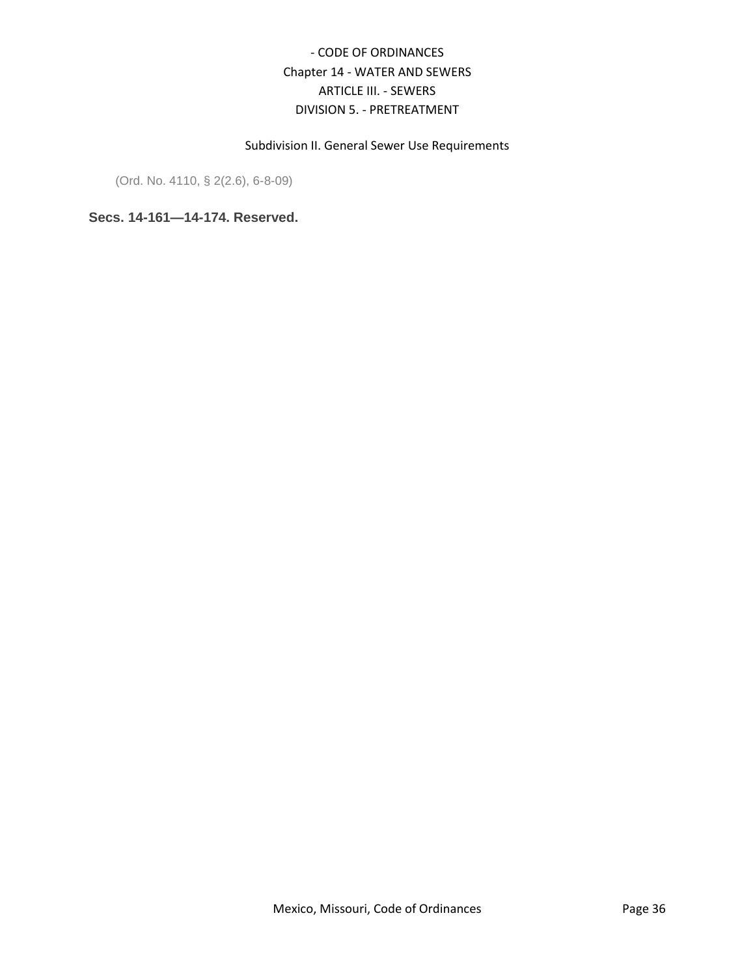## Subdivision II. General Sewer Use Requirements

(Ord. No. 4110, § 2(2.6), 6-8-09)

<span id="page-35-0"></span>**Secs. 14-161—14-174. Reserved.**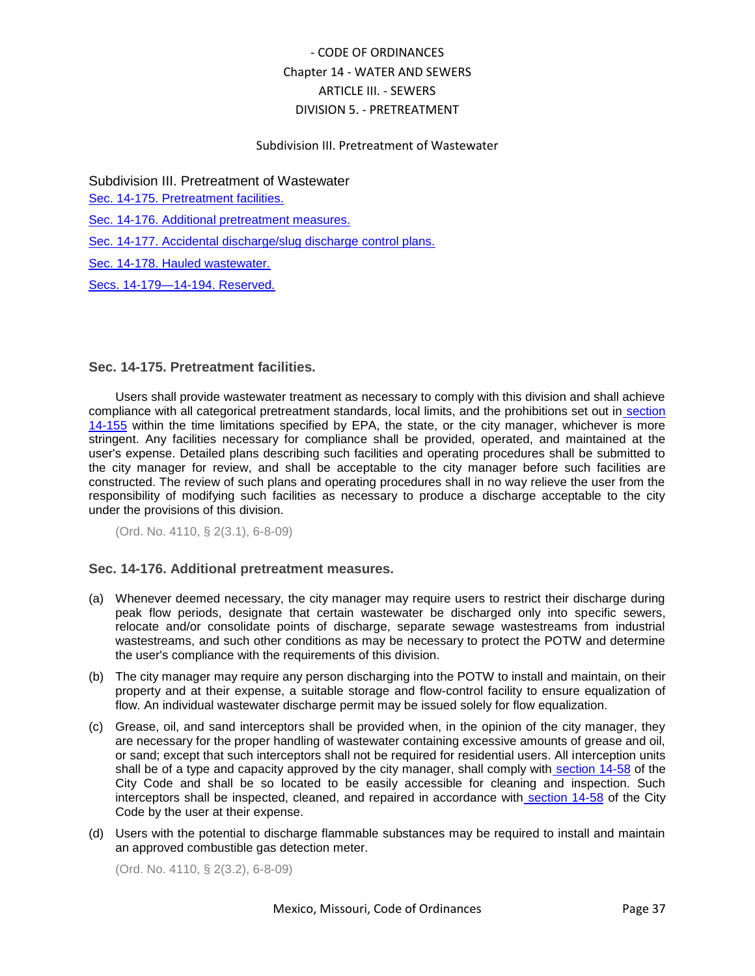## Subdivision III. Pretreatment of Wastewater

Subdivision III. Pretreatment of Wastewater

[Sec. 14-175. Pretreatment facilities.](#page-36-0)

[Sec. 14-176. Additional pretreatment measures.](#page-36-1)

[Sec. 14-177. Accidental discharge/slug discharge control plans.](#page-37-0)

[Sec. 14-178. Hauled wastewater.](#page-37-1)

[Secs. 14-179—14-194. Reserved.](#page-37-2)

### <span id="page-36-0"></span>**Sec. 14-175. Pretreatment facilities.**

Users shall provide wastewater treatment as necessary to comply with this division and shall achieve compliance with all categorical pretreatment standards, local limits, and the prohibitions set out in [section](../level5/COOR_CH14WASE_ARTIIISE_DIV5PR_SDIIGESEUSRE.docx#COOR_CH14WASE_ARTIIISE_DIV5PR_SDIIGESEUSRE_S14-155PRDIST)  [14-155](../level5/COOR_CH14WASE_ARTIIISE_DIV5PR_SDIIGESEUSRE.docx#COOR_CH14WASE_ARTIIISE_DIV5PR_SDIIGESEUSRE_S14-155PRDIST) within the time limitations specified by EPA, the state, or the city manager, whichever is more stringent. Any facilities necessary for compliance shall be provided, operated, and maintained at the user's expense. Detailed plans describing such facilities and operating procedures shall be submitted to the city manager for review, and shall be acceptable to the city manager before such facilities are constructed. The review of such plans and operating procedures shall in no way relieve the user from the responsibility of modifying such facilities as necessary to produce a discharge acceptable to the city under the provisions of this division.

(Ord. No. 4110, § 2(3.1), 6-8-09)

### <span id="page-36-1"></span>**Sec. 14-176. Additional pretreatment measures.**

- (a) Whenever deemed necessary, the city manager may require users to restrict their discharge during peak flow periods, designate that certain wastewater be discharged only into specific sewers, relocate and/or consolidate points of discharge, separate sewage wastestreams from industrial wastestreams, and such other conditions as may be necessary to protect the POTW and determine the user's compliance with the requirements of this division.
- (b) The city manager may require any person discharging into the POTW to install and maintain, on their property and at their expense, a suitable storage and flow-control facility to ensure equalization of flow. An individual wastewater discharge permit may be issued solely for flow equalization.
- (c) Grease, oil, and sand interceptors shall be provided when, in the opinion of the city manager, they are necessary for the proper handling of wastewater containing excessive amounts of grease and oil, or sand; except that such interceptors shall not be required for residential users. All interception units shall be of a type and capacity approved by the city manager, shall comply with [section 14-58](../level4/COOR_CH14WASE_ARTIIISE_DIV1GE.docx#COOR_CH14WASE_ARTIIISE_DIV1GE_S14-58GROIGRIN) of the City Code and shall be so located to be easily accessible for cleaning and inspection. Such interceptors shall be inspected, cleaned, and repaired in accordance with [section 14-58](../level4/COOR_CH14WASE_ARTIIISE_DIV1GE.docx#COOR_CH14WASE_ARTIIISE_DIV1GE_S14-58GROIGRIN) of the City Code by the user at their expense.
- (d) Users with the potential to discharge flammable substances may be required to install and maintain an approved combustible gas detection meter.

(Ord. No. 4110, § 2(3.2), 6-8-09)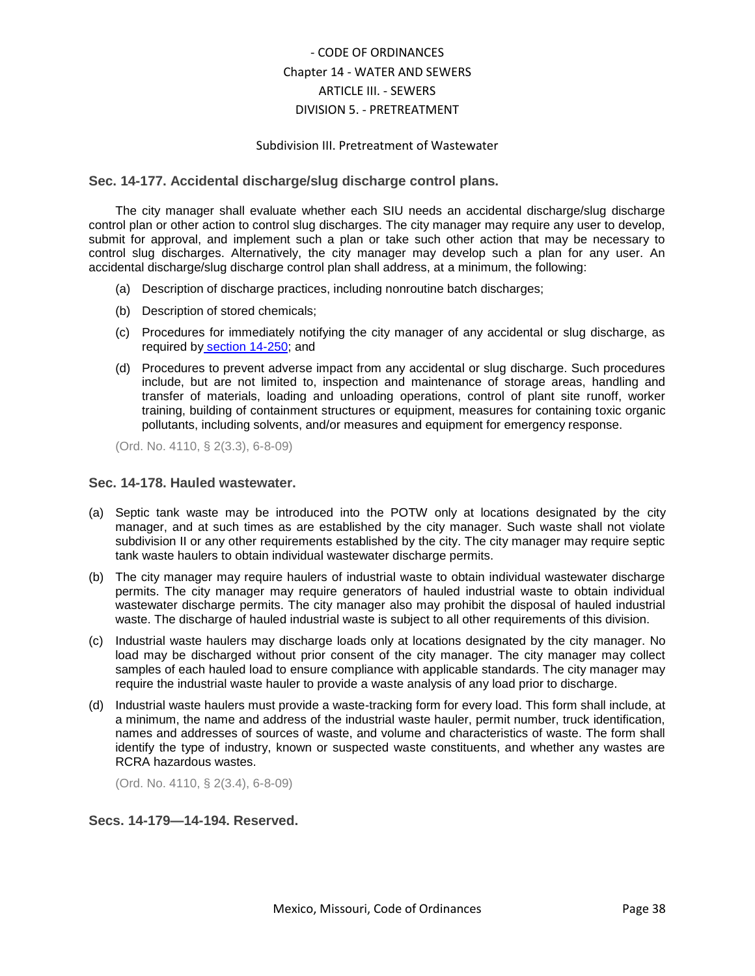### Subdivision III. Pretreatment of Wastewater

## <span id="page-37-0"></span>**Sec. 14-177. Accidental discharge/slug discharge control plans.**

The city manager shall evaluate whether each SIU needs an accidental discharge/slug discharge control plan or other action to control slug discharges. The city manager may require any user to develop, submit for approval, and implement such a plan or take such other action that may be necessary to control slug discharges. Alternatively, the city manager may develop such a plan for any user. An accidental discharge/slug discharge control plan shall address, at a minimum, the following:

- (a) Description of discharge practices, including nonroutine batch discharges;
- (b) Description of stored chemicals;
- (c) Procedures for immediately notifying the city manager of any accidental or slug discharge, as required by [section 14-250;](../level5/COOR_CH14WASE_ARTIIISE_DIV5PR_SDVIRERE.docx#COOR_CH14WASE_ARTIIISE_DIV5PR_SDVIRERE_S14-250REPOPR) and
- (d) Procedures to prevent adverse impact from any accidental or slug discharge. Such procedures include, but are not limited to, inspection and maintenance of storage areas, handling and transfer of materials, loading and unloading operations, control of plant site runoff, worker training, building of containment structures or equipment, measures for containing toxic organic pollutants, including solvents, and/or measures and equipment for emergency response.

(Ord. No. 4110, § 2(3.3), 6-8-09)

### <span id="page-37-1"></span>**Sec. 14-178. Hauled wastewater.**

- (a) Septic tank waste may be introduced into the POTW only at locations designated by the city manager, and at such times as are established by the city manager. Such waste shall not violate subdivision II or any other requirements established by the city. The city manager may require septic tank waste haulers to obtain individual wastewater discharge permits.
- (b) The city manager may require haulers of industrial waste to obtain individual wastewater discharge permits. The city manager may require generators of hauled industrial waste to obtain individual wastewater discharge permits. The city manager also may prohibit the disposal of hauled industrial waste. The discharge of hauled industrial waste is subject to all other requirements of this division.
- (c) Industrial waste haulers may discharge loads only at locations designated by the city manager. No load may be discharged without prior consent of the city manager. The city manager may collect samples of each hauled load to ensure compliance with applicable standards. The city manager may require the industrial waste hauler to provide a waste analysis of any load prior to discharge.
- (d) Industrial waste haulers must provide a waste-tracking form for every load. This form shall include, at a minimum, the name and address of the industrial waste hauler, permit number, truck identification, names and addresses of sources of waste, and volume and characteristics of waste. The form shall identify the type of industry, known or suspected waste constituents, and whether any wastes are RCRA hazardous wastes.

(Ord. No. 4110, § 2(3.4), 6-8-09)

### <span id="page-37-2"></span>**Secs. 14-179—14-194. Reserved.**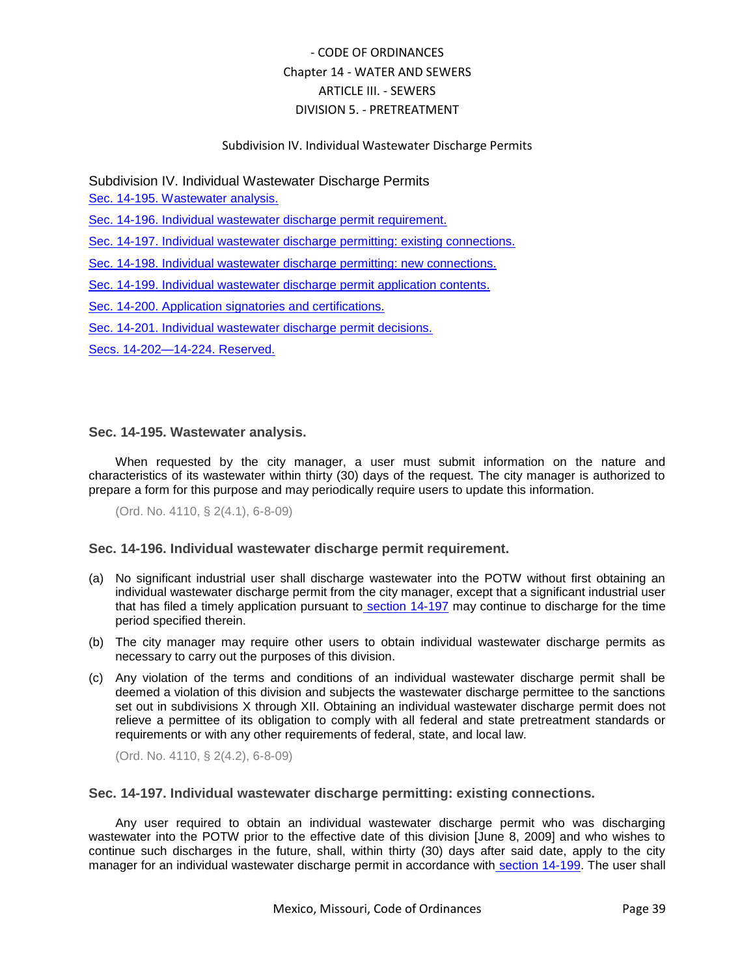## Subdivision IV. Individual Wastewater Discharge Permits

## Subdivision IV. Individual Wastewater Discharge Permits

[Sec. 14-195. Wastewater analysis.](#page-38-0)

[Sec. 14-196. Individual wastewater discharge permit requirement.](#page-38-1)

[Sec. 14-197. Individual wastewater discharge permitting: existing connections.](#page-38-2)

[Sec. 14-198. Individual wastewater discharge permitting: new connections.](#page-39-0)

[Sec. 14-199. Individual wastewater discharge permit application contents.](#page-39-1)

[Sec. 14-200. Application signatories and certifications.](#page-40-0)

[Sec. 14-201. Individual wastewater discharge permit decisions.](#page-40-1)

[Secs. 14-202—14-224. Reserved.](#page-41-0)

## <span id="page-38-0"></span>**Sec. 14-195. Wastewater analysis.**

When requested by the city manager, a user must submit information on the nature and characteristics of its wastewater within thirty (30) days of the request. The city manager is authorized to prepare a form for this purpose and may periodically require users to update this information.

(Ord. No. 4110, § 2(4.1), 6-8-09)

## <span id="page-38-1"></span>**Sec. 14-196. Individual wastewater discharge permit requirement.**

- (a) No significant industrial user shall discharge wastewater into the POTW without first obtaining an individual wastewater discharge permit from the city manager, except that a significant industrial user that has filed a timely application pursuant to [section 14-197](../level5/COOR_CH14WASE_ARTIIISE_DIV5PR_SDIVINWADIPE.docx#COOR_CH14WASE_ARTIIISE_DIV5PR_SDIVINWADIPE_S14-197INWADIPEEXCO) may continue to discharge for the time period specified therein.
- (b) The city manager may require other users to obtain individual wastewater discharge permits as necessary to carry out the purposes of this division.
- (c) Any violation of the terms and conditions of an individual wastewater discharge permit shall be deemed a violation of this division and subjects the wastewater discharge permittee to the sanctions set out in subdivisions X through XII. Obtaining an individual wastewater discharge permit does not relieve a permittee of its obligation to comply with all federal and state pretreatment standards or requirements or with any other requirements of federal, state, and local law.

(Ord. No. 4110, § 2(4.2), 6-8-09)

### <span id="page-38-2"></span>**Sec. 14-197. Individual wastewater discharge permitting: existing connections.**

Any user required to obtain an individual wastewater discharge permit who was discharging wastewater into the POTW prior to the effective date of this division [June 8, 2009] and who wishes to continue such discharges in the future, shall, within thirty (30) days after said date, apply to the city manager for an individual wastewater discharge permit in accordance with [section 14-199.](../level5/COOR_CH14WASE_ARTIIISE_DIV5PR_SDIVINWADIPE.docx#COOR_CH14WASE_ARTIIISE_DIV5PR_SDIVINWADIPE_S14-199INWADIPEAPCO) The user shall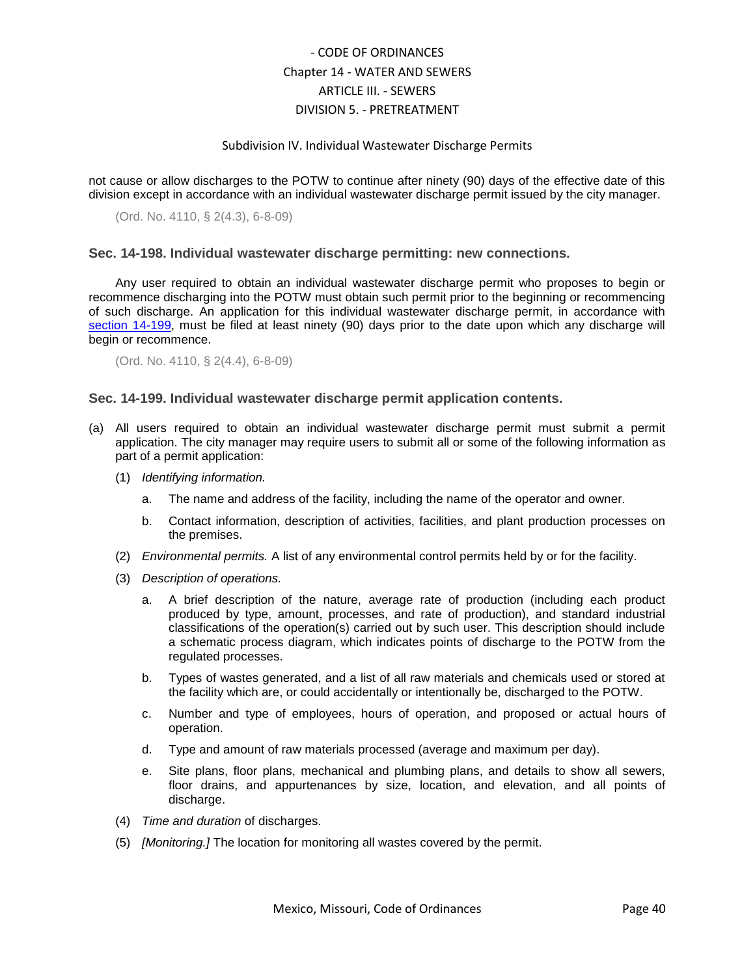#### Subdivision IV. Individual Wastewater Discharge Permits

not cause or allow discharges to the POTW to continue after ninety (90) days of the effective date of this division except in accordance with an individual wastewater discharge permit issued by the city manager.

(Ord. No. 4110, § 2(4.3), 6-8-09)

#### <span id="page-39-0"></span>**Sec. 14-198. Individual wastewater discharge permitting: new connections.**

Any user required to obtain an individual wastewater discharge permit who proposes to begin or recommence discharging into the POTW must obtain such permit prior to the beginning or recommencing of such discharge. An application for this individual wastewater discharge permit, in accordance wit[h](../level5/COOR_CH14WASE_ARTIIISE_DIV5PR_SDIVINWADIPE.docx#COOR_CH14WASE_ARTIIISE_DIV5PR_SDIVINWADIPE_S14-199INWADIPEAPCO) [section 14-199,](../level5/COOR_CH14WASE_ARTIIISE_DIV5PR_SDIVINWADIPE.docx#COOR_CH14WASE_ARTIIISE_DIV5PR_SDIVINWADIPE_S14-199INWADIPEAPCO) must be filed at least ninety (90) days prior to the date upon which any discharge will begin or recommence.

(Ord. No. 4110, § 2(4.4), 6-8-09)

#### <span id="page-39-1"></span>**Sec. 14-199. Individual wastewater discharge permit application contents.**

- (a) All users required to obtain an individual wastewater discharge permit must submit a permit application. The city manager may require users to submit all or some of the following information as part of a permit application:
	- (1) *Identifying information.*
		- a. The name and address of the facility, including the name of the operator and owner.
		- b. Contact information, description of activities, facilities, and plant production processes on the premises.
	- (2) *Environmental permits.* A list of any environmental control permits held by or for the facility.
	- (3) *Description of operations.*
		- a. A brief description of the nature, average rate of production (including each product produced by type, amount, processes, and rate of production), and standard industrial classifications of the operation(s) carried out by such user. This description should include a schematic process diagram, which indicates points of discharge to the POTW from the regulated processes.
		- b. Types of wastes generated, and a list of all raw materials and chemicals used or stored at the facility which are, or could accidentally or intentionally be, discharged to the POTW.
		- c. Number and type of employees, hours of operation, and proposed or actual hours of operation.
		- d. Type and amount of raw materials processed (average and maximum per day).
		- e. Site plans, floor plans, mechanical and plumbing plans, and details to show all sewers, floor drains, and appurtenances by size, location, and elevation, and all points of discharge.
	- (4) *Time and duration* of discharges.
	- (5) *[Monitoring.]* The location for monitoring all wastes covered by the permit.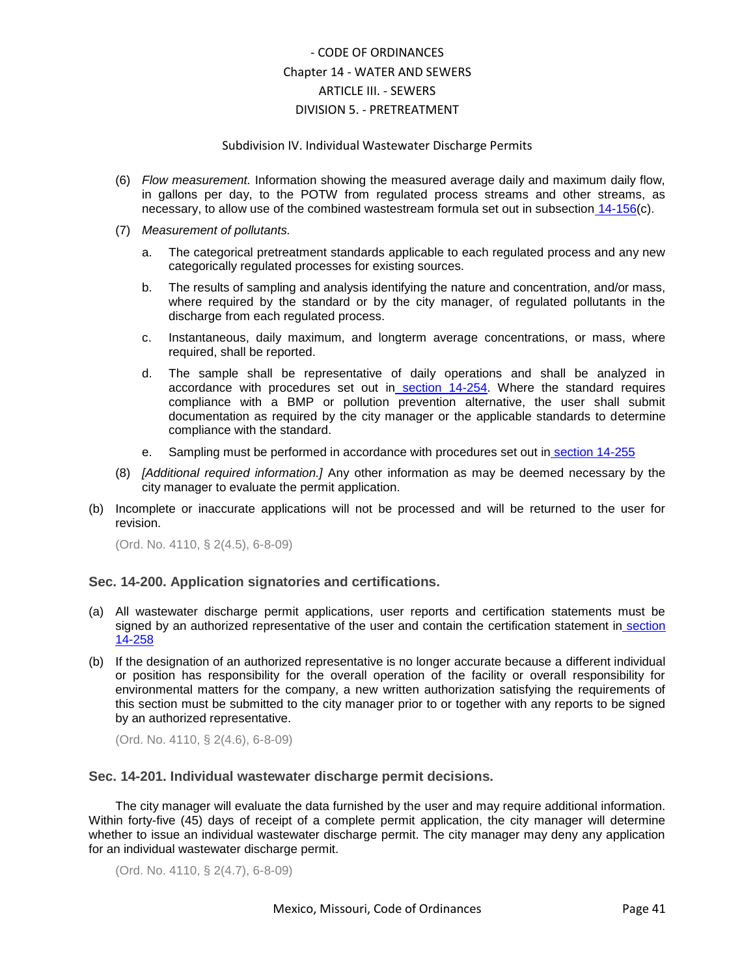### Subdivision IV. Individual Wastewater Discharge Permits

- (6) *Flow measurement.* Information showing the measured average daily and maximum daily flow, in gallons per day, to the POTW from regulated process streams and other streams, as necessary, to allow use of the combined wastestream formula set out in subsection [14-156\(](../level5/COOR_CH14WASE_ARTIIISE_DIV5PR_SDIIGESEUSRE.docx#COOR_CH14WASE_ARTIIISE_DIV5PR_SDIIGESEUSRE_S14-156NACAPRST)c).
- (7) *Measurement of pollutants.*
	- a. The categorical pretreatment standards applicable to each regulated process and any new categorically regulated processes for existing sources.
	- b. The results of sampling and analysis identifying the nature and concentration, and/or mass, where required by the standard or by the city manager, of regulated pollutants in the discharge from each regulated process.
	- c. Instantaneous, daily maximum, and longterm average concentrations, or mass, where required, shall be reported.
	- d. The sample shall be representative of daily operations and shall be analyzed in accordance with procedures set out in [section 14-254.](../level5/COOR_CH14WASE_ARTIIISE_DIV5PR_SDVIRERE.docx#COOR_CH14WASE_ARTIIISE_DIV5PR_SDVIRERE_S14-254ANRE) Where the standard requires compliance with a BMP or pollution prevention alternative, the user shall submit documentation as required by the city manager or the applicable standards to determine compliance with the standard.
	- e. Sampling must be performed in accordance with procedures set out in [section 14-255](../level5/COOR_CH14WASE_ARTIIISE_DIV5PR_SDVIRERE.docx#COOR_CH14WASE_ARTIIISE_DIV5PR_SDVIRERE_S14-255SACO)
- (8) *[Additional required information.]* Any other information as may be deemed necessary by the city manager to evaluate the permit application.
- (b) Incomplete or inaccurate applications will not be processed and will be returned to the user for revision.

(Ord. No. 4110, § 2(4.5), 6-8-09)

### <span id="page-40-0"></span>**Sec. 14-200. Application signatories and certifications.**

- (a) All wastewater discharge permit applications, user reports and certification statements must be signed by an authorized representative of the user and contain the certification statement in [section](../level5/COOR_CH14WASE_ARTIIISE_DIV5PR_SDVIRERE.docx#COOR_CH14WASE_ARTIIISE_DIV5PR_SDVIRERE_S14-258CEST)  [14-258](../level5/COOR_CH14WASE_ARTIIISE_DIV5PR_SDVIRERE.docx#COOR_CH14WASE_ARTIIISE_DIV5PR_SDVIRERE_S14-258CEST)
- (b) If the designation of an authorized representative is no longer accurate because a different individual or position has responsibility for the overall operation of the facility or overall responsibility for environmental matters for the company, a new written authorization satisfying the requirements of this section must be submitted to the city manager prior to or together with any reports to be signed by an authorized representative.

(Ord. No. 4110, § 2(4.6), 6-8-09)

### <span id="page-40-1"></span>**Sec. 14-201. Individual wastewater discharge permit decisions.**

The city manager will evaluate the data furnished by the user and may require additional information. Within forty-five (45) days of receipt of a complete permit application, the city manager will determine whether to issue an individual wastewater discharge permit. The city manager may deny any application for an individual wastewater discharge permit.

(Ord. No. 4110, § 2(4.7), 6-8-09)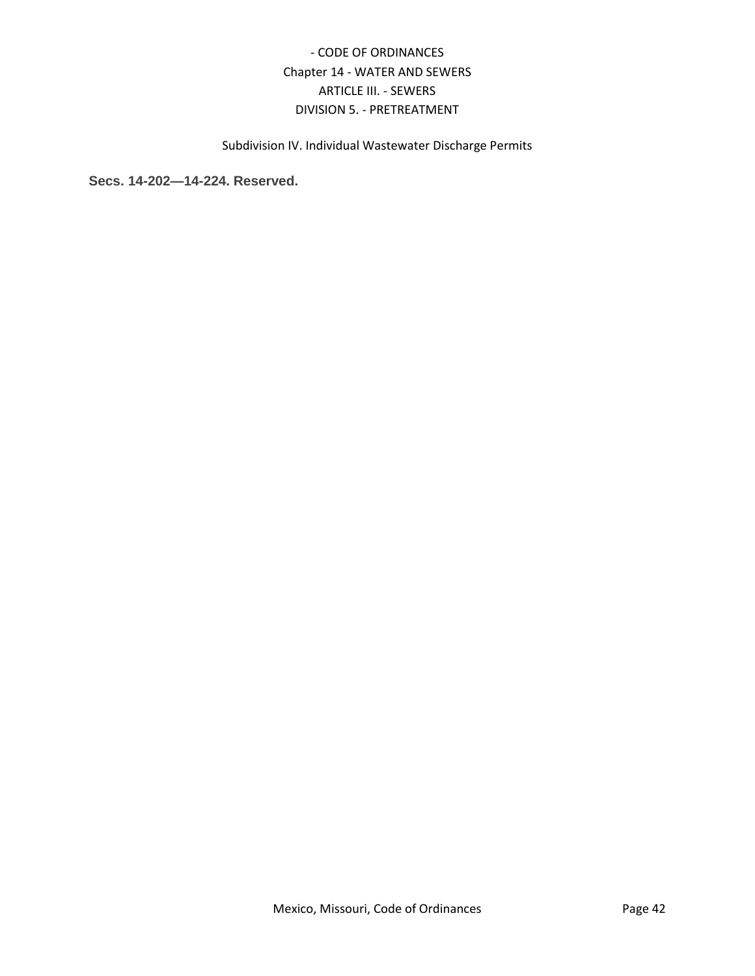Subdivision IV. Individual Wastewater Discharge Permits

<span id="page-41-0"></span>**Secs. 14-202—14-224. Reserved.**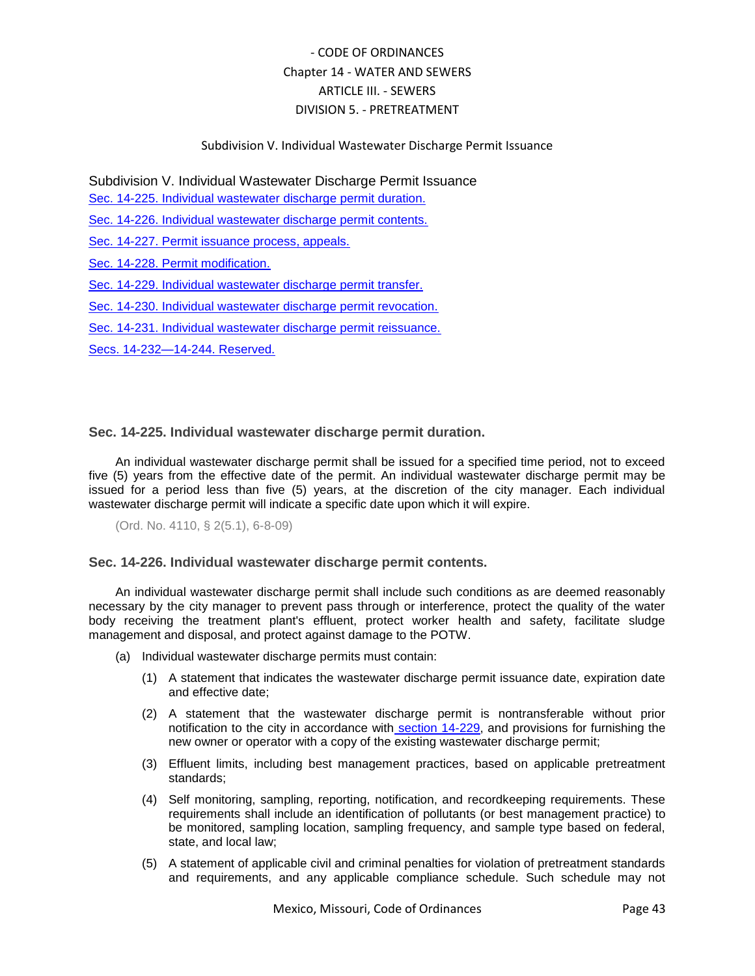## Subdivision V. Individual Wastewater Discharge Permit Issuance

Subdivision V. Individual Wastewater Discharge Permit Issuance

[Sec. 14-225. Individual wastewater](#page-42-0) discharge permit duration.

[Sec. 14-226. Individual wastewater discharge permit contents.](#page-42-1)

[Sec. 14-227. Permit issuance process, appeals.](#page-43-0)

[Sec. 14-228. Permit modification.](#page-44-0)

[Sec. 14-229. Individual wastewater discharge permit transfer.](#page-44-1)

[Sec. 14-230. Individual wastewater discharge permit revocation.](#page-45-0)

[Sec. 14-231. Individual wastewater discharge permit reissuance.](#page-45-1)

[Secs. 14-232—14-244. Reserved.](#page-45-2)

## <span id="page-42-0"></span>**Sec. 14-225. Individual wastewater discharge permit duration.**

An individual wastewater discharge permit shall be issued for a specified time period, not to exceed five (5) years from the effective date of the permit. An individual wastewater discharge permit may be issued for a period less than five (5) years, at the discretion of the city manager. Each individual wastewater discharge permit will indicate a specific date upon which it will expire.

(Ord. No. 4110, § 2(5.1), 6-8-09)

## <span id="page-42-1"></span>**Sec. 14-226. Individual wastewater discharge permit contents.**

An individual wastewater discharge permit shall include such conditions as are deemed reasonably necessary by the city manager to prevent pass through or interference, protect the quality of the water body receiving the treatment plant's effluent, protect worker health and safety, facilitate sludge management and disposal, and protect against damage to the POTW.

- (a) Individual wastewater discharge permits must contain:
	- (1) A statement that indicates the wastewater discharge permit issuance date, expiration date and effective date;
	- (2) A statement that the wastewater discharge permit is nontransferable without prior notification to the city in accordance with [section 14-229,](../level5/COOR_CH14WASE_ARTIIISE_DIV5PR_SDVINWADIPEIS.docx#COOR_CH14WASE_ARTIIISE_DIV5PR_SDVINWADIPEIS_S14-229INWADIPETR) and provisions for furnishing the new owner or operator with a copy of the existing wastewater discharge permit;
	- (3) Effluent limits, including best management practices, based on applicable pretreatment standards;
	- (4) Self monitoring, sampling, reporting, notification, and recordkeeping requirements. These requirements shall include an identification of pollutants (or best management practice) to be monitored, sampling location, sampling frequency, and sample type based on federal, state, and local law;
	- (5) A statement of applicable civil and criminal penalties for violation of pretreatment standards and requirements, and any applicable compliance schedule. Such schedule may not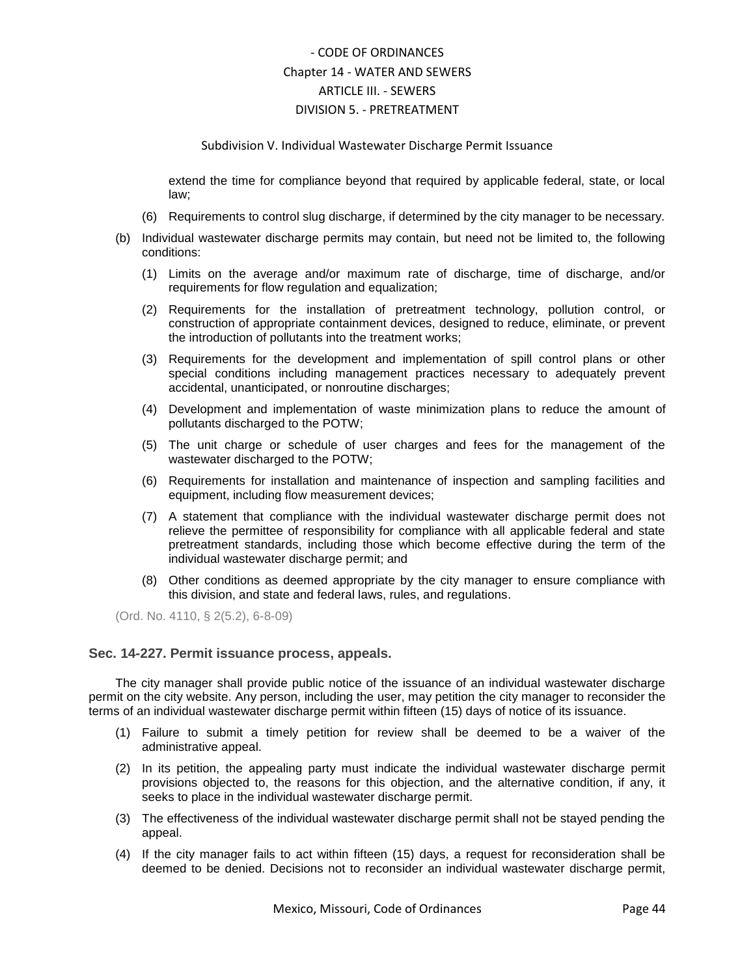#### Subdivision V. Individual Wastewater Discharge Permit Issuance

extend the time for compliance beyond that required by applicable federal, state, or local law;

- (6) Requirements to control slug discharge, if determined by the city manager to be necessary.
- (b) Individual wastewater discharge permits may contain, but need not be limited to, the following conditions:
	- (1) Limits on the average and/or maximum rate of discharge, time of discharge, and/or requirements for flow regulation and equalization;
	- (2) Requirements for the installation of pretreatment technology, pollution control, or construction of appropriate containment devices, designed to reduce, eliminate, or prevent the introduction of pollutants into the treatment works;
	- (3) Requirements for the development and implementation of spill control plans or other special conditions including management practices necessary to adequately prevent accidental, unanticipated, or nonroutine discharges;
	- (4) Development and implementation of waste minimization plans to reduce the amount of pollutants discharged to the POTW;
	- (5) The unit charge or schedule of user charges and fees for the management of the wastewater discharged to the POTW;
	- (6) Requirements for installation and maintenance of inspection and sampling facilities and equipment, including flow measurement devices;
	- (7) A statement that compliance with the individual wastewater discharge permit does not relieve the permittee of responsibility for compliance with all applicable federal and state pretreatment standards, including those which become effective during the term of the individual wastewater discharge permit; and
	- (8) Other conditions as deemed appropriate by the city manager to ensure compliance with this division, and state and federal laws, rules, and regulations.

(Ord. No. 4110, § 2(5.2), 6-8-09)

### <span id="page-43-0"></span>**Sec. 14-227. Permit issuance process, appeals.**

The city manager shall provide public notice of the issuance of an individual wastewater discharge permit on the city website. Any person, including the user, may petition the city manager to reconsider the terms of an individual wastewater discharge permit within fifteen (15) days of notice of its issuance.

- (1) Failure to submit a timely petition for review shall be deemed to be a waiver of the administrative appeal.
- (2) In its petition, the appealing party must indicate the individual wastewater discharge permit provisions objected to, the reasons for this objection, and the alternative condition, if any, it seeks to place in the individual wastewater discharge permit.
- (3) The effectiveness of the individual wastewater discharge permit shall not be stayed pending the appeal.
- (4) If the city manager fails to act within fifteen (15) days, a request for reconsideration shall be deemed to be denied. Decisions not to reconsider an individual wastewater discharge permit,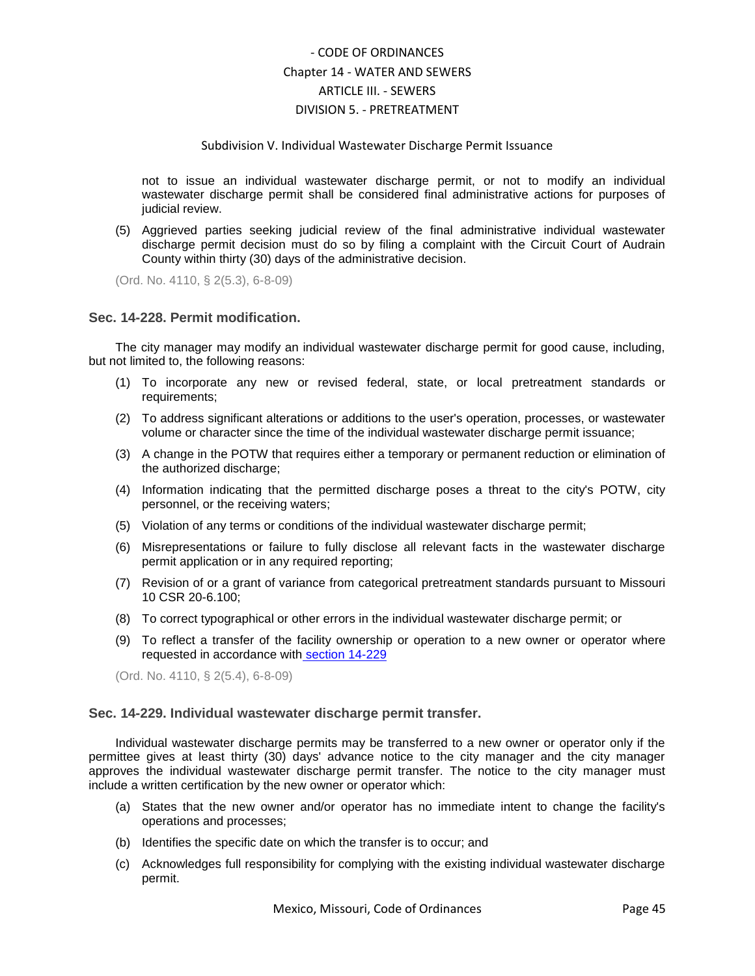#### Subdivision V. Individual Wastewater Discharge Permit Issuance

not to issue an individual wastewater discharge permit, or not to modify an individual wastewater discharge permit shall be considered final administrative actions for purposes of judicial review.

(5) Aggrieved parties seeking judicial review of the final administrative individual wastewater discharge permit decision must do so by filing a complaint with the Circuit Court of Audrain County within thirty (30) days of the administrative decision.

(Ord. No. 4110, § 2(5.3), 6-8-09)

## <span id="page-44-0"></span>**Sec. 14-228. Permit modification.**

The city manager may modify an individual wastewater discharge permit for good cause, including, but not limited to, the following reasons:

- (1) To incorporate any new or revised federal, state, or local pretreatment standards or requirements;
- (2) To address significant alterations or additions to the user's operation, processes, or wastewater volume or character since the time of the individual wastewater discharge permit issuance;
- (3) A change in the POTW that requires either a temporary or permanent reduction or elimination of the authorized discharge;
- (4) Information indicating that the permitted discharge poses a threat to the city's POTW, city personnel, or the receiving waters;
- (5) Violation of any terms or conditions of the individual wastewater discharge permit;
- (6) Misrepresentations or failure to fully disclose all relevant facts in the wastewater discharge permit application or in any required reporting;
- (7) Revision of or a grant of variance from categorical pretreatment standards pursuant to Missouri 10 CSR 20-6.100;
- (8) To correct typographical or other errors in the individual wastewater discharge permit; or
- (9) To reflect a transfer of the facility ownership or operation to a new owner or operator where requested in accordance with [section 14-229](../level5/COOR_CH14WASE_ARTIIISE_DIV5PR_SDVINWADIPEIS.docx#COOR_CH14WASE_ARTIIISE_DIV5PR_SDVINWADIPEIS_S14-229INWADIPETR)

(Ord. No. 4110, § 2(5.4), 6-8-09)

### <span id="page-44-1"></span>**Sec. 14-229. Individual wastewater discharge permit transfer.**

Individual wastewater discharge permits may be transferred to a new owner or operator only if the permittee gives at least thirty (30) days' advance notice to the city manager and the city manager approves the individual wastewater discharge permit transfer. The notice to the city manager must include a written certification by the new owner or operator which:

- (a) States that the new owner and/or operator has no immediate intent to change the facility's operations and processes;
- (b) Identifies the specific date on which the transfer is to occur; and
- (c) Acknowledges full responsibility for complying with the existing individual wastewater discharge permit.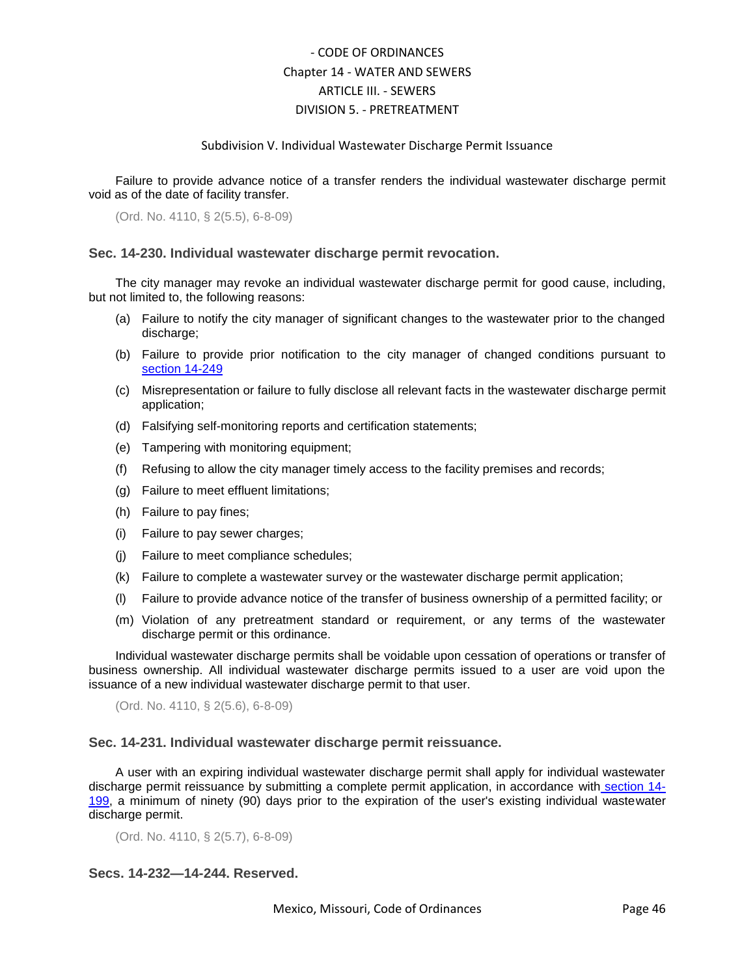### Subdivision V. Individual Wastewater Discharge Permit Issuance

Failure to provide advance notice of a transfer renders the individual wastewater discharge permit void as of the date of facility transfer.

(Ord. No. 4110, § 2(5.5), 6-8-09)

### <span id="page-45-0"></span>**Sec. 14-230. Individual wastewater discharge permit revocation.**

The city manager may revoke an individual wastewater discharge permit for good cause, including, but not limited to, the following reasons:

- (a) Failure to notify the city manager of significant changes to the wastewater prior to the changed discharge;
- (b) Failure to provide prior notification to the city manager of changed conditions pursuant t[o](../level5/COOR_CH14WASE_ARTIIISE_DIV5PR_SDVIRERE.docx#COOR_CH14WASE_ARTIIISE_DIV5PR_SDVIRERE_S14-249RECHCO) [section 14-249](../level5/COOR_CH14WASE_ARTIIISE_DIV5PR_SDVIRERE.docx#COOR_CH14WASE_ARTIIISE_DIV5PR_SDVIRERE_S14-249RECHCO)
- (c) Misrepresentation or failure to fully disclose all relevant facts in the wastewater discharge permit application;
- (d) Falsifying self-monitoring reports and certification statements;
- (e) Tampering with monitoring equipment;
- (f) Refusing to allow the city manager timely access to the facility premises and records;
- (g) Failure to meet effluent limitations;
- (h) Failure to pay fines;
- (i) Failure to pay sewer charges;
- (j) Failure to meet compliance schedules;
- (k) Failure to complete a wastewater survey or the wastewater discharge permit application;
- (l) Failure to provide advance notice of the transfer of business ownership of a permitted facility; or
- (m) Violation of any pretreatment standard or requirement, or any terms of the wastewater discharge permit or this ordinance.

Individual wastewater discharge permits shall be voidable upon cessation of operations or transfer of business ownership. All individual wastewater discharge permits issued to a user are void upon the issuance of a new individual wastewater discharge permit to that user.

(Ord. No. 4110, § 2(5.6), 6-8-09)

### <span id="page-45-1"></span>**Sec. 14-231. Individual wastewater discharge permit reissuance.**

A user with an expiring individual wastewater discharge permit shall apply for individual wastewater discharge permit reissuance by submitting a complete permit application, in accordance with [section 14-](../level5/COOR_CH14WASE_ARTIIISE_DIV5PR_SDIVINWADIPE.docx#COOR_CH14WASE_ARTIIISE_DIV5PR_SDIVINWADIPE_S14-199INWADIPEAPCO) [199,](../level5/COOR_CH14WASE_ARTIIISE_DIV5PR_SDIVINWADIPE.docx#COOR_CH14WASE_ARTIIISE_DIV5PR_SDIVINWADIPE_S14-199INWADIPEAPCO) a minimum of ninety (90) days prior to the expiration of the user's existing individual wastewater discharge permit.

(Ord. No. 4110, § 2(5.7), 6-8-09)

## <span id="page-45-2"></span>**Secs. 14-232—14-244. Reserved.**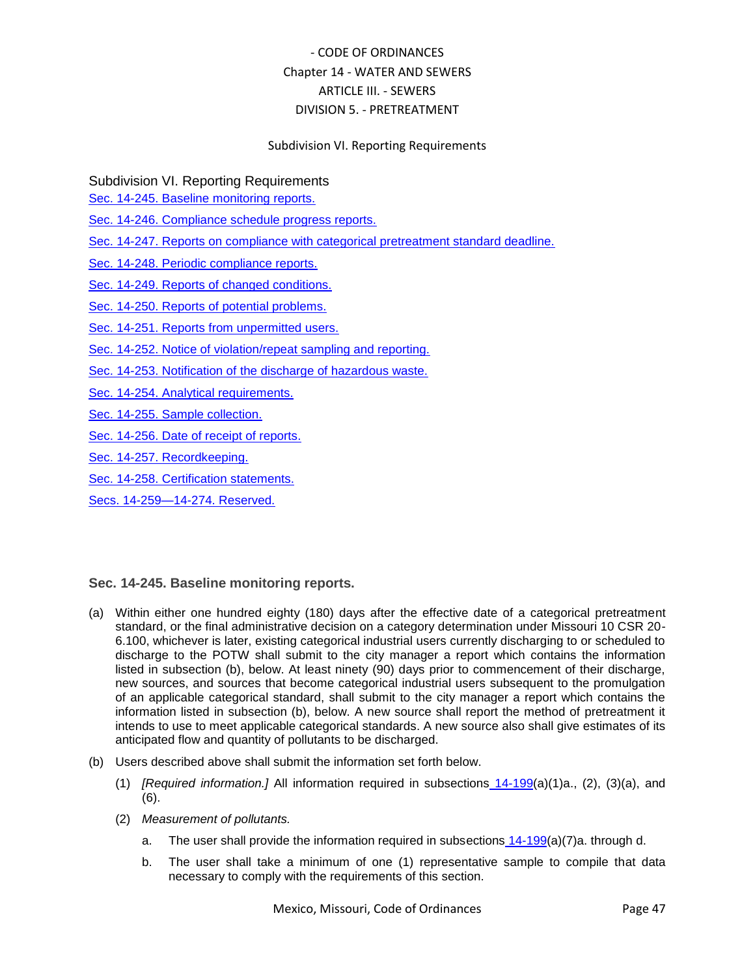## Subdivision VI. Reporting Requirements

Subdivision VI. Reporting Requirements

[Sec. 14-245. Baseline monitoring reports.](#page-46-0)

[Sec. 14-246. Compliance schedule progress reports.](#page-47-0)

[Sec. 14-247. Reports on compliance with categorical pretreatment standard deadline.](#page-48-0)

Sec. [14-248. Periodic compliance reports.](#page-48-1)

[Sec. 14-249. Reports of changed conditions.](#page-49-0)

[Sec. 14-250. Reports of potential problems.](#page-49-1)

[Sec. 14-251. Reports from unpermitted users.](#page-49-2)

[Sec. 14-252. Notice of violation/repeat sampling and reporting.](#page-50-0)

[Sec. 14-253. Notification of the discharge of hazardous waste.](#page-50-1)

[Sec. 14-254. Analytical requirements.](#page-51-0)

[Sec. 14-255. Sample collection.](#page-51-1)

[Sec. 14-256. Date of receipt of reports.](#page-52-0)

[Sec. 14-257. Recordkeeping.](#page-52-1)

[Sec. 14-258. Certification statements.](#page-52-2)

[Secs. 14-259—14-274. Reserved.](#page-52-3)

## <span id="page-46-0"></span>**Sec. 14-245. Baseline monitoring reports.**

- (a) Within either one hundred eighty (180) days after the effective date of a categorical pretreatment standard, or the final administrative decision on a category determination under Missouri 10 CSR 20- 6.100, whichever is later, existing categorical industrial users currently discharging to or scheduled to discharge to the POTW shall submit to the city manager a report which contains the information listed in subsection (b), below. At least ninety (90) days prior to commencement of their discharge, new sources, and sources that become categorical industrial users subsequent to the promulgation of an applicable categorical standard, shall submit to the city manager a report which contains the information listed in subsection (b), below. A new source shall report the method of pretreatment it intends to use to meet applicable categorical standards. A new source also shall give estimates of its anticipated flow and quantity of pollutants to be discharged.
- (b) Users described above shall submit the information set forth below.
	- (1) *[Required information.]* All information required in subsections [14-199\(](../level5/COOR_CH14WASE_ARTIIISE_DIV5PR_SDIVINWADIPE.docx#COOR_CH14WASE_ARTIIISE_DIV5PR_SDIVINWADIPE_S14-199INWADIPEAPCO)a)(1)a., (2), (3)(a), and (6).
	- (2) *Measurement of pollutants.*
		- a. The user shall provide the information required in subsections  $14-199(a)(7)a$  $14-199(a)(7)a$ . through d.
		- b. The user shall take a minimum of one (1) representative sample to compile that data necessary to comply with the requirements of this section.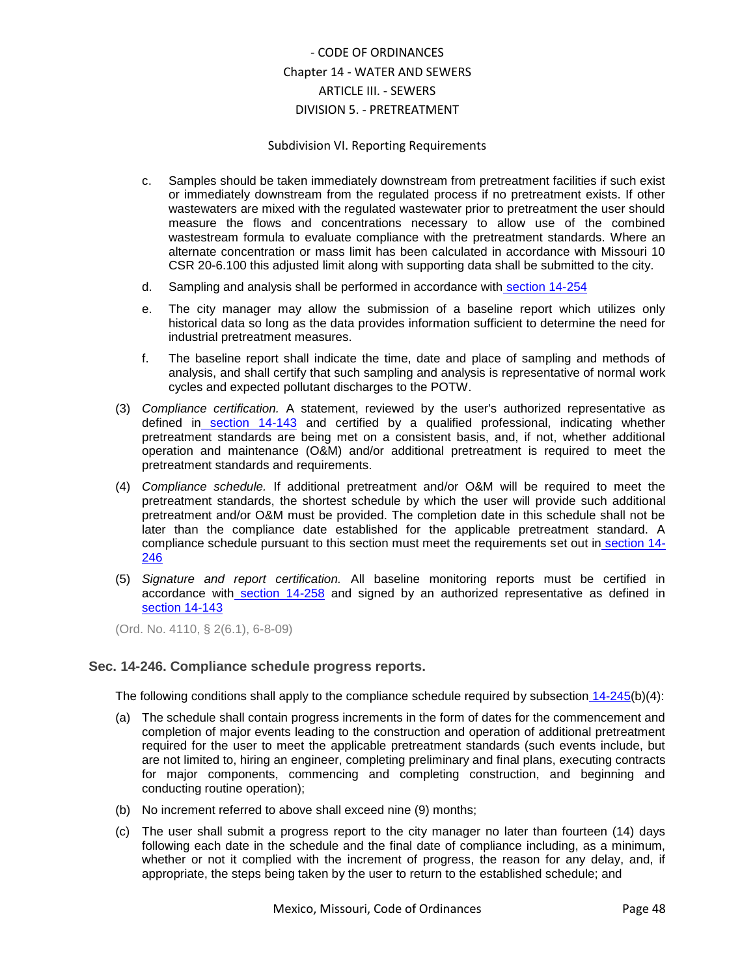### Subdivision VI. Reporting Requirements

- c. Samples should be taken immediately downstream from pretreatment facilities if such exist or immediately downstream from the regulated process if no pretreatment exists. If other wastewaters are mixed with the regulated wastewater prior to pretreatment the user should measure the flows and concentrations necessary to allow use of the combined wastestream formula to evaluate compliance with the pretreatment standards. Where an alternate concentration or mass limit has been calculated in accordance with Missouri 10 CSR 20-6.100 this adjusted limit along with supporting data shall be submitted to the city.
- d. Sampling and analysis shall be performed in accordance with [section 14-254](../level5/COOR_CH14WASE_ARTIIISE_DIV5PR_SDVIRERE.docx#COOR_CH14WASE_ARTIIISE_DIV5PR_SDVIRERE_S14-254ANRE)
- e. The city manager may allow the submission of a baseline report which utilizes only historical data so long as the data provides information sufficient to determine the need for industrial pretreatment measures.
- f. The baseline report shall indicate the time, date and place of sampling and methods of analysis, and shall certify that such sampling and analysis is representative of normal work cycles and expected pollutant discharges to the POTW.
- (3) *Compliance certification.* A statement, reviewed by the user's authorized representative as defined in [section 14-143](../level5/COOR_CH14WASE_ARTIIISE_DIV5PR_SDIGEPR.docx#COOR_CH14WASE_ARTIIISE_DIV5PR_SDIGEPR_S14-143DE) and certified by a qualified professional, indicating whether pretreatment standards are being met on a consistent basis, and, if not, whether additional operation and maintenance (O&M) and/or additional pretreatment is required to meet the pretreatment standards and requirements.
- (4) *Compliance schedule.* If additional pretreatment and/or O&M will be required to meet the pretreatment standards, the shortest schedule by which the user will provide such additional pretreatment and/or O&M must be provided. The completion date in this schedule shall not be later than the compliance date established for the applicable pretreatment standard. A compliance schedule pursuant to this section must meet the requirements set out in [section 14-](../level5/COOR_CH14WASE_ARTIIISE_DIV5PR_SDVIRERE.docx#COOR_CH14WASE_ARTIIISE_DIV5PR_SDVIRERE_S14-246COSCPRRE) [246](../level5/COOR_CH14WASE_ARTIIISE_DIV5PR_SDVIRERE.docx#COOR_CH14WASE_ARTIIISE_DIV5PR_SDVIRERE_S14-246COSCPRRE)
- (5) *Signature and report certification.* All baseline monitoring reports must be certified in accordance with [section 14-258](../level5/COOR_CH14WASE_ARTIIISE_DIV5PR_SDVIRERE.docx#COOR_CH14WASE_ARTIIISE_DIV5PR_SDVIRERE_S14-258CEST) and signed by an authorized representative as defined i[n](../level5/COOR_CH14WASE_ARTIIISE_DIV5PR_SDIGEPR.docx#COOR_CH14WASE_ARTIIISE_DIV5PR_SDIGEPR_S14-143DE) [section 14-143](../level5/COOR_CH14WASE_ARTIIISE_DIV5PR_SDIGEPR.docx#COOR_CH14WASE_ARTIIISE_DIV5PR_SDIGEPR_S14-143DE)

(Ord. No. 4110, § 2(6.1), 6-8-09)

## <span id="page-47-0"></span>**Sec. 14-246. Compliance schedule progress reports.**

The following conditions shall apply to the compliance schedule required by subsection [14-245\(](../level5/COOR_CH14WASE_ARTIIISE_DIV5PR_SDVIRERE.docx#COOR_CH14WASE_ARTIIISE_DIV5PR_SDVIRERE_S14-245BAMORE)b)(4):

- (a) The schedule shall contain progress increments in the form of dates for the commencement and completion of major events leading to the construction and operation of additional pretreatment required for the user to meet the applicable pretreatment standards (such events include, but are not limited to, hiring an engineer, completing preliminary and final plans, executing contracts for major components, commencing and completing construction, and beginning and conducting routine operation);
- (b) No increment referred to above shall exceed nine (9) months;
- (c) The user shall submit a progress report to the city manager no later than fourteen (14) days following each date in the schedule and the final date of compliance including, as a minimum, whether or not it complied with the increment of progress, the reason for any delay, and, if appropriate, the steps being taken by the user to return to the established schedule; and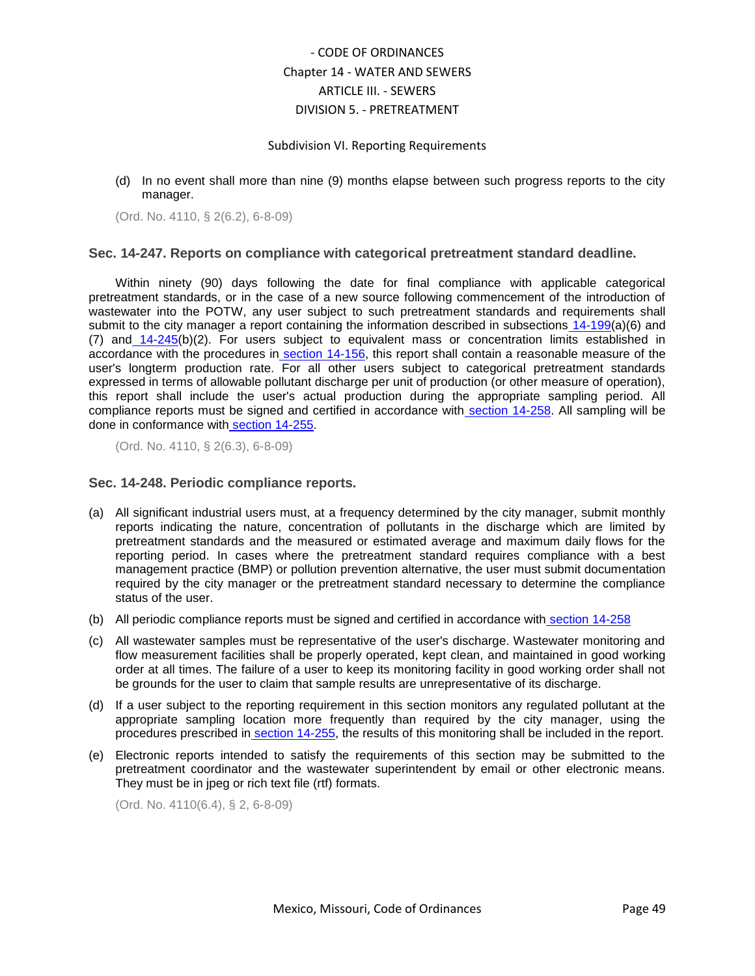### Subdivision VI. Reporting Requirements

(d) In no event shall more than nine (9) months elapse between such progress reports to the city manager.

(Ord. No. 4110, § 2(6.2), 6-8-09)

### <span id="page-48-0"></span>**Sec. 14-247. Reports on compliance with categorical pretreatment standard deadline.**

Within ninety (90) days following the date for final compliance with applicable categorical pretreatment standards, or in the case of a new source following commencement of the introduction of wastewater into the POTW, any user subject to such pretreatment standards and requirements shall submit to the city manager a report containing the information described in subsections [14-199\(](../level5/COOR_CH14WASE_ARTIIISE_DIV5PR_SDIVINWADIPE.docx#COOR_CH14WASE_ARTIIISE_DIV5PR_SDIVINWADIPE_S14-199INWADIPEAPCO)a)(6) and (7) and [14-245\(](../level5/COOR_CH14WASE_ARTIIISE_DIV5PR_SDVIRERE.docx#COOR_CH14WASE_ARTIIISE_DIV5PR_SDVIRERE_S14-245BAMORE)b)(2). For users subject to equivalent mass or concentration limits established in accordance with the procedures in [section 14-156,](../level5/COOR_CH14WASE_ARTIIISE_DIV5PR_SDIIGESEUSRE.docx#COOR_CH14WASE_ARTIIISE_DIV5PR_SDIIGESEUSRE_S14-156NACAPRST) this report shall contain a reasonable measure of the user's longterm production rate. For all other users subject to categorical pretreatment standards expressed in terms of allowable pollutant discharge per unit of production (or other measure of operation), this report shall include the user's actual production during the appropriate sampling period. All compliance reports must be signed and certified in accordance with [section 14-258.](../level5/COOR_CH14WASE_ARTIIISE_DIV5PR_SDVIRERE.docx#COOR_CH14WASE_ARTIIISE_DIV5PR_SDVIRERE_S14-258CEST) All sampling will be done in conformance with [section 14-255.](../level5/COOR_CH14WASE_ARTIIISE_DIV5PR_SDVIRERE.docx#COOR_CH14WASE_ARTIIISE_DIV5PR_SDVIRERE_S14-255SACO)

(Ord. No. 4110, § 2(6.3), 6-8-09)

### <span id="page-48-1"></span>**Sec. 14-248. Periodic compliance reports.**

- (a) All significant industrial users must, at a frequency determined by the city manager, submit monthly reports indicating the nature, concentration of pollutants in the discharge which are limited by pretreatment standards and the measured or estimated average and maximum daily flows for the reporting period. In cases where the pretreatment standard requires compliance with a best management practice (BMP) or pollution prevention alternative, the user must submit documentation required by the city manager or the pretreatment standard necessary to determine the compliance status of the user.
- (b) All periodic compliance reports must be signed and certified in accordance with [section 14-258](../level5/COOR_CH14WASE_ARTIIISE_DIV5PR_SDVIRERE.docx#COOR_CH14WASE_ARTIIISE_DIV5PR_SDVIRERE_S14-258CEST)
- (c) All wastewater samples must be representative of the user's discharge. Wastewater monitoring and flow measurement facilities shall be properly operated, kept clean, and maintained in good working order at all times. The failure of a user to keep its monitoring facility in good working order shall not be grounds for the user to claim that sample results are unrepresentative of its discharge.
- (d) If a user subject to the reporting requirement in this section monitors any regulated pollutant at the appropriate sampling location more frequently than required by the city manager, using the procedures prescribed in [section 14-255,](../level5/COOR_CH14WASE_ARTIIISE_DIV5PR_SDVIRERE.docx#COOR_CH14WASE_ARTIIISE_DIV5PR_SDVIRERE_S14-255SACO) the results of this monitoring shall be included in the report.
- (e) Electronic reports intended to satisfy the requirements of this section may be submitted to the pretreatment coordinator and the wastewater superintendent by email or other electronic means. They must be in jpeg or rich text file (rtf) formats.

(Ord. No. 4110(6.4), § 2, 6-8-09)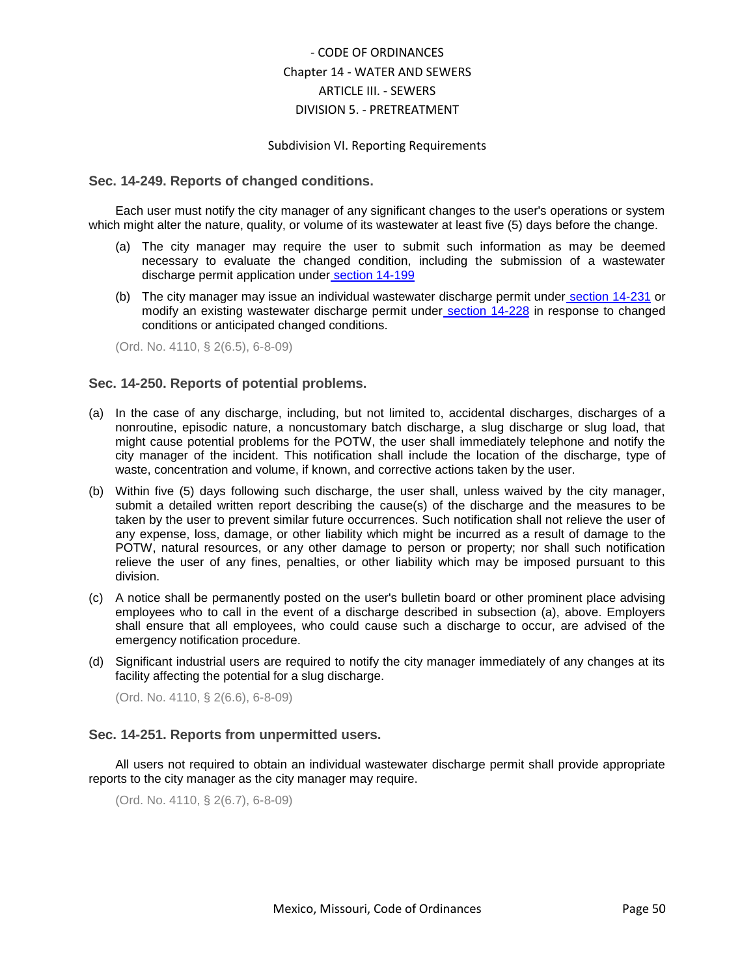### Subdivision VI. Reporting Requirements

#### <span id="page-49-0"></span>**Sec. 14-249. Reports of changed conditions.**

Each user must notify the city manager of any significant changes to the user's operations or system which might alter the nature, quality, or volume of its wastewater at least five (5) days before the change.

- (a) The city manager may require the user to submit such information as may be deemed necessary to evaluate the changed condition, including the submission of a wastewater discharge permit application under [section 14-199](../level5/COOR_CH14WASE_ARTIIISE_DIV5PR_SDIVINWADIPE.docx#COOR_CH14WASE_ARTIIISE_DIV5PR_SDIVINWADIPE_S14-199INWADIPEAPCO)
- (b) The city manager may issue an individual wastewater discharge permit under [section 14-231](../level5/COOR_CH14WASE_ARTIIISE_DIV5PR_SDVINWADIPEIS.docx#COOR_CH14WASE_ARTIIISE_DIV5PR_SDVINWADIPEIS_S14-231INWADIPERE) or modify an existing wastewater discharge permit under [section 14-228](../level5/COOR_CH14WASE_ARTIIISE_DIV5PR_SDVINWADIPEIS.docx#COOR_CH14WASE_ARTIIISE_DIV5PR_SDVINWADIPEIS_S14-228PEMO) in response to changed conditions or anticipated changed conditions.

(Ord. No. 4110, § 2(6.5), 6-8-09)

### <span id="page-49-1"></span>**Sec. 14-250. Reports of potential problems.**

- (a) In the case of any discharge, including, but not limited to, accidental discharges, discharges of a nonroutine, episodic nature, a noncustomary batch discharge, a slug discharge or slug load, that might cause potential problems for the POTW, the user shall immediately telephone and notify the city manager of the incident. This notification shall include the location of the discharge, type of waste, concentration and volume, if known, and corrective actions taken by the user.
- (b) Within five (5) days following such discharge, the user shall, unless waived by the city manager, submit a detailed written report describing the cause(s) of the discharge and the measures to be taken by the user to prevent similar future occurrences. Such notification shall not relieve the user of any expense, loss, damage, or other liability which might be incurred as a result of damage to the POTW, natural resources, or any other damage to person or property; nor shall such notification relieve the user of any fines, penalties, or other liability which may be imposed pursuant to this division.
- (c) A notice shall be permanently posted on the user's bulletin board or other prominent place advising employees who to call in the event of a discharge described in subsection (a), above. Employers shall ensure that all employees, who could cause such a discharge to occur, are advised of the emergency notification procedure.
- (d) Significant industrial users are required to notify the city manager immediately of any changes at its facility affecting the potential for a slug discharge.

(Ord. No. 4110, § 2(6.6), 6-8-09)

### <span id="page-49-2"></span>**Sec. 14-251. Reports from unpermitted users.**

All users not required to obtain an individual wastewater discharge permit shall provide appropriate reports to the city manager as the city manager may require.

(Ord. No. 4110, § 2(6.7), 6-8-09)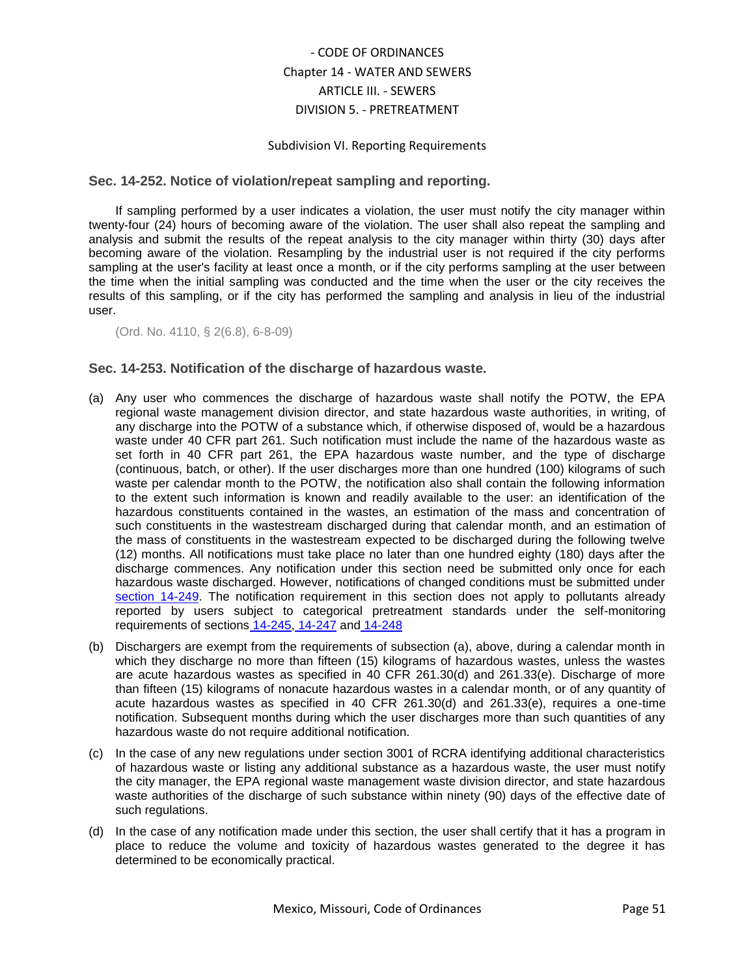### Subdivision VI. Reporting Requirements

## <span id="page-50-0"></span>**Sec. 14-252. Notice of violation/repeat sampling and reporting.**

If sampling performed by a user indicates a violation, the user must notify the city manager within twenty-four (24) hours of becoming aware of the violation. The user shall also repeat the sampling and analysis and submit the results of the repeat analysis to the city manager within thirty (30) days after becoming aware of the violation. Resampling by the industrial user is not required if the city performs sampling at the user's facility at least once a month, or if the city performs sampling at the user between the time when the initial sampling was conducted and the time when the user or the city receives the results of this sampling, or if the city has performed the sampling and analysis in lieu of the industrial user.

(Ord. No. 4110, § 2(6.8), 6-8-09)

## <span id="page-50-1"></span>**Sec. 14-253. Notification of the discharge of hazardous waste.**

- (a) Any user who commences the discharge of hazardous waste shall notify the POTW, the EPA regional waste management division director, and state hazardous waste authorities, in writing, of any discharge into the POTW of a substance which, if otherwise disposed of, would be a hazardous waste under 40 CFR part 261. Such notification must include the name of the hazardous waste as set forth in 40 CFR part 261, the EPA hazardous waste number, and the type of discharge (continuous, batch, or other). If the user discharges more than one hundred (100) kilograms of such waste per calendar month to the POTW, the notification also shall contain the following information to the extent such information is known and readily available to the user: an identification of the hazardous constituents contained in the wastes, an estimation of the mass and concentration of such constituents in the wastestream discharged during that calendar month, and an estimation of the mass of constituents in the wastestream expected to be discharged during the following twelve (12) months. All notifications must take place no later than one hundred eighty (180) days after the discharge commences. Any notification under this section need be submitted only once for each hazardous waste discharged. However, notifications of changed conditions must be submitted unde[r](../level5/COOR_CH14WASE_ARTIIISE_DIV5PR_SDVIRERE.docx#COOR_CH14WASE_ARTIIISE_DIV5PR_SDVIRERE_S14-249RECHCO) [section 14-249.](../level5/COOR_CH14WASE_ARTIIISE_DIV5PR_SDVIRERE.docx#COOR_CH14WASE_ARTIIISE_DIV5PR_SDVIRERE_S14-249RECHCO) The notification requirement in this section does not apply to pollutants already reported by users subject to categorical pretreatment standards under the self-monitoring requirements of sections [14-245,](../level5/COOR_CH14WASE_ARTIIISE_DIV5PR_SDVIRERE.docx#COOR_CH14WASE_ARTIIISE_DIV5PR_SDVIRERE_S14-245BAMORE) [14-247](../level5/COOR_CH14WASE_ARTIIISE_DIV5PR_SDVIRERE.docx#COOR_CH14WASE_ARTIIISE_DIV5PR_SDVIRERE_S14-247RECOCAPRSTDE) and [14-248](../level5/COOR_CH14WASE_ARTIIISE_DIV5PR_SDVIRERE.docx#COOR_CH14WASE_ARTIIISE_DIV5PR_SDVIRERE_S14-248PECORE)
- (b) Dischargers are exempt from the requirements of subsection (a), above, during a calendar month in which they discharge no more than fifteen (15) kilograms of hazardous wastes, unless the wastes are acute hazardous wastes as specified in 40 CFR 261.30(d) and 261.33(e). Discharge of more than fifteen (15) kilograms of nonacute hazardous wastes in a calendar month, or of any quantity of acute hazardous wastes as specified in 40 CFR 261.30(d) and 261.33(e), requires a one-time notification. Subsequent months during which the user discharges more than such quantities of any hazardous waste do not require additional notification.
- (c) In the case of any new regulations under section 3001 of RCRA identifying additional characteristics of hazardous waste or listing any additional substance as a hazardous waste, the user must notify the city manager, the EPA regional waste management waste division director, and state hazardous waste authorities of the discharge of such substance within ninety (90) days of the effective date of such regulations.
- (d) In the case of any notification made under this section, the user shall certify that it has a program in place to reduce the volume and toxicity of hazardous wastes generated to the degree it has determined to be economically practical.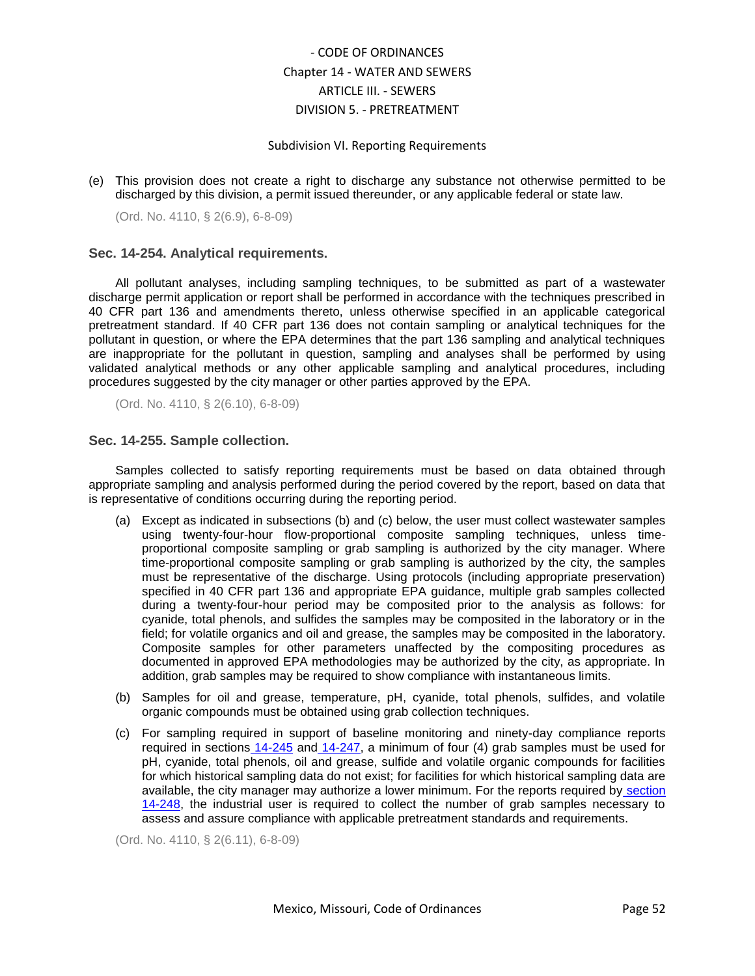#### Subdivision VI. Reporting Requirements

(e) This provision does not create a right to discharge any substance not otherwise permitted to be discharged by this division, a permit issued thereunder, or any applicable federal or state law.

(Ord. No. 4110, § 2(6.9), 6-8-09)

### <span id="page-51-0"></span>**Sec. 14-254. Analytical requirements.**

All pollutant analyses, including sampling techniques, to be submitted as part of a wastewater discharge permit application or report shall be performed in accordance with the techniques prescribed in 40 CFR part 136 and amendments thereto, unless otherwise specified in an applicable categorical pretreatment standard. If 40 CFR part 136 does not contain sampling or analytical techniques for the pollutant in question, or where the EPA determines that the part 136 sampling and analytical techniques are inappropriate for the pollutant in question, sampling and analyses shall be performed by using validated analytical methods or any other applicable sampling and analytical procedures, including procedures suggested by the city manager or other parties approved by the EPA.

(Ord. No. 4110, § 2(6.10), 6-8-09)

## <span id="page-51-1"></span>**Sec. 14-255. Sample collection.**

Samples collected to satisfy reporting requirements must be based on data obtained through appropriate sampling and analysis performed during the period covered by the report, based on data that is representative of conditions occurring during the reporting period.

- (a) Except as indicated in subsections (b) and (c) below, the user must collect wastewater samples using twenty-four-hour flow-proportional composite sampling techniques, unless timeproportional composite sampling or grab sampling is authorized by the city manager. Where time-proportional composite sampling or grab sampling is authorized by the city, the samples must be representative of the discharge. Using protocols (including appropriate preservation) specified in 40 CFR part 136 and appropriate EPA guidance, multiple grab samples collected during a twenty-four-hour period may be composited prior to the analysis as follows: for cyanide, total phenols, and sulfides the samples may be composited in the laboratory or in the field; for volatile organics and oil and grease, the samples may be composited in the laboratory. Composite samples for other parameters unaffected by the compositing procedures as documented in approved EPA methodologies may be authorized by the city, as appropriate. In addition, grab samples may be required to show compliance with instantaneous limits.
- (b) Samples for oil and grease, temperature, pH, cyanide, total phenols, sulfides, and volatile organic compounds must be obtained using grab collection techniques.
- (c) For sampling required in support of baseline monitoring and ninety-day compliance reports required in sections [14-245](../level5/COOR_CH14WASE_ARTIIISE_DIV5PR_SDVIRERE.docx#COOR_CH14WASE_ARTIIISE_DIV5PR_SDVIRERE_S14-245BAMORE) and [14-247,](../level5/COOR_CH14WASE_ARTIIISE_DIV5PR_SDVIRERE.docx#COOR_CH14WASE_ARTIIISE_DIV5PR_SDVIRERE_S14-247RECOCAPRSTDE) a minimum of four (4) grab samples must be used for pH, cyanide, total phenols, oil and grease, sulfide and volatile organic compounds for facilities for which historical sampling data do not exist; for facilities for which historical sampling data are available, the city manager may authorize a lower minimum. For the reports required by [section](../level5/COOR_CH14WASE_ARTIIISE_DIV5PR_SDVIRERE.docx#COOR_CH14WASE_ARTIIISE_DIV5PR_SDVIRERE_S14-248PECORE)  [14-248,](../level5/COOR_CH14WASE_ARTIIISE_DIV5PR_SDVIRERE.docx#COOR_CH14WASE_ARTIIISE_DIV5PR_SDVIRERE_S14-248PECORE) the industrial user is required to collect the number of grab samples necessary to assess and assure compliance with applicable pretreatment standards and requirements.

(Ord. No. 4110, § 2(6.11), 6-8-09)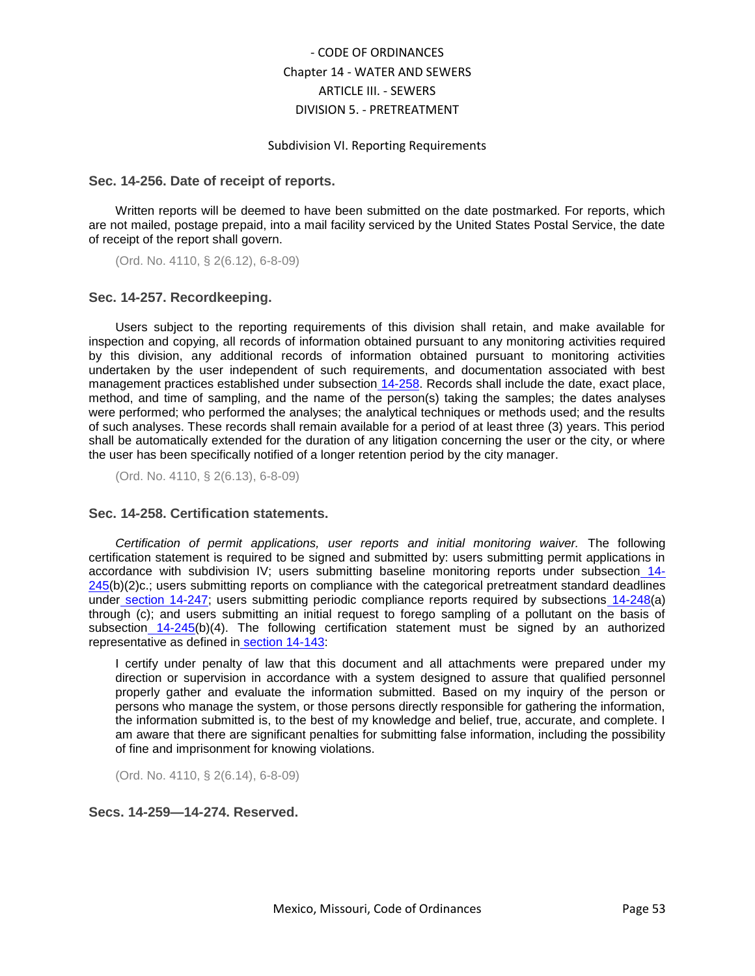#### Subdivision VI. Reporting Requirements

#### <span id="page-52-0"></span>**Sec. 14-256. Date of receipt of reports.**

Written reports will be deemed to have been submitted on the date postmarked. For reports, which are not mailed, postage prepaid, into a mail facility serviced by the United States Postal Service, the date of receipt of the report shall govern.

(Ord. No. 4110, § 2(6.12), 6-8-09)

### <span id="page-52-1"></span>**Sec. 14-257. Recordkeeping.**

Users subject to the reporting requirements of this division shall retain, and make available for inspection and copying, all records of information obtained pursuant to any monitoring activities required by this division, any additional records of information obtained pursuant to monitoring activities undertaken by the user independent of such requirements, and documentation associated with best management practices established under subsection [14-258.](../level5/COOR_CH14WASE_ARTIIISE_DIV5PR_SDVIRERE.docx#COOR_CH14WASE_ARTIIISE_DIV5PR_SDVIRERE_S14-258CEST) Records shall include the date, exact place, method, and time of sampling, and the name of the person(s) taking the samples; the dates analyses were performed; who performed the analyses; the analytical techniques or methods used; and the results of such analyses. These records shall remain available for a period of at least three (3) years. This period shall be automatically extended for the duration of any litigation concerning the user or the city, or where the user has been specifically notified of a longer retention period by the city manager.

(Ord. No. 4110, § 2(6.13), 6-8-09)

### <span id="page-52-2"></span>**Sec. 14-258. Certification statements.**

*Certification of permit applications, user reports and initial monitoring waiver.* The following certification statement is required to be signed and submitted by: users submitting permit applications in accordance with subdivision IV; users submitting baseline monitoring reports under subsection [14-](../level5/COOR_CH14WASE_ARTIIISE_DIV5PR_SDVIRERE.docx#COOR_CH14WASE_ARTIIISE_DIV5PR_SDVIRERE_S14-245BAMORE) [245\(](../level5/COOR_CH14WASE_ARTIIISE_DIV5PR_SDVIRERE.docx#COOR_CH14WASE_ARTIIISE_DIV5PR_SDVIRERE_S14-245BAMORE)b)(2)c.; users submitting reports on compliance with the categorical pretreatment standard deadlines under [section 14-247;](../level5/COOR_CH14WASE_ARTIIISE_DIV5PR_SDVIRERE.docx#COOR_CH14WASE_ARTIIISE_DIV5PR_SDVIRERE_S14-247RECOCAPRSTDE) users submitting periodic compliance reports required by subsections [14-248\(](../level5/COOR_CH14WASE_ARTIIISE_DIV5PR_SDVIRERE.docx#COOR_CH14WASE_ARTIIISE_DIV5PR_SDVIRERE_S14-248PECORE)a) through (c); and users submitting an initial request to forego sampling of a pollutant on the basis of subsection [14-245\(](../level5/COOR_CH14WASE_ARTIIISE_DIV5PR_SDVIRERE.docx#COOR_CH14WASE_ARTIIISE_DIV5PR_SDVIRERE_S14-245BAMORE)b)(4). The following certification statement must be signed by an authorized representative as defined in [section 14-143:](../level5/COOR_CH14WASE_ARTIIISE_DIV5PR_SDIGEPR.docx#COOR_CH14WASE_ARTIIISE_DIV5PR_SDIGEPR_S14-143DE)

I certify under penalty of law that this document and all attachments were prepared under my direction or supervision in accordance with a system designed to assure that qualified personnel properly gather and evaluate the information submitted. Based on my inquiry of the person or persons who manage the system, or those persons directly responsible for gathering the information, the information submitted is, to the best of my knowledge and belief, true, accurate, and complete. I am aware that there are significant penalties for submitting false information, including the possibility of fine and imprisonment for knowing violations.

(Ord. No. 4110, § 2(6.14), 6-8-09)

## <span id="page-52-3"></span>**Secs. 14-259—14-274. Reserved.**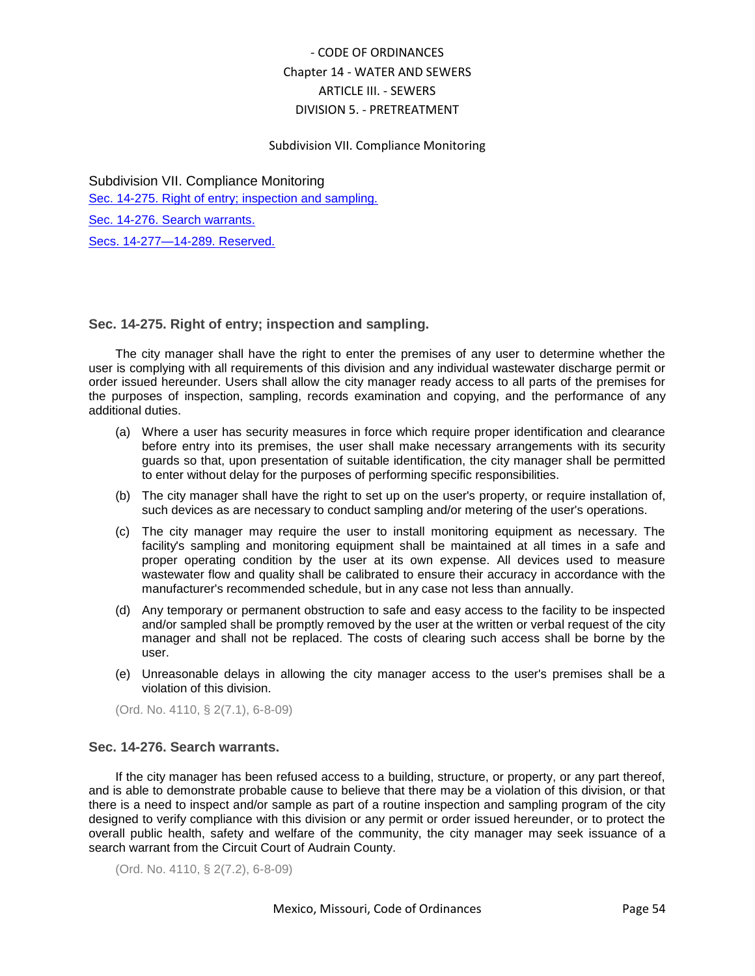## Subdivision VII. Compliance Monitoring

Subdivision VII. Compliance Monitoring [Sec. 14-275. Right of entry; inspection and sampling.](#page-53-0) [Sec. 14-276. Search warrants.](#page-53-1) [Secs. 14-277—14-289. Reserved.](#page-54-0)

## <span id="page-53-0"></span>**Sec. 14-275. Right of entry; inspection and sampling.**

The city manager shall have the right to enter the premises of any user to determine whether the user is complying with all requirements of this division and any individual wastewater discharge permit or order issued hereunder. Users shall allow the city manager ready access to all parts of the premises for the purposes of inspection, sampling, records examination and copying, and the performance of any additional duties.

- (a) Where a user has security measures in force which require proper identification and clearance before entry into its premises, the user shall make necessary arrangements with its security guards so that, upon presentation of suitable identification, the city manager shall be permitted to enter without delay for the purposes of performing specific responsibilities.
- (b) The city manager shall have the right to set up on the user's property, or require installation of, such devices as are necessary to conduct sampling and/or metering of the user's operations.
- (c) The city manager may require the user to install monitoring equipment as necessary. The facility's sampling and monitoring equipment shall be maintained at all times in a safe and proper operating condition by the user at its own expense. All devices used to measure wastewater flow and quality shall be calibrated to ensure their accuracy in accordance with the manufacturer's recommended schedule, but in any case not less than annually.
- (d) Any temporary or permanent obstruction to safe and easy access to the facility to be inspected and/or sampled shall be promptly removed by the user at the written or verbal request of the city manager and shall not be replaced. The costs of clearing such access shall be borne by the user.
- (e) Unreasonable delays in allowing the city manager access to the user's premises shall be a violation of this division.

(Ord. No. 4110, § 2(7.1), 6-8-09)

### <span id="page-53-1"></span>**Sec. 14-276. Search warrants.**

If the city manager has been refused access to a building, structure, or property, or any part thereof, and is able to demonstrate probable cause to believe that there may be a violation of this division, or that there is a need to inspect and/or sample as part of a routine inspection and sampling program of the city designed to verify compliance with this division or any permit or order issued hereunder, or to protect the overall public health, safety and welfare of the community, the city manager may seek issuance of a search warrant from the Circuit Court of Audrain County.

(Ord. No. 4110, § 2(7.2), 6-8-09)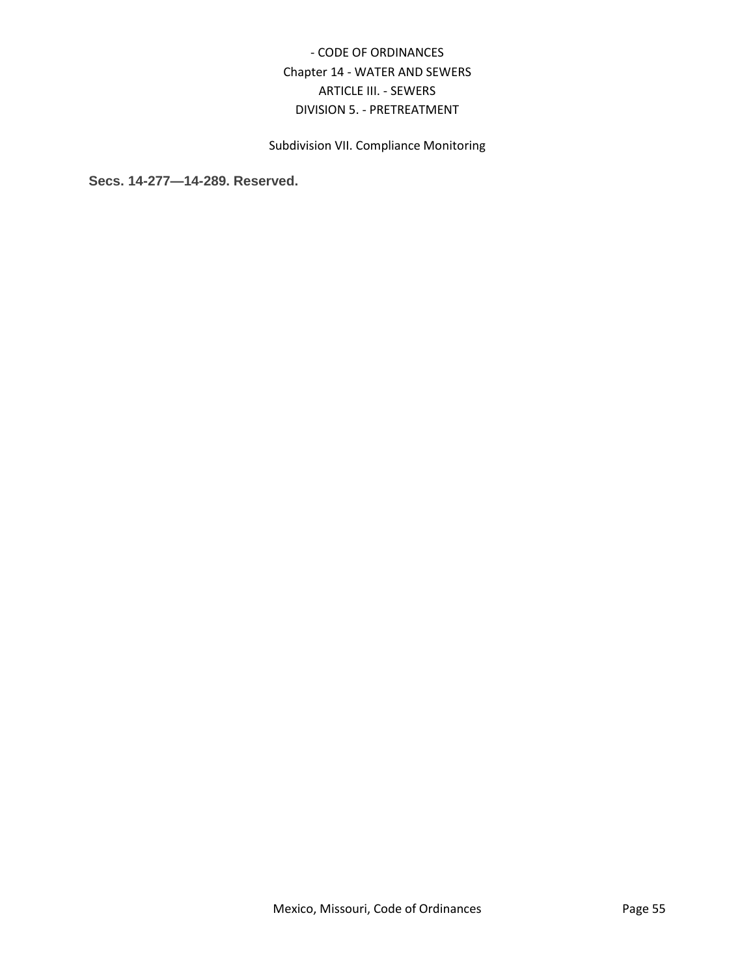# Subdivision VII. Compliance Monitoring

<span id="page-54-0"></span>**Secs. 14-277—14-289. Reserved.**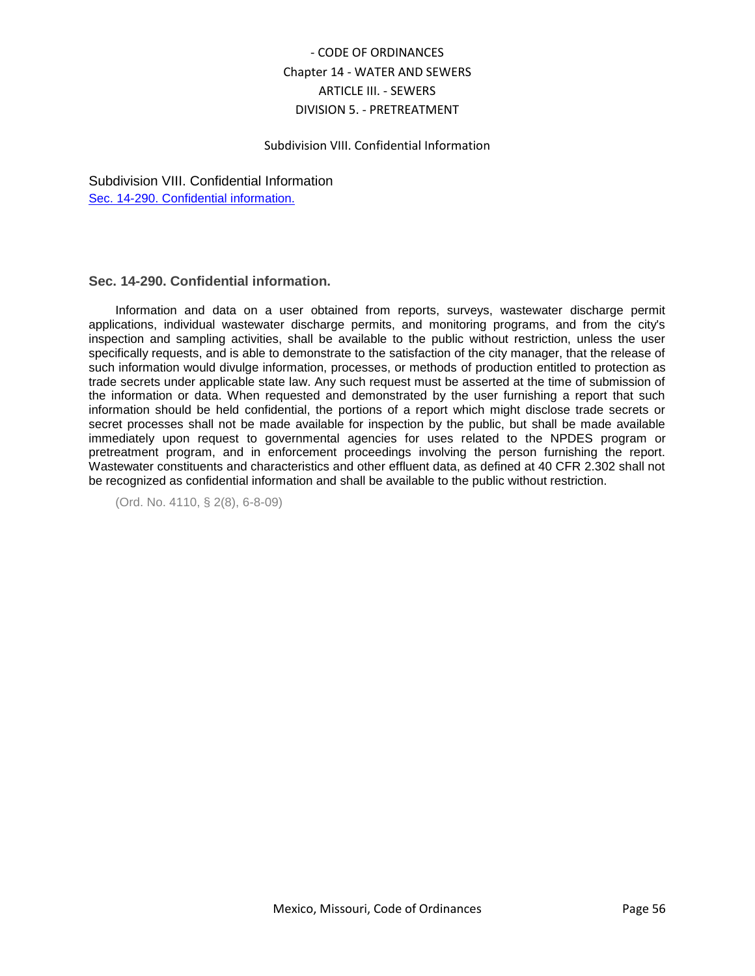### Subdivision VIII. Confidential Information

Subdivision VIII. Confidential Information [Sec. 14-290. Confidential information.](#page-55-0)

## <span id="page-55-0"></span>**Sec. 14-290. Confidential information.**

Information and data on a user obtained from reports, surveys, wastewater discharge permit applications, individual wastewater discharge permits, and monitoring programs, and from the city's inspection and sampling activities, shall be available to the public without restriction, unless the user specifically requests, and is able to demonstrate to the satisfaction of the city manager, that the release of such information would divulge information, processes, or methods of production entitled to protection as trade secrets under applicable state law. Any such request must be asserted at the time of submission of the information or data. When requested and demonstrated by the user furnishing a report that such information should be held confidential, the portions of a report which might disclose trade secrets or secret processes shall not be made available for inspection by the public, but shall be made available immediately upon request to governmental agencies for uses related to the NPDES program or pretreatment program, and in enforcement proceedings involving the person furnishing the report. Wastewater constituents and characteristics and other effluent data, as defined at 40 CFR 2.302 shall not be recognized as confidential information and shall be available to the public without restriction.

(Ord. No. 4110, § 2(8), 6-8-09)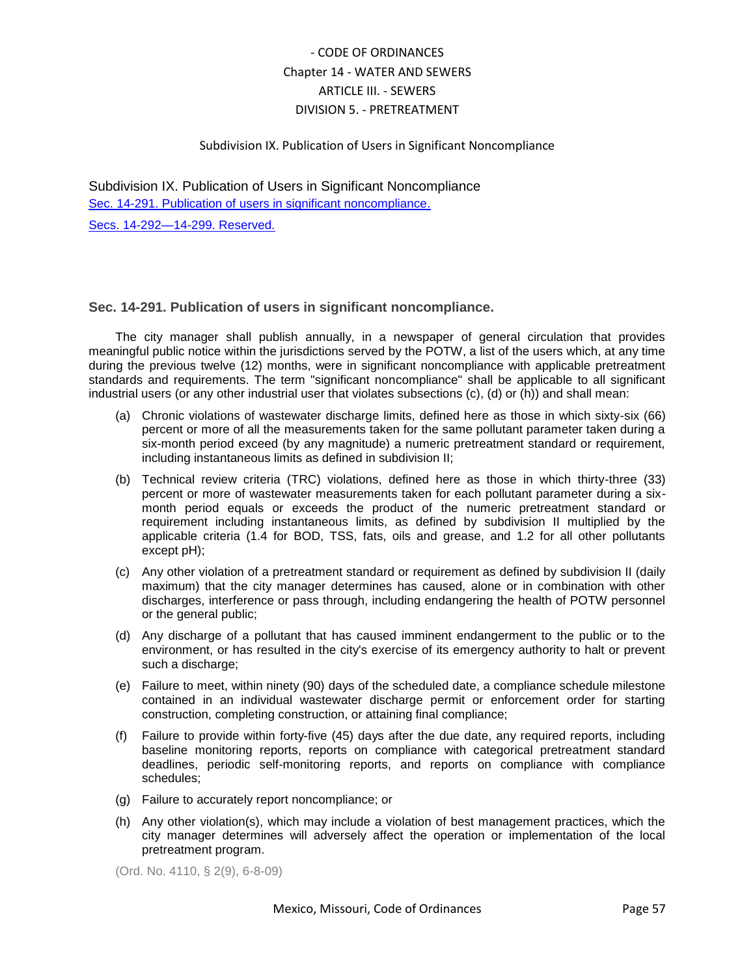## Subdivision IX. Publication of Users in Significant Noncompliance

Subdivision IX. Publication of Users in Significant Noncompliance [Sec. 14-291. Publication of users in significant noncompliance.](#page-56-0) [Secs. 14-292—14-299. Reserved.](#page-57-0)

<span id="page-56-0"></span>**Sec. 14-291. Publication of users in significant noncompliance.**

The city manager shall publish annually, in a newspaper of general circulation that provides meaningful public notice within the jurisdictions served by the POTW, a list of the users which, at any time during the previous twelve (12) months, were in significant noncompliance with applicable pretreatment standards and requirements. The term "significant noncompliance" shall be applicable to all significant industrial users (or any other industrial user that violates subsections (c), (d) or (h)) and shall mean:

- (a) Chronic violations of wastewater discharge limits, defined here as those in which sixty-six (66) percent or more of all the measurements taken for the same pollutant parameter taken during a six-month period exceed (by any magnitude) a numeric pretreatment standard or requirement, including instantaneous limits as defined in subdivision II;
- (b) Technical review criteria (TRC) violations, defined here as those in which thirty-three (33) percent or more of wastewater measurements taken for each pollutant parameter during a sixmonth period equals or exceeds the product of the numeric pretreatment standard or requirement including instantaneous limits, as defined by subdivision II multiplied by the applicable criteria (1.4 for BOD, TSS, fats, oils and grease, and 1.2 for all other pollutants except pH);
- (c) Any other violation of a pretreatment standard or requirement as defined by subdivision II (daily maximum) that the city manager determines has caused, alone or in combination with other discharges, interference or pass through, including endangering the health of POTW personnel or the general public;
- (d) Any discharge of a pollutant that has caused imminent endangerment to the public or to the environment, or has resulted in the city's exercise of its emergency authority to halt or prevent such a discharge;
- (e) Failure to meet, within ninety (90) days of the scheduled date, a compliance schedule milestone contained in an individual wastewater discharge permit or enforcement order for starting construction, completing construction, or attaining final compliance;
- (f) Failure to provide within forty-five (45) days after the due date, any required reports, including baseline monitoring reports, reports on compliance with categorical pretreatment standard deadlines, periodic self-monitoring reports, and reports on compliance with compliance schedules;
- (g) Failure to accurately report noncompliance; or
- (h) Any other violation(s), which may include a violation of best management practices, which the city manager determines will adversely affect the operation or implementation of the local pretreatment program.

(Ord. No. 4110, § 2(9), 6-8-09)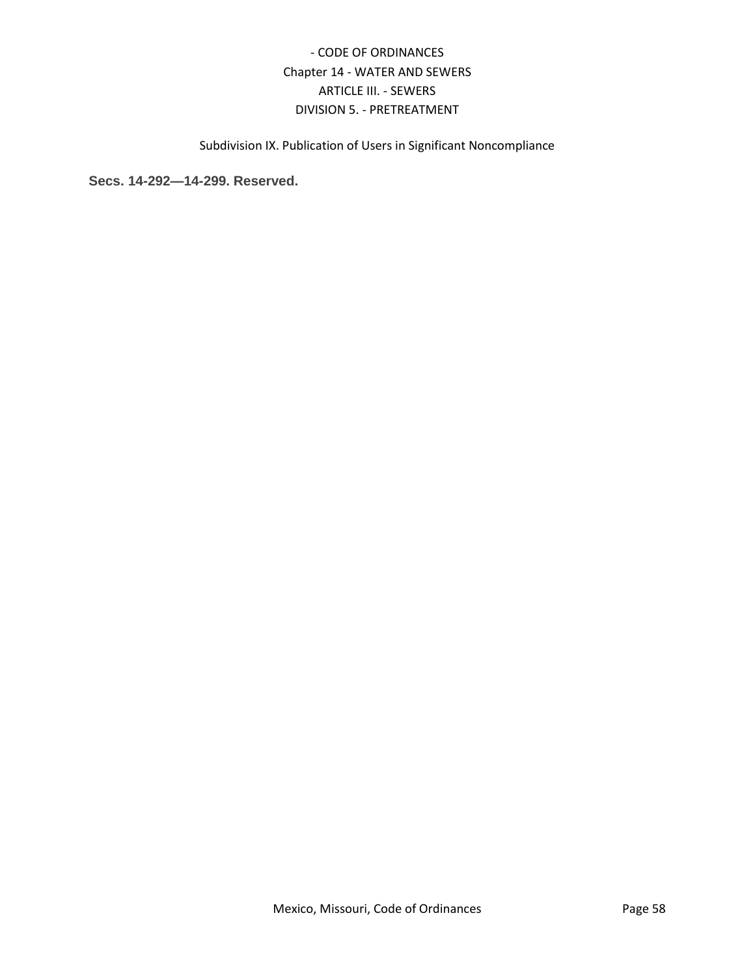Subdivision IX. Publication of Users in Significant Noncompliance

<span id="page-57-0"></span>**Secs. 14-292—14-299. Reserved.**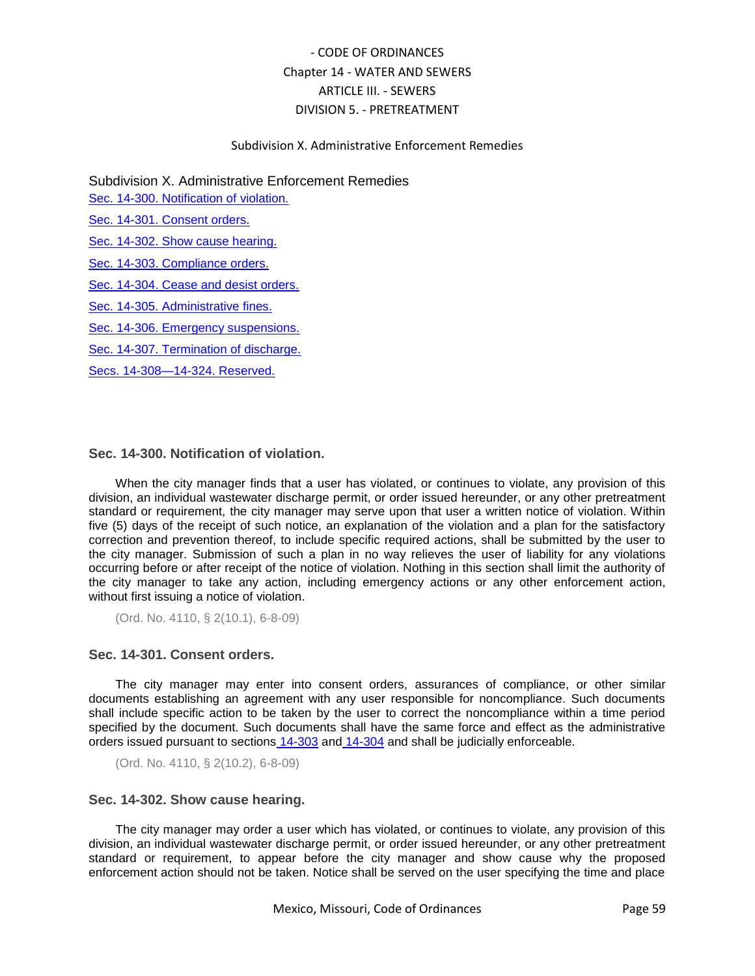### Subdivision X. Administrative Enforcement Remedies

Subdivision X. Administrative Enforcement Remedies

[Sec. 14-300. Notification of violation.](#page-58-0)

[Sec. 14-301. Consent orders.](#page-58-1)

[Sec. 14-302. Show cause hearing.](#page-58-2)

[Sec. 14-303. Compliance orders.](#page-59-0)

[Sec. 14-304. Cease and desist orders.](#page-59-1)

[Sec. 14-305. Administrative fines.](#page-59-2)

[Sec. 14-306. Emergency suspensions.](#page-60-0)

[Sec. 14-307. Termination of discharge.](#page-60-1)

[Secs. 14-308—14-324. Reserved.](#page-61-0)

## <span id="page-58-0"></span>**Sec. 14-300. Notification of violation.**

When the city manager finds that a user has violated, or continues to violate, any provision of this division, an individual wastewater discharge permit, or order issued hereunder, or any other pretreatment standard or requirement, the city manager may serve upon that user a written notice of violation. Within five (5) days of the receipt of such notice, an explanation of the violation and a plan for the satisfactory correction and prevention thereof, to include specific required actions, shall be submitted by the user to the city manager. Submission of such a plan in no way relieves the user of liability for any violations occurring before or after receipt of the notice of violation. Nothing in this section shall limit the authority of the city manager to take any action, including emergency actions or any other enforcement action, without first issuing a notice of violation.

(Ord. No. 4110, § 2(10.1), 6-8-09)

### <span id="page-58-1"></span>**Sec. 14-301. Consent orders.**

The city manager may enter into consent orders, assurances of compliance, or other similar documents establishing an agreement with any user responsible for noncompliance. Such documents shall include specific action to be taken by the user to correct the noncompliance within a time period specified by the document. Such documents shall have the same force and effect as the administrative orders issued pursuant to sections [14-303](../level5/COOR_CH14WASE_ARTIIISE_DIV5PR_SDXADENRE.docx#COOR_CH14WASE_ARTIIISE_DIV5PR_SDXADENRE_S14-303COOR) and [14-304](../level5/COOR_CH14WASE_ARTIIISE_DIV5PR_SDXADENRE.docx#COOR_CH14WASE_ARTIIISE_DIV5PR_SDXADENRE_S14-304CEDEOR) and shall be judicially enforceable.

(Ord. No. 4110, § 2(10.2), 6-8-09)

## <span id="page-58-2"></span>**Sec. 14-302. Show cause hearing.**

The city manager may order a user which has violated, or continues to violate, any provision of this division, an individual wastewater discharge permit, or order issued hereunder, or any other pretreatment standard or requirement, to appear before the city manager and show cause why the proposed enforcement action should not be taken. Notice shall be served on the user specifying the time and place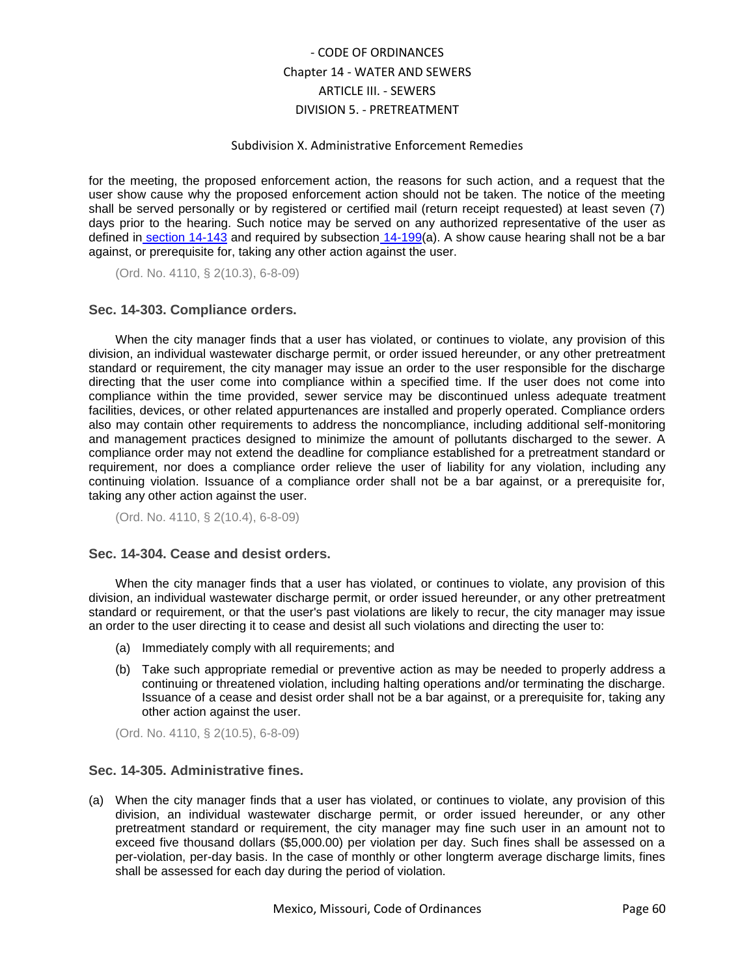### Subdivision X. Administrative Enforcement Remedies

for the meeting, the proposed enforcement action, the reasons for such action, and a request that the user show cause why the proposed enforcement action should not be taken. The notice of the meeting shall be served personally or by registered or certified mail (return receipt requested) at least seven (7) days prior to the hearing. Such notice may be served on any authorized representative of the user as defined in [section 14-143](../level5/COOR_CH14WASE_ARTIIISE_DIV5PR_SDIGEPR.docx#COOR_CH14WASE_ARTIIISE_DIV5PR_SDIGEPR_S14-143DE) and required by subsection [14-199\(](../level5/COOR_CH14WASE_ARTIIISE_DIV5PR_SDIVINWADIPE.docx#COOR_CH14WASE_ARTIIISE_DIV5PR_SDIVINWADIPE_S14-199INWADIPEAPCO)a). A show cause hearing shall not be a bar against, or prerequisite for, taking any other action against the user.

(Ord. No. 4110, § 2(10.3), 6-8-09)

## <span id="page-59-0"></span>**Sec. 14-303. Compliance orders.**

When the city manager finds that a user has violated, or continues to violate, any provision of this division, an individual wastewater discharge permit, or order issued hereunder, or any other pretreatment standard or requirement, the city manager may issue an order to the user responsible for the discharge directing that the user come into compliance within a specified time. If the user does not come into compliance within the time provided, sewer service may be discontinued unless adequate treatment facilities, devices, or other related appurtenances are installed and properly operated. Compliance orders also may contain other requirements to address the noncompliance, including additional self-monitoring and management practices designed to minimize the amount of pollutants discharged to the sewer. A compliance order may not extend the deadline for compliance established for a pretreatment standard or requirement, nor does a compliance order relieve the user of liability for any violation, including any continuing violation. Issuance of a compliance order shall not be a bar against, or a prerequisite for, taking any other action against the user.

(Ord. No. 4110, § 2(10.4), 6-8-09)

### <span id="page-59-1"></span>**Sec. 14-304. Cease and desist orders.**

When the city manager finds that a user has violated, or continues to violate, any provision of this division, an individual wastewater discharge permit, or order issued hereunder, or any other pretreatment standard or requirement, or that the user's past violations are likely to recur, the city manager may issue an order to the user directing it to cease and desist all such violations and directing the user to:

- (a) Immediately comply with all requirements; and
- (b) Take such appropriate remedial or preventive action as may be needed to properly address a continuing or threatened violation, including halting operations and/or terminating the discharge. Issuance of a cease and desist order shall not be a bar against, or a prerequisite for, taking any other action against the user.

(Ord. No. 4110, § 2(10.5), 6-8-09)

## <span id="page-59-2"></span>**Sec. 14-305. Administrative fines.**

(a) When the city manager finds that a user has violated, or continues to violate, any provision of this division, an individual wastewater discharge permit, or order issued hereunder, or any other pretreatment standard or requirement, the city manager may fine such user in an amount not to exceed five thousand dollars (\$5,000.00) per violation per day. Such fines shall be assessed on a per-violation, per-day basis. In the case of monthly or other longterm average discharge limits, fines shall be assessed for each day during the period of violation.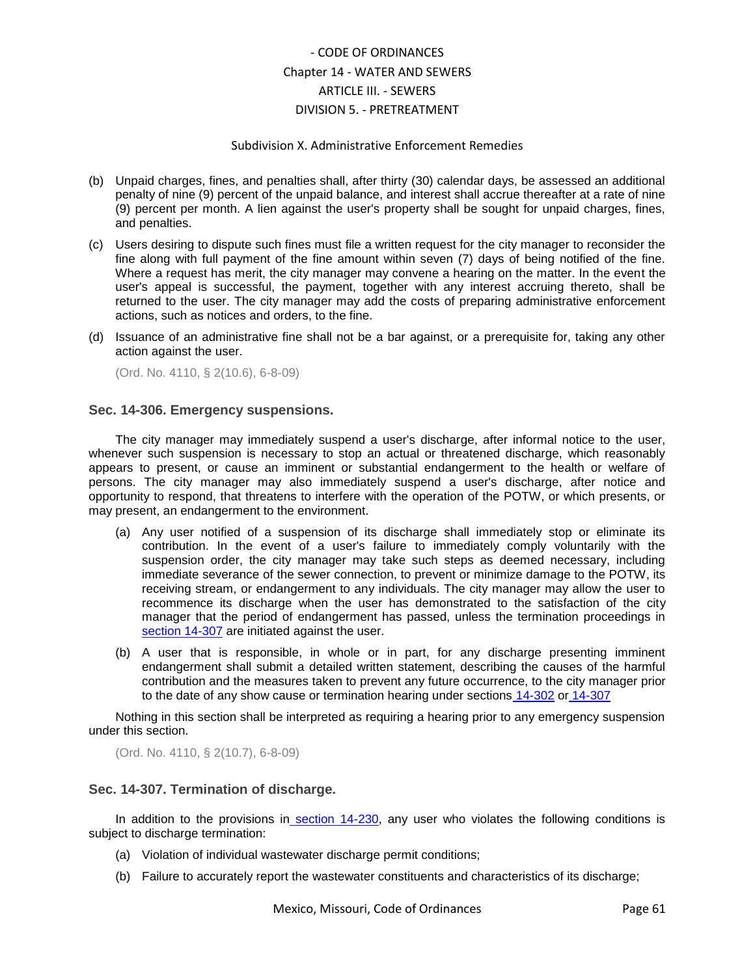### Subdivision X. Administrative Enforcement Remedies

- (b) Unpaid charges, fines, and penalties shall, after thirty (30) calendar days, be assessed an additional penalty of nine (9) percent of the unpaid balance, and interest shall accrue thereafter at a rate of nine (9) percent per month. A lien against the user's property shall be sought for unpaid charges, fines, and penalties.
- (c) Users desiring to dispute such fines must file a written request for the city manager to reconsider the fine along with full payment of the fine amount within seven (7) days of being notified of the fine. Where a request has merit, the city manager may convene a hearing on the matter. In the event the user's appeal is successful, the payment, together with any interest accruing thereto, shall be returned to the user. The city manager may add the costs of preparing administrative enforcement actions, such as notices and orders, to the fine.
- (d) Issuance of an administrative fine shall not be a bar against, or a prerequisite for, taking any other action against the user.

(Ord. No. 4110, § 2(10.6), 6-8-09)

### <span id="page-60-0"></span>**Sec. 14-306. Emergency suspensions.**

The city manager may immediately suspend a user's discharge, after informal notice to the user, whenever such suspension is necessary to stop an actual or threatened discharge, which reasonably appears to present, or cause an imminent or substantial endangerment to the health or welfare of persons. The city manager may also immediately suspend a user's discharge, after notice and opportunity to respond, that threatens to interfere with the operation of the POTW, or which presents, or may present, an endangerment to the environment.

- (a) Any user notified of a suspension of its discharge shall immediately stop or eliminate its contribution. In the event of a user's failure to immediately comply voluntarily with the suspension order, the city manager may take such steps as deemed necessary, including immediate severance of the sewer connection, to prevent or minimize damage to the POTW, its receiving stream, or endangerment to any individuals. The city manager may allow the user to recommence its discharge when the user has demonstrated to the satisfaction of the city manager that the period of endangerment has passed, unless the termination proceedings i[n](../level5/COOR_CH14WASE_ARTIIISE_DIV5PR_SDXADENRE.docx#COOR_CH14WASE_ARTIIISE_DIV5PR_SDXADENRE_S14-307TEDI) [section 14-307](../level5/COOR_CH14WASE_ARTIIISE_DIV5PR_SDXADENRE.docx#COOR_CH14WASE_ARTIIISE_DIV5PR_SDXADENRE_S14-307TEDI) are initiated against the user.
- (b) A user that is responsible, in whole or in part, for any discharge presenting imminent endangerment shall submit a detailed written statement, describing the causes of the harmful contribution and the measures taken to prevent any future occurrence, to the city manager prior to the date of any show cause or termination hearing under sections [14-302](../level5/COOR_CH14WASE_ARTIIISE_DIV5PR_SDXADENRE.docx#COOR_CH14WASE_ARTIIISE_DIV5PR_SDXADENRE_S14-302SHCAHE) or [14-307](../level5/COOR_CH14WASE_ARTIIISE_DIV5PR_SDXADENRE.docx#COOR_CH14WASE_ARTIIISE_DIV5PR_SDXADENRE_S14-307TEDI)

Nothing in this section shall be interpreted as requiring a hearing prior to any emergency suspension under this section.

(Ord. No. 4110, § 2(10.7), 6-8-09)

## <span id="page-60-1"></span>**Sec. 14-307. Termination of discharge.**

In addition to the provisions in [section 14-230,](../level5/COOR_CH14WASE_ARTIIISE_DIV5PR_SDVINWADIPEIS.docx#COOR_CH14WASE_ARTIIISE_DIV5PR_SDVINWADIPEIS_S14-230INWADIPERE) any user who violates the following conditions is subject to discharge termination:

- (a) Violation of individual wastewater discharge permit conditions;
- (b) Failure to accurately report the wastewater constituents and characteristics of its discharge;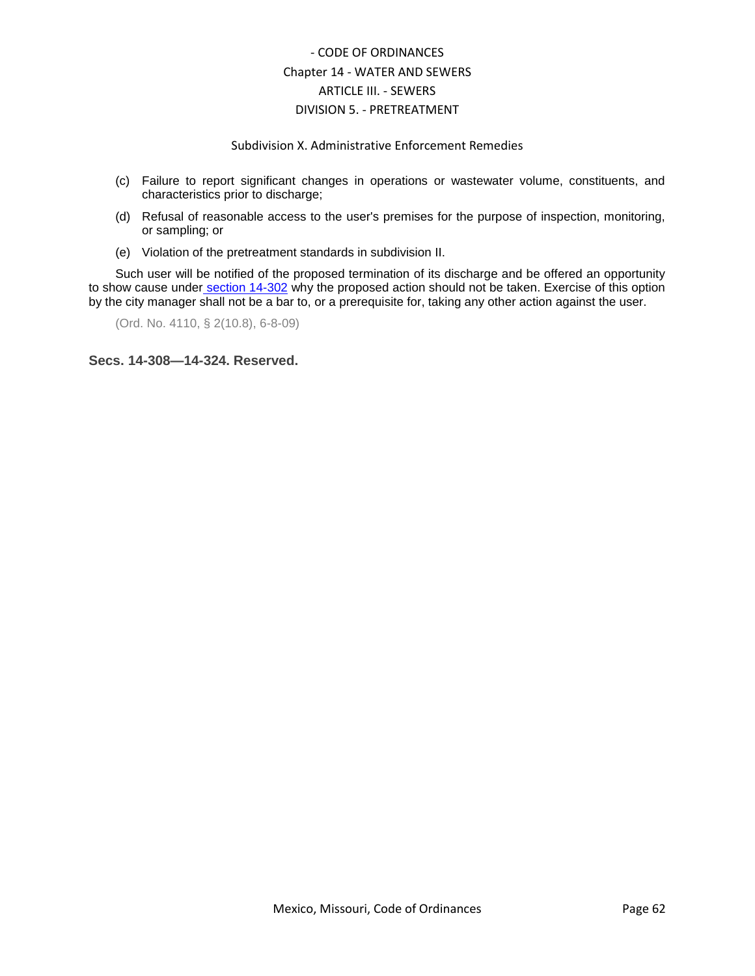## Subdivision X. Administrative Enforcement Remedies

- (c) Failure to report significant changes in operations or wastewater volume, constituents, and characteristics prior to discharge;
- (d) Refusal of reasonable access to the user's premises for the purpose of inspection, monitoring, or sampling; or
- (e) Violation of the pretreatment standards in subdivision II.

Such user will be notified of the proposed termination of its discharge and be offered an opportunity to show cause under [section 14-302](../level5/COOR_CH14WASE_ARTIIISE_DIV5PR_SDXADENRE.docx#COOR_CH14WASE_ARTIIISE_DIV5PR_SDXADENRE_S14-302SHCAHE) why the proposed action should not be taken. Exercise of this option by the city manager shall not be a bar to, or a prerequisite for, taking any other action against the user.

(Ord. No. 4110, § 2(10.8), 6-8-09)

<span id="page-61-0"></span>**Secs. 14-308—14-324. Reserved.**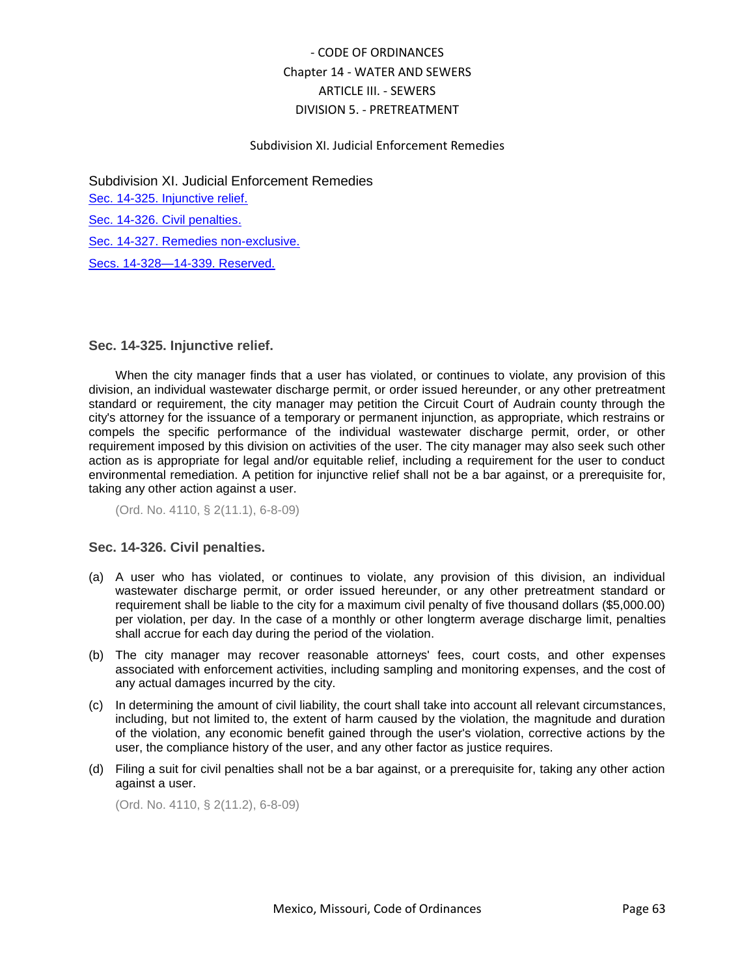## Subdivision XI. Judicial Enforcement Remedies

Subdivision XI. Judicial Enforcement Remedies [Sec. 14-325. Injunctive relief.](#page-62-0) [Sec. 14-326. Civil penalties.](#page-62-1) [Sec. 14-327. Remedies non-exclusive.](#page-63-0) [Secs. 14-328—14-339. Reserved.](#page-63-1)

## <span id="page-62-0"></span>**Sec. 14-325. Injunctive relief.**

When the city manager finds that a user has violated, or continues to violate, any provision of this division, an individual wastewater discharge permit, or order issued hereunder, or any other pretreatment standard or requirement, the city manager may petition the Circuit Court of Audrain county through the city's attorney for the issuance of a temporary or permanent injunction, as appropriate, which restrains or compels the specific performance of the individual wastewater discharge permit, order, or other requirement imposed by this division on activities of the user. The city manager may also seek such other action as is appropriate for legal and/or equitable relief, including a requirement for the user to conduct environmental remediation. A petition for injunctive relief shall not be a bar against, or a prerequisite for, taking any other action against a user.

(Ord. No. 4110, § 2(11.1), 6-8-09)

## <span id="page-62-1"></span>**Sec. 14-326. Civil penalties.**

- (a) A user who has violated, or continues to violate, any provision of this division, an individual wastewater discharge permit, or order issued hereunder, or any other pretreatment standard or requirement shall be liable to the city for a maximum civil penalty of five thousand dollars (\$5,000.00) per violation, per day. In the case of a monthly or other longterm average discharge limit, penalties shall accrue for each day during the period of the violation.
- (b) The city manager may recover reasonable attorneys' fees, court costs, and other expenses associated with enforcement activities, including sampling and monitoring expenses, and the cost of any actual damages incurred by the city.
- (c) In determining the amount of civil liability, the court shall take into account all relevant circumstances, including, but not limited to, the extent of harm caused by the violation, the magnitude and duration of the violation, any economic benefit gained through the user's violation, corrective actions by the user, the compliance history of the user, and any other factor as justice requires.
- (d) Filing a suit for civil penalties shall not be a bar against, or a prerequisite for, taking any other action against a user.

(Ord. No. 4110, § 2(11.2), 6-8-09)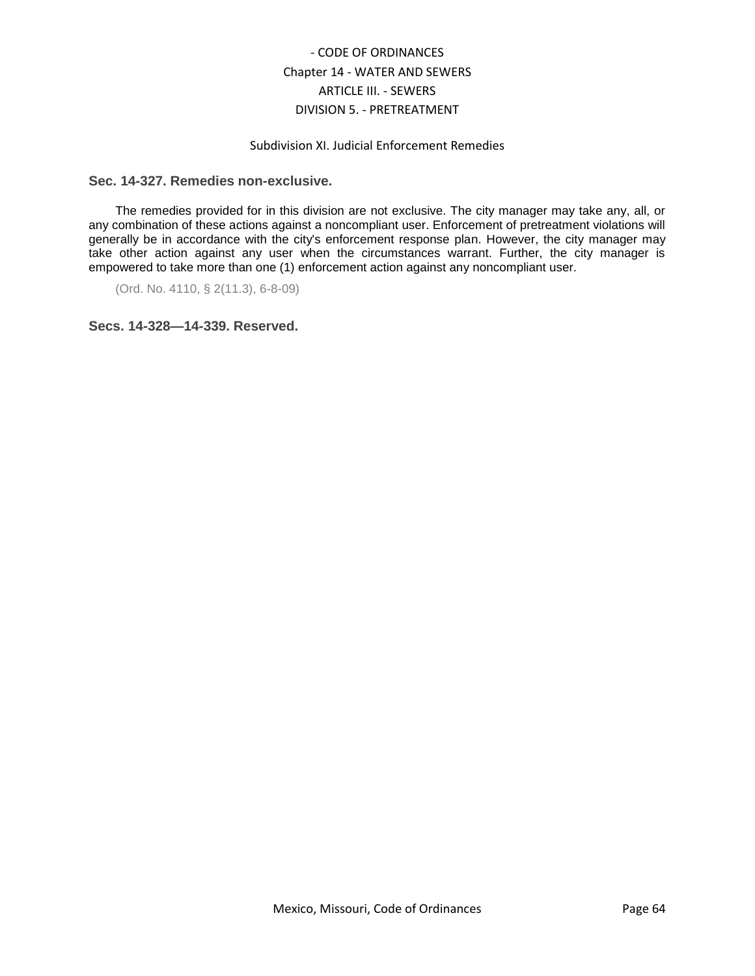## Subdivision XI. Judicial Enforcement Remedies

### <span id="page-63-0"></span>**Sec. 14-327. Remedies non-exclusive.**

The remedies provided for in this division are not exclusive. The city manager may take any, all, or any combination of these actions against a noncompliant user. Enforcement of pretreatment violations will generally be in accordance with the city's enforcement response plan. However, the city manager may take other action against any user when the circumstances warrant. Further, the city manager is empowered to take more than one (1) enforcement action against any noncompliant user.

(Ord. No. 4110, § 2(11.3), 6-8-09)

<span id="page-63-1"></span>**Secs. 14-328—14-339. Reserved.**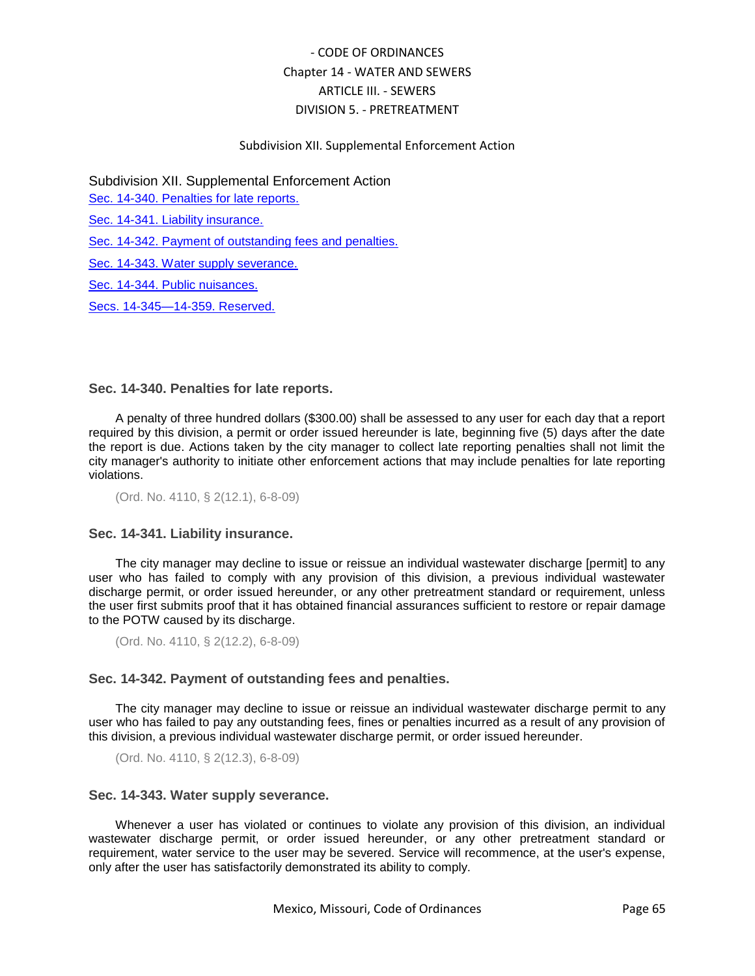## Subdivision XII. Supplemental Enforcement Action

Subdivision XII. Supplemental Enforcement Action

[Sec. 14-340. Penalties for late reports.](#page-64-0)

[Sec. 14-341. Liability insurance.](#page-64-1)

[Sec. 14-342. Payment of outstanding fees and penalties.](#page-64-2)

[Sec. 14-343. Water supply severance.](#page-64-3)

[Sec. 14-344. Public nuisances.](#page-65-0)

[Secs. 14-345—14-359. Reserved.](#page-65-1)

### <span id="page-64-0"></span>**Sec. 14-340. Penalties for late reports.**

A penalty of three hundred dollars (\$300.00) shall be assessed to any user for each day that a report required by this division, a permit or order issued hereunder is late, beginning five (5) days after the date the report is due. Actions taken by the city manager to collect late reporting penalties shall not limit the city manager's authority to initiate other enforcement actions that may include penalties for late reporting violations.

(Ord. No. 4110, § 2(12.1), 6-8-09)

### <span id="page-64-1"></span>**Sec. 14-341. Liability insurance.**

The city manager may decline to issue or reissue an individual wastewater discharge [permit] to any user who has failed to comply with any provision of this division, a previous individual wastewater discharge permit, or order issued hereunder, or any other pretreatment standard or requirement, unless the user first submits proof that it has obtained financial assurances sufficient to restore or repair damage to the POTW caused by its discharge.

(Ord. No. 4110, § 2(12.2), 6-8-09)

### <span id="page-64-2"></span>**Sec. 14-342. Payment of outstanding fees and penalties.**

The city manager may decline to issue or reissue an individual wastewater discharge permit to any user who has failed to pay any outstanding fees, fines or penalties incurred as a result of any provision of this division, a previous individual wastewater discharge permit, or order issued hereunder.

(Ord. No. 4110, § 2(12.3), 6-8-09)

## <span id="page-64-3"></span>**Sec. 14-343. Water supply severance.**

Whenever a user has violated or continues to violate any provision of this division, an individual wastewater discharge permit, or order issued hereunder, or any other pretreatment standard or requirement, water service to the user may be severed. Service will recommence, at the user's expense, only after the user has satisfactorily demonstrated its ability to comply.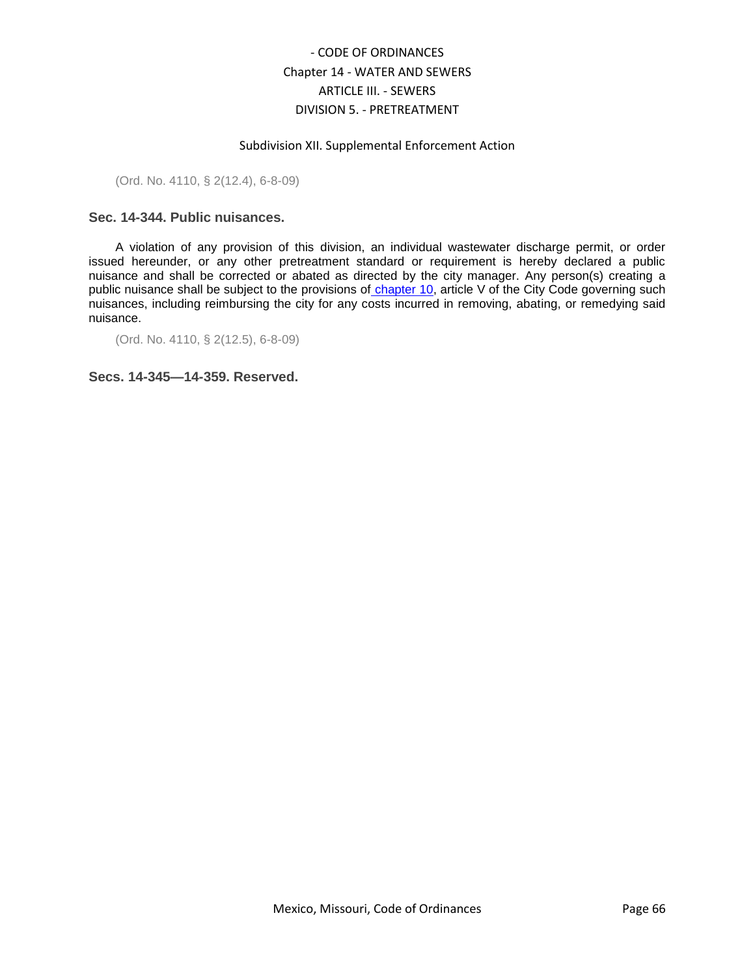### Subdivision XII. Supplemental Enforcement Action

(Ord. No. 4110, § 2(12.4), 6-8-09)

## <span id="page-65-0"></span>**Sec. 14-344. Public nuisances.**

A violation of any provision of this division, an individual wastewater discharge permit, or order issued hereunder, or any other pretreatment standard or requirement is hereby declared a public nuisance and shall be corrected or abated as directed by the city manager. Any person(s) creating a public nuisance shall be subject to the provisions of [chapter 10,](../level2/COOR_CH10OFIS.docx#COOR_CH10OFIS) article V of the City Code governing such nuisances, including reimbursing the city for any costs incurred in removing, abating, or remedying said nuisance.

(Ord. No. 4110, § 2(12.5), 6-8-09)

<span id="page-65-1"></span>**Secs. 14-345—14-359. Reserved.**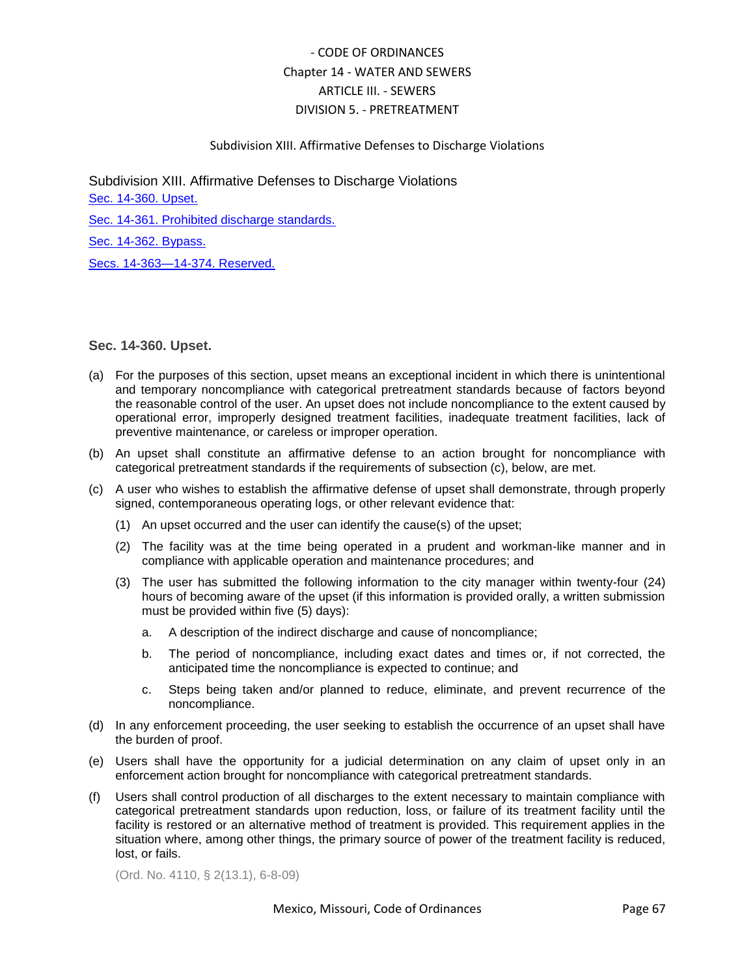## Subdivision XIII. Affirmative Defenses to Discharge Violations

Subdivision XIII. Affirmative Defenses to Discharge Violations [Sec. 14-360. Upset.](#page-66-0) [Sec. 14-361. Prohibited discharge standards.](#page-67-0) [Sec. 14-362. Bypass.](#page-67-1) [Secs. 14-363—14-374. Reserved.](#page-68-0)

<span id="page-66-0"></span>**Sec. 14-360. Upset.**

- (a) For the purposes of this section, upset means an exceptional incident in which there is unintentional and temporary noncompliance with categorical pretreatment standards because of factors beyond the reasonable control of the user. An upset does not include noncompliance to the extent caused by operational error, improperly designed treatment facilities, inadequate treatment facilities, lack of preventive maintenance, or careless or improper operation.
- (b) An upset shall constitute an affirmative defense to an action brought for noncompliance with categorical pretreatment standards if the requirements of subsection (c), below, are met.
- (c) A user who wishes to establish the affirmative defense of upset shall demonstrate, through properly signed, contemporaneous operating logs, or other relevant evidence that:
	- (1) An upset occurred and the user can identify the cause(s) of the upset;
	- (2) The facility was at the time being operated in a prudent and workman-like manner and in compliance with applicable operation and maintenance procedures; and
	- (3) The user has submitted the following information to the city manager within twenty-four (24) hours of becoming aware of the upset (if this information is provided orally, a written submission must be provided within five (5) days):
		- a. A description of the indirect discharge and cause of noncompliance;
		- b. The period of noncompliance, including exact dates and times or, if not corrected, the anticipated time the noncompliance is expected to continue; and
		- c. Steps being taken and/or planned to reduce, eliminate, and prevent recurrence of the noncompliance.
- (d) In any enforcement proceeding, the user seeking to establish the occurrence of an upset shall have the burden of proof.
- (e) Users shall have the opportunity for a judicial determination on any claim of upset only in an enforcement action brought for noncompliance with categorical pretreatment standards.
- (f) Users shall control production of all discharges to the extent necessary to maintain compliance with categorical pretreatment standards upon reduction, loss, or failure of its treatment facility until the facility is restored or an alternative method of treatment is provided. This requirement applies in the situation where, among other things, the primary source of power of the treatment facility is reduced, lost, or fails.

(Ord. No. 4110, § 2(13.1), 6-8-09)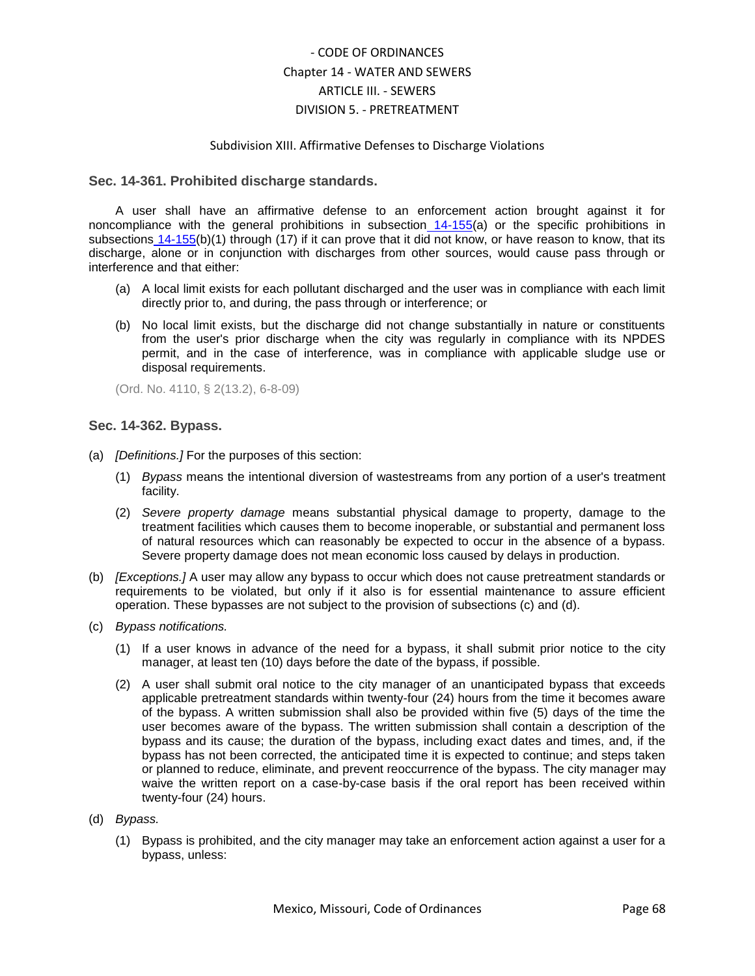### Subdivision XIII. Affirmative Defenses to Discharge Violations

## <span id="page-67-0"></span>**Sec. 14-361. Prohibited discharge standards.**

A user shall have an affirmative defense to an enforcement action brought against it for noncompliance with the general prohibitions in subsection [14-155\(](../level5/COOR_CH14WASE_ARTIIISE_DIV5PR_SDIIGESEUSRE.docx#COOR_CH14WASE_ARTIIISE_DIV5PR_SDIIGESEUSRE_S14-155PRDIST)a) or the specific prohibitions in subsections [14-155\(](../level5/COOR_CH14WASE_ARTIIISE_DIV5PR_SDIIGESEUSRE.docx#COOR_CH14WASE_ARTIIISE_DIV5PR_SDIIGESEUSRE_S14-155PRDIST)b)(1) through (17) if it can prove that it did not know, or have reason to know, that its discharge, alone or in conjunction with discharges from other sources, would cause pass through or interference and that either:

- (a) A local limit exists for each pollutant discharged and the user was in compliance with each limit directly prior to, and during, the pass through or interference; or
- (b) No local limit exists, but the discharge did not change substantially in nature or constituents from the user's prior discharge when the city was regularly in compliance with its NPDES permit, and in the case of interference, was in compliance with applicable sludge use or disposal requirements.

(Ord. No. 4110, § 2(13.2), 6-8-09)

## <span id="page-67-1"></span>**Sec. 14-362. Bypass.**

- (a) *[Definitions.]* For the purposes of this section:
	- (1) *Bypass* means the intentional diversion of wastestreams from any portion of a user's treatment facility.
	- (2) *Severe property damage* means substantial physical damage to property, damage to the treatment facilities which causes them to become inoperable, or substantial and permanent loss of natural resources which can reasonably be expected to occur in the absence of a bypass. Severe property damage does not mean economic loss caused by delays in production.
- (b) *[Exceptions.]* A user may allow any bypass to occur which does not cause pretreatment standards or requirements to be violated, but only if it also is for essential maintenance to assure efficient operation. These bypasses are not subject to the provision of subsections (c) and (d).
- (c) *Bypass notifications.*
	- (1) If a user knows in advance of the need for a bypass, it shall submit prior notice to the city manager, at least ten (10) days before the date of the bypass, if possible.
	- (2) A user shall submit oral notice to the city manager of an unanticipated bypass that exceeds applicable pretreatment standards within twenty-four (24) hours from the time it becomes aware of the bypass. A written submission shall also be provided within five (5) days of the time the user becomes aware of the bypass. The written submission shall contain a description of the bypass and its cause; the duration of the bypass, including exact dates and times, and, if the bypass has not been corrected, the anticipated time it is expected to continue; and steps taken or planned to reduce, eliminate, and prevent reoccurrence of the bypass. The city manager may waive the written report on a case-by-case basis if the oral report has been received within twenty-four (24) hours.

### (d) *Bypass.*

(1) Bypass is prohibited, and the city manager may take an enforcement action against a user for a bypass, unless: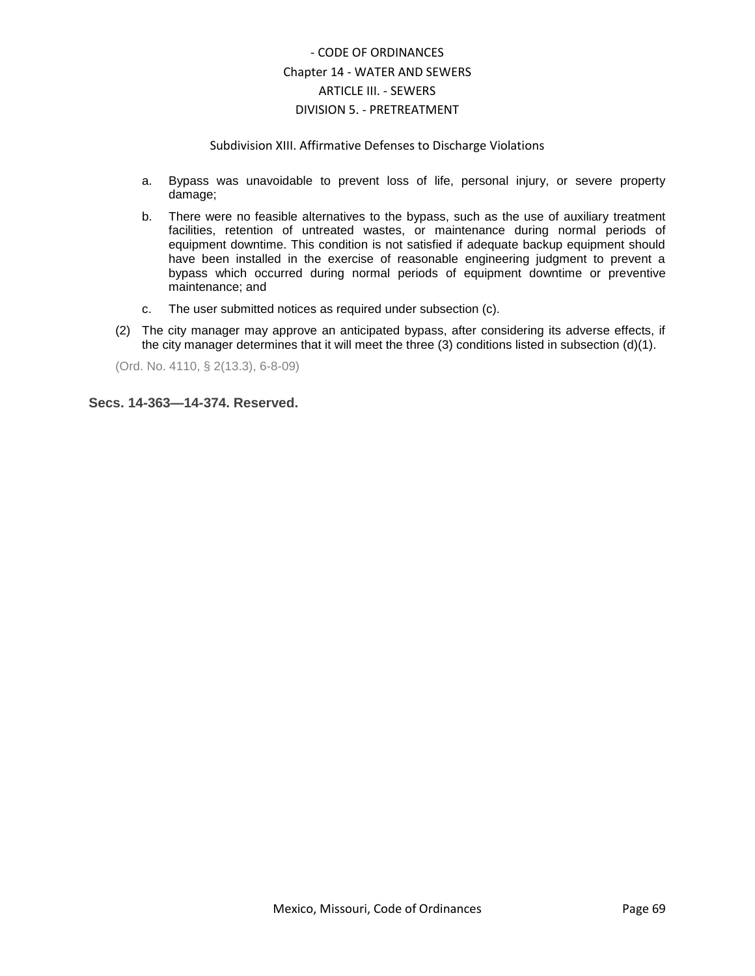### Subdivision XIII. Affirmative Defenses to Discharge Violations

- a. Bypass was unavoidable to prevent loss of life, personal injury, or severe property damage;
- b. There were no feasible alternatives to the bypass, such as the use of auxiliary treatment facilities, retention of untreated wastes, or maintenance during normal periods of equipment downtime. This condition is not satisfied if adequate backup equipment should have been installed in the exercise of reasonable engineering judgment to prevent a bypass which occurred during normal periods of equipment downtime or preventive maintenance; and
- c. The user submitted notices as required under subsection (c).
- (2) The city manager may approve an anticipated bypass, after considering its adverse effects, if the city manager determines that it will meet the three (3) conditions listed in subsection (d)(1).

(Ord. No. 4110, § 2(13.3), 6-8-09)

<span id="page-68-0"></span>**Secs. 14-363—14-374. Reserved.**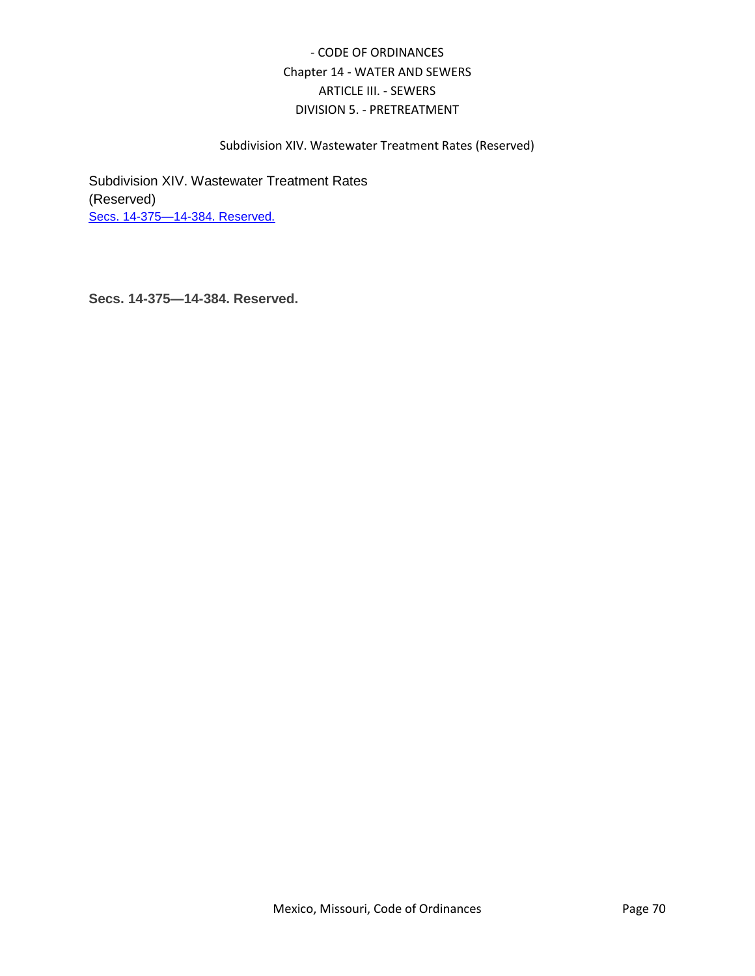## Subdivision XIV. Wastewater Treatment Rates (Reserved)

Subdivision XIV. Wastewater Treatment Rates (Reserved) [Secs. 14-375—14-384. Reserved.](#page-69-0)

<span id="page-69-0"></span>**Secs. 14-375—14-384. Reserved.**